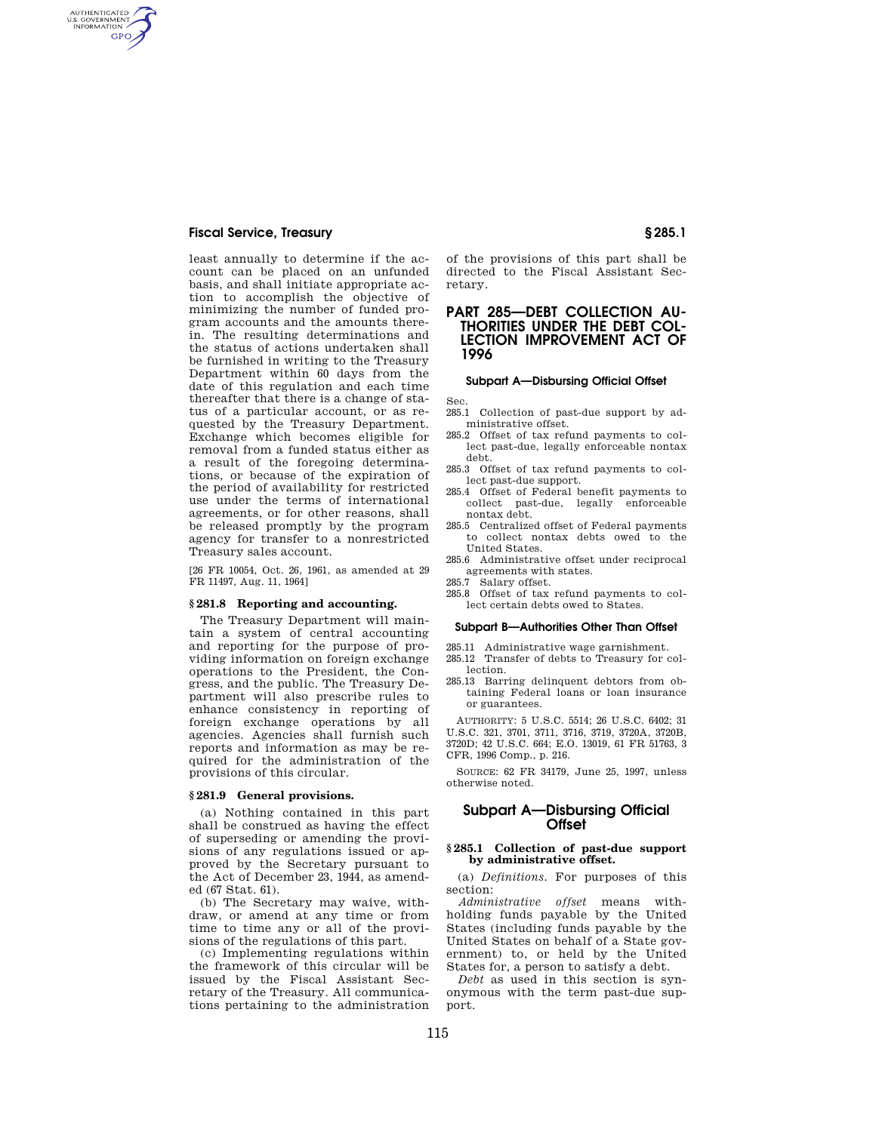AUTHENTICATED<br>U.S. GOVERNMENT<br>INFORMATION **GPO** 

> least annually to determine if the account can be placed on an unfunded basis, and shall initiate appropriate action to accomplish the objective of minimizing the number of funded program accounts and the amounts therein. The resulting determinations and the status of actions undertaken shall be furnished in writing to the Treasury Department within 60 days from the date of this regulation and each time thereafter that there is a change of status of a particular account, or as requested by the Treasury Department. Exchange which becomes eligible for removal from a funded status either as a result of the foregoing determinations, or because of the expiration of the period of availability for restricted use under the terms of international agreements, or for other reasons, shall be released promptly by the program agency for transfer to a nonrestricted Treasury sales account.

[26 FR 10054, Oct. 26, 1961, as amended at 29 FR 11497, Aug. 11, 1964]

#### **§ 281.8 Reporting and accounting.**

The Treasury Department will maintain a system of central accounting and reporting for the purpose of providing information on foreign exchange operations to the President, the Congress, and the public. The Treasury Department will also prescribe rules to enhance consistency in reporting of foreign exchange operations by all agencies. Agencies shall furnish such reports and information as may be required for the administration of the provisions of this circular.

#### **§ 281.9 General provisions.**

(a) Nothing contained in this part shall be construed as having the effect of superseding or amending the provisions of any regulations issued or approved by the Secretary pursuant to the Act of December 23, 1944, as amended (67 Stat. 61).

(b) The Secretary may waive, withdraw, or amend at any time or from time to time any or all of the provisions of the regulations of this part.

(c) Implementing regulations within the framework of this circular will be issued by the Fiscal Assistant Secretary of the Treasury. All communications pertaining to the administration

of the provisions of this part shall be directed to the Fiscal Assistant Secretary.

## **PART 285—DEBT COLLECTION AU-THORITIES UNDER THE DEBT COL-LECTION IMPROVEMENT ACT OF 1996**

# **Subpart A—Disbursing Official Offset**

Sec.

- 285.1 Collection of past-due support by administrative offset.
- 285.2 Offset of tax refund payments to collect past-due, legally enforceable nontax debt.
- 285.3 Offset of tax refund payments to collect past-due support.
- 285.4 Offset of Federal benefit payments to collect past-due, legally enforceable nontax debt.
- 285.5 Centralized offset of Federal payments to collect nontax debts owed to the United States.
- 285.6 Administrative offset under reciprocal agreements with states.
- 
- 285.7 Salary offset. 285.8 Offset of tax refund payments to collect certain debts owed to States.

#### **Subpart B—Authorities Other Than Offset**

- 285.11 Administrative wage garnishment.
- 285.12 Transfer of debts to Treasury for collection.
- 285.13 Barring delinquent debtors from obtaining Federal loans or loan insurance or guarantees.

AUTHORITY: 5 U.S.C. 5514; 26 U.S.C. 6402; 31 U.S.C. 321, 3701, 3711, 3716, 3719, 3720A, 3720B, 3720D; 42 U.S.C. 664; E.O. 13019, 61 FR 51763, 3 CFR, 1996 Comp., p. 216.

SOURCE: 62 FR 34179, June 25, 1997, unless otherwise noted.

## **Subpart A—Disbursing Official Offset**

#### **§ 285.1 Collection of past-due support by administrative offset.**

(a) *Definitions.* For purposes of this section:

*Administrative offset* means withholding funds payable by the United States (including funds payable by the United States on behalf of a State government) to, or held by the United States for, a person to satisfy a debt.

*Debt* as used in this section is synonymous with the term past-due support.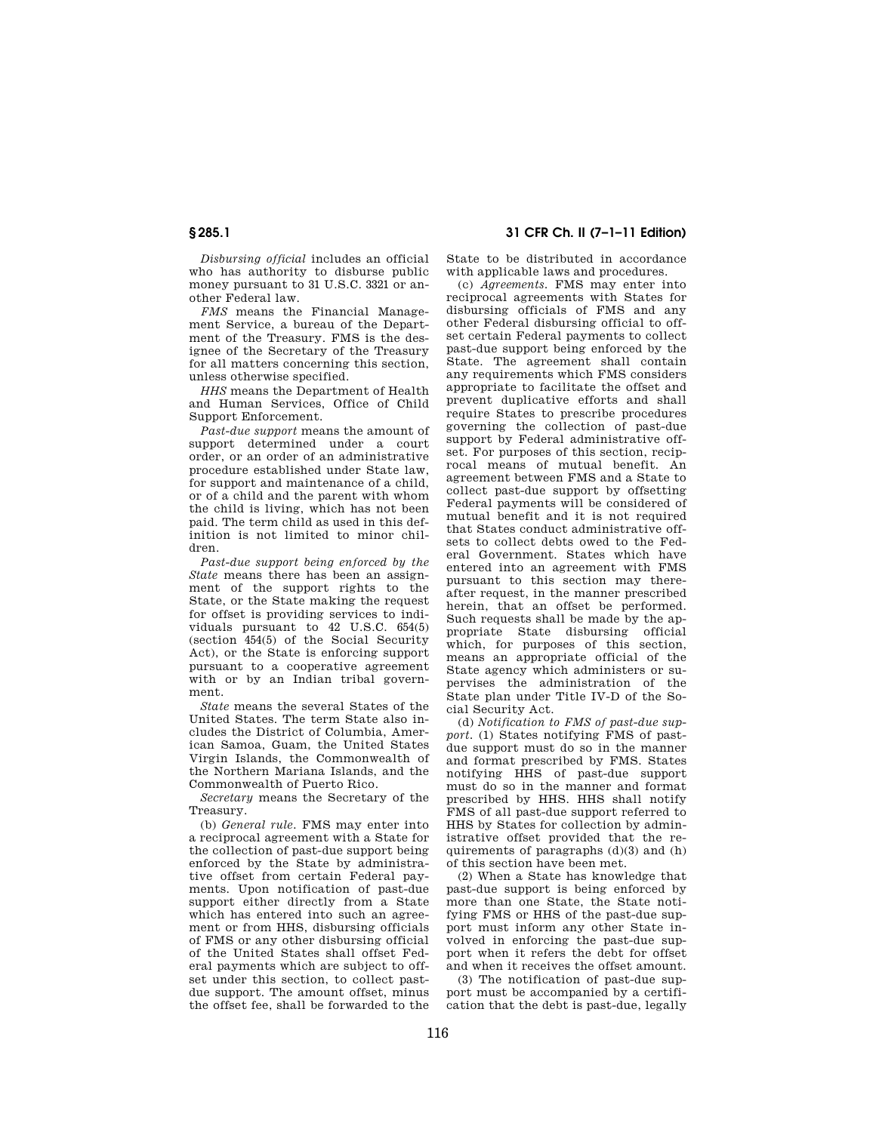*Disbursing official* includes an official who has authority to disburse public money pursuant to 31 U.S.C. 3321 or another Federal law.

*FMS* means the Financial Management Service, a bureau of the Department of the Treasury. FMS is the designee of the Secretary of the Treasury for all matters concerning this section, unless otherwise specified.

*HHS* means the Department of Health and Human Services, Office of Child Support Enforcement.

*Past-due support* means the amount of support determined under a court order, or an order of an administrative procedure established under State law, for support and maintenance of a child, or of a child and the parent with whom the child is living, which has not been paid. The term child as used in this definition is not limited to minor children.

*Past-due support being enforced by the State* means there has been an assignment of the support rights to the State, or the State making the request for offset is providing services to individuals pursuant to 42 U.S.C. 654(5) (section 454(5) of the Social Security Act), or the State is enforcing support pursuant to a cooperative agreement with or by an Indian tribal government.

*State* means the several States of the United States. The term State also includes the District of Columbia, American Samoa, Guam, the United States Virgin Islands, the Commonwealth of the Northern Mariana Islands, and the Commonwealth of Puerto Rico.

*Secretary* means the Secretary of the Treasury.

(b) *General rule.* FMS may enter into a reciprocal agreement with a State for the collection of past-due support being enforced by the State by administrative offset from certain Federal payments. Upon notification of past-due support either directly from a State which has entered into such an agreement or from HHS, disbursing officials of FMS or any other disbursing official of the United States shall offset Federal payments which are subject to offset under this section, to collect pastdue support. The amount offset, minus the offset fee, shall be forwarded to the

**§ 285.1 31 CFR Ch. II (7–1–11 Edition)** 

State to be distributed in accordance with applicable laws and procedures.

(c) *Agreements.* FMS may enter into reciprocal agreements with States for disbursing officials of FMS and any other Federal disbursing official to offset certain Federal payments to collect past-due support being enforced by the State. The agreement shall contain any requirements which FMS considers appropriate to facilitate the offset and prevent duplicative efforts and shall require States to prescribe procedures governing the collection of past-due support by Federal administrative offset. For purposes of this section, reciprocal means of mutual benefit. An agreement between FMS and a State to collect past-due support by offsetting Federal payments will be considered of mutual benefit and it is not required that States conduct administrative offsets to collect debts owed to the Federal Government. States which have entered into an agreement with FMS pursuant to this section may thereafter request, in the manner prescribed herein, that an offset be performed. Such requests shall be made by the appropriate State disbursing official which, for purposes of this section, means an appropriate official of the State agency which administers or supervises the administration of the State plan under Title IV-D of the Social Security Act.

(d) *Notification to FMS of past-due support.* (1) States notifying FMS of pastdue support must do so in the manner and format prescribed by FMS. States notifying HHS of past-due support must do so in the manner and format prescribed by HHS. HHS shall notify FMS of all past-due support referred to HHS by States for collection by administrative offset provided that the requirements of paragraphs (d)(3) and (h) of this section have been met.

(2) When a State has knowledge that past-due support is being enforced by more than one State, the State notifying FMS or HHS of the past-due support must inform any other State involved in enforcing the past-due support when it refers the debt for offset and when it receives the offset amount.

(3) The notification of past-due support must be accompanied by a certification that the debt is past-due, legally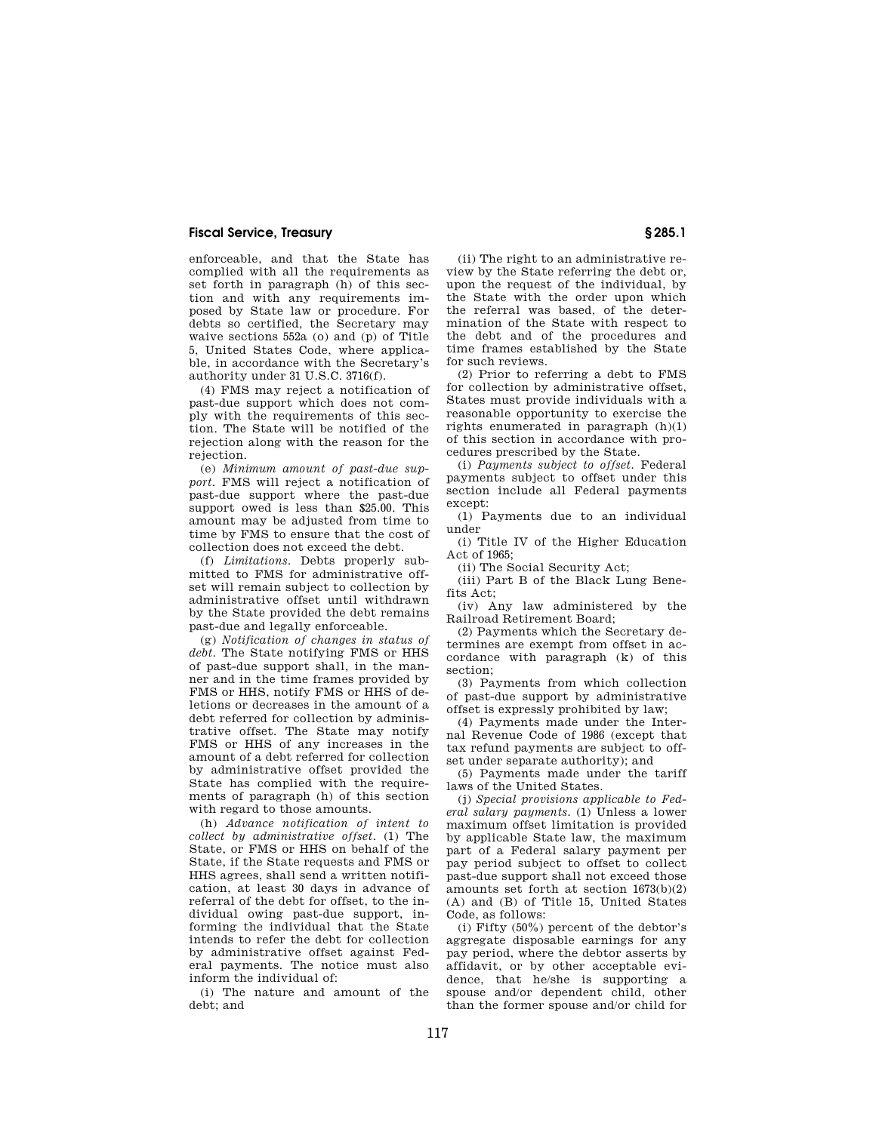enforceable, and that the State has complied with all the requirements as set forth in paragraph (h) of this section and with any requirements imposed by State law or procedure. For debts so certified, the Secretary may waive sections 552a (o) and (p) of Title 5, United States Code, where applicable, in accordance with the Secretary's authority under 31 U.S.C. 3716(f).

(4) FMS may reject a notification of past-due support which does not comply with the requirements of this section. The State will be notified of the rejection along with the reason for the rejection.

(e) *Minimum amount of past-due support.* FMS will reject a notification of past-due support where the past-due support owed is less than \$25.00. This amount may be adjusted from time to time by FMS to ensure that the cost of collection does not exceed the debt.

(f) *Limitations.* Debts properly submitted to FMS for administrative offset will remain subject to collection by administrative offset until withdrawn by the State provided the debt remains past-due and legally enforceable.

(g) *Notification of changes in status of debt.* The State notifying FMS or HHS of past-due support shall, in the manner and in the time frames provided by FMS or HHS, notify FMS or HHS of deletions or decreases in the amount of a debt referred for collection by administrative offset. The State may notify FMS or HHS of any increases in the amount of a debt referred for collection by administrative offset provided the State has complied with the requirements of paragraph (h) of this section with regard to those amounts.

(h) *Advance notification of intent to collect by administrative offset.* (1) The State, or FMS or HHS on behalf of the State, if the State requests and FMS or HHS agrees, shall send a written notification, at least 30 days in advance of referral of the debt for offset, to the individual owing past-due support, informing the individual that the State intends to refer the debt for collection by administrative offset against Federal payments. The notice must also inform the individual of:

(i) The nature and amount of the debt; and

(ii) The right to an administrative review by the State referring the debt or, upon the request of the individual, by the State with the order upon which the referral was based, of the determination of the State with respect to the debt and of the procedures and time frames established by the State for such reviews.

(2) Prior to referring a debt to FMS for collection by administrative offset, States must provide individuals with a reasonable opportunity to exercise the rights enumerated in paragraph (h)(1) of this section in accordance with procedures prescribed by the State.

(i) *Payments subject to offset.* Federal payments subject to offset under this section include all Federal payments except:

(1) Payments due to an individual under

(i) Title IV of the Higher Education Act of 1965;

(ii) The Social Security Act;

(iii) Part B of the Black Lung Benefits Act;

(iv) Any law administered by the Railroad Retirement Board;

(2) Payments which the Secretary determines are exempt from offset in accordance with paragraph (k) of this section;

(3) Payments from which collection of past-due support by administrative offset is expressly prohibited by law;

(4) Payments made under the Internal Revenue Code of 1986 (except that tax refund payments are subject to offset under separate authority); and

(5) Payments made under the tariff laws of the United States.

(j) *Special provisions applicable to Federal salary payments.* (1) Unless a lower maximum offset limitation is provided by applicable State law, the maximum part of a Federal salary payment per pay period subject to offset to collect past-due support shall not exceed those amounts set forth at section 1673(b)(2) (A) and (B) of Title 15, United States Code, as follows:

(i) Fifty (50%) percent of the debtor's aggregate disposable earnings for any pay period, where the debtor asserts by affidavit, or by other acceptable evidence, that he/she is supporting a spouse and/or dependent child, other than the former spouse and/or child for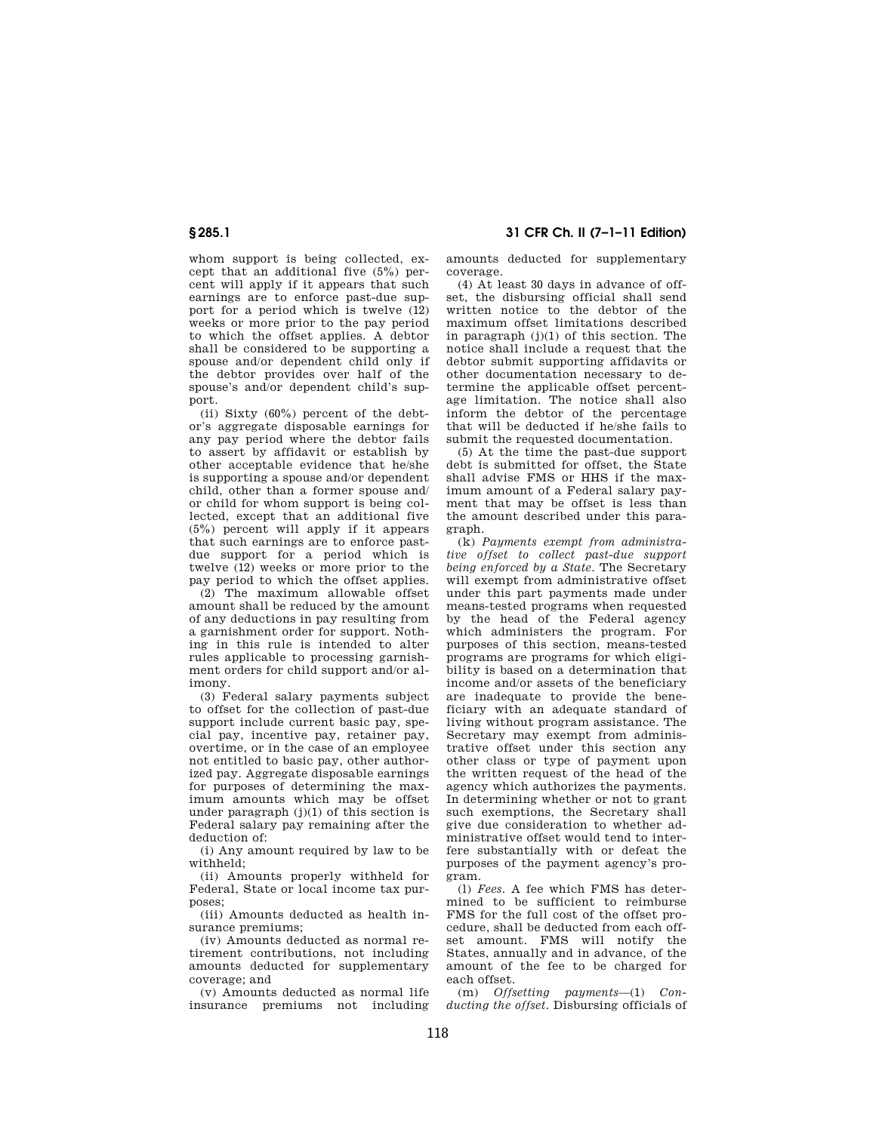# **§ 285.1 31 CFR Ch. II (7–1–11 Edition)**

whom support is being collected, except that an additional five (5%) percent will apply if it appears that such earnings are to enforce past-due support for a period which is twelve (12) weeks or more prior to the pay period to which the offset applies. A debtor shall be considered to be supporting a spouse and/or dependent child only if the debtor provides over half of the spouse's and/or dependent child's support.

(ii) Sixty  $(60\%)$  percent of the debtor's aggregate disposable earnings for any pay period where the debtor fails to assert by affidavit or establish by other acceptable evidence that he/she is supporting a spouse and/or dependent child, other than a former spouse and/ or child for whom support is being collected, except that an additional five (5%) percent will apply if it appears that such earnings are to enforce pastdue support for a period which is twelve (12) weeks or more prior to the pay period to which the offset applies.

(2) The maximum allowable offset amount shall be reduced by the amount of any deductions in pay resulting from a garnishment order for support. Nothing in this rule is intended to alter rules applicable to processing garnishment orders for child support and/or alimony.

(3) Federal salary payments subject to offset for the collection of past-due support include current basic pay, special pay, incentive pay, retainer pay, overtime, or in the case of an employee not entitled to basic pay, other authorized pay. Aggregate disposable earnings for purposes of determining the maximum amounts which may be offset under paragraph  $(j)(1)$  of this section is Federal salary pay remaining after the deduction of:

(i) Any amount required by law to be withheld;

(ii) Amounts properly withheld for Federal, State or local income tax purposes;

(iii) Amounts deducted as health insurance premiums;

(iv) Amounts deducted as normal retirement contributions, not including amounts deducted for supplementary coverage; and

(v) Amounts deducted as normal life insurance premiums not including amounts deducted for supplementary coverage.

(4) At least 30 days in advance of offset, the disbursing official shall send written notice to the debtor of the maximum offset limitations described in paragraph  $(j)(1)$  of this section. The notice shall include a request that the debtor submit supporting affidavits or other documentation necessary to determine the applicable offset percentage limitation. The notice shall also inform the debtor of the percentage that will be deducted if he/she fails to submit the requested documentation.

(5) At the time the past-due support debt is submitted for offset, the State shall advise FMS or HHS if the maximum amount of a Federal salary payment that may be offset is less than the amount described under this paragraph.

(k) *Payments exempt from administrative offset to collect past-due support being enforced by a State.* The Secretary will exempt from administrative offset under this part payments made under means-tested programs when requested by the head of the Federal agency which administers the program. For purposes of this section, means-tested programs are programs for which eligibility is based on a determination that income and/or assets of the beneficiary are inadequate to provide the beneficiary with an adequate standard of living without program assistance. The Secretary may exempt from administrative offset under this section any other class or type of payment upon the written request of the head of the agency which authorizes the payments. In determining whether or not to grant such exemptions, the Secretary shall give due consideration to whether administrative offset would tend to interfere substantially with or defeat the purposes of the payment agency's program.

(l) *Fees.* A fee which FMS has determined to be sufficient to reimburse FMS for the full cost of the offset procedure, shall be deducted from each offset amount. FMS will notify the States, annually and in advance, of the amount of the fee to be charged for each offset.

(m) *Offsetting payments*—(1) *Conducting the offset.* Disbursing officials of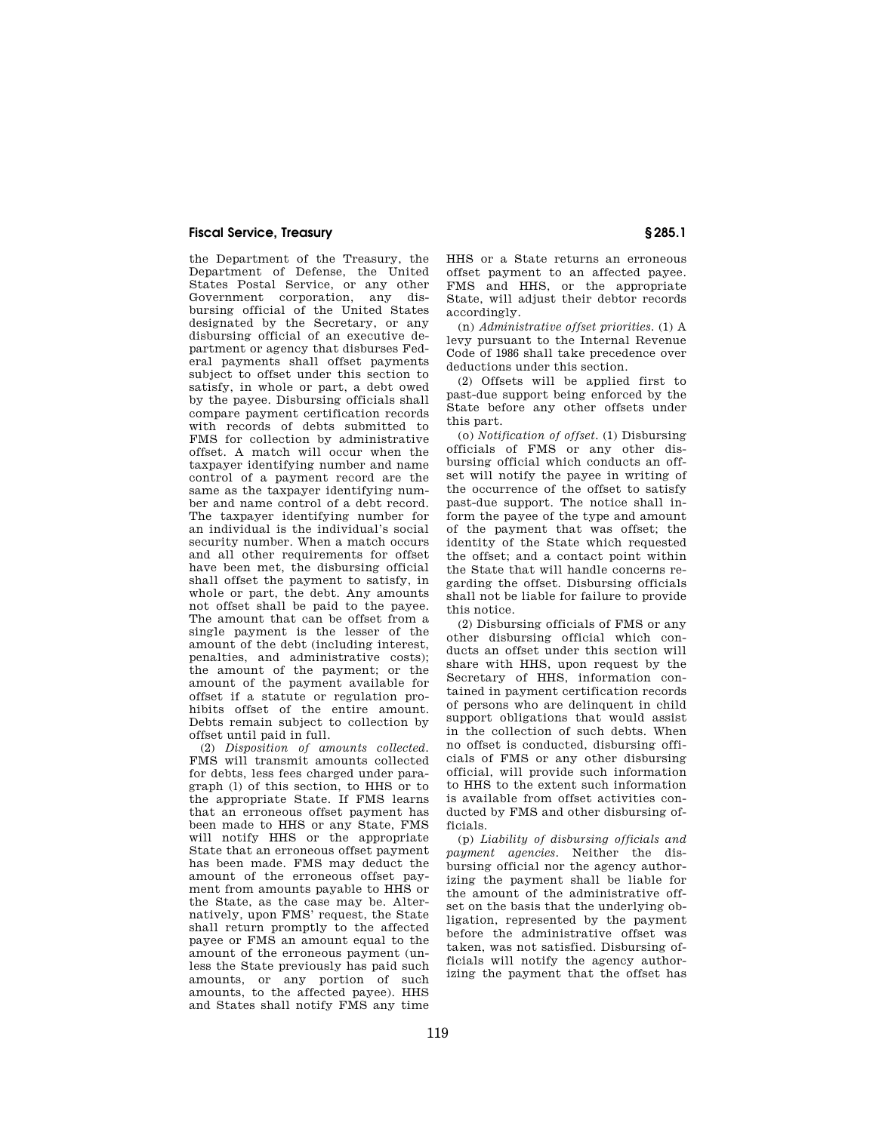the Department of the Treasury, the Department of Defense, the United States Postal Service, or any other<br>Government corporation any dis-Government corporation, any bursing official of the United States designated by the Secretary, or any disbursing official of an executive department or agency that disburses Federal payments shall offset payments subject to offset under this section to satisfy, in whole or part, a debt owed by the payee. Disbursing officials shall compare payment certification records with records of debts submitted to FMS for collection by administrative offset. A match will occur when the taxpayer identifying number and name control of a payment record are the same as the taxpayer identifying number and name control of a debt record. The taxpayer identifying number for an individual is the individual's social security number. When a match occurs and all other requirements for offset have been met, the disbursing official shall offset the payment to satisfy, in whole or part, the debt. Any amounts not offset shall be paid to the payee. The amount that can be offset from a single payment is the lesser of the amount of the debt (including interest, penalties, and administrative costs); the amount of the payment; or the amount of the payment available for offset if a statute or regulation prohibits offset of the entire amount. Debts remain subject to collection by offset until paid in full.

(2) *Disposition of amounts collected.*  FMS will transmit amounts collected for debts, less fees charged under paragraph (l) of this section, to HHS or to the appropriate State. If FMS learns that an erroneous offset payment has been made to HHS or any State, FMS will notify HHS or the appropriate State that an erroneous offset payment has been made. FMS may deduct the amount of the erroneous offset payment from amounts payable to HHS or the State, as the case may be. Alternatively, upon FMS' request, the State shall return promptly to the affected payee or FMS an amount equal to the amount of the erroneous payment (unless the State previously has paid such amounts, or any portion of such amounts, to the affected payee). HHS and States shall notify FMS any time

HHS or a State returns an erroneous offset payment to an affected payee. FMS and HHS, or the appropriate State, will adjust their debtor records accordingly.

(n) *Administrative offset priorities.* (1) A levy pursuant to the Internal Revenue Code of 1986 shall take precedence over deductions under this section.

(2) Offsets will be applied first to past-due support being enforced by the State before any other offsets under this part.

(o) *Notification of offset.* (1) Disbursing officials of FMS or any other disbursing official which conducts an offset will notify the payee in writing of the occurrence of the offset to satisfy past-due support. The notice shall inform the payee of the type and amount of the payment that was offset; the identity of the State which requested the offset; and a contact point within the State that will handle concerns regarding the offset. Disbursing officials shall not be liable for failure to provide this notice.

(2) Disbursing officials of FMS or any other disbursing official which conducts an offset under this section will share with HHS, upon request by the Secretary of HHS, information contained in payment certification records of persons who are delinquent in child support obligations that would assist in the collection of such debts. When no offset is conducted, disbursing officials of FMS or any other disbursing official, will provide such information to HHS to the extent such information is available from offset activities conducted by FMS and other disbursing officials.

(p) *Liability of disbursing officials and payment agencies.* Neither the disbursing official nor the agency authorizing the payment shall be liable for the amount of the administrative offset on the basis that the underlying obligation, represented by the payment before the administrative offset was taken, was not satisfied. Disbursing officials will notify the agency authorizing the payment that the offset has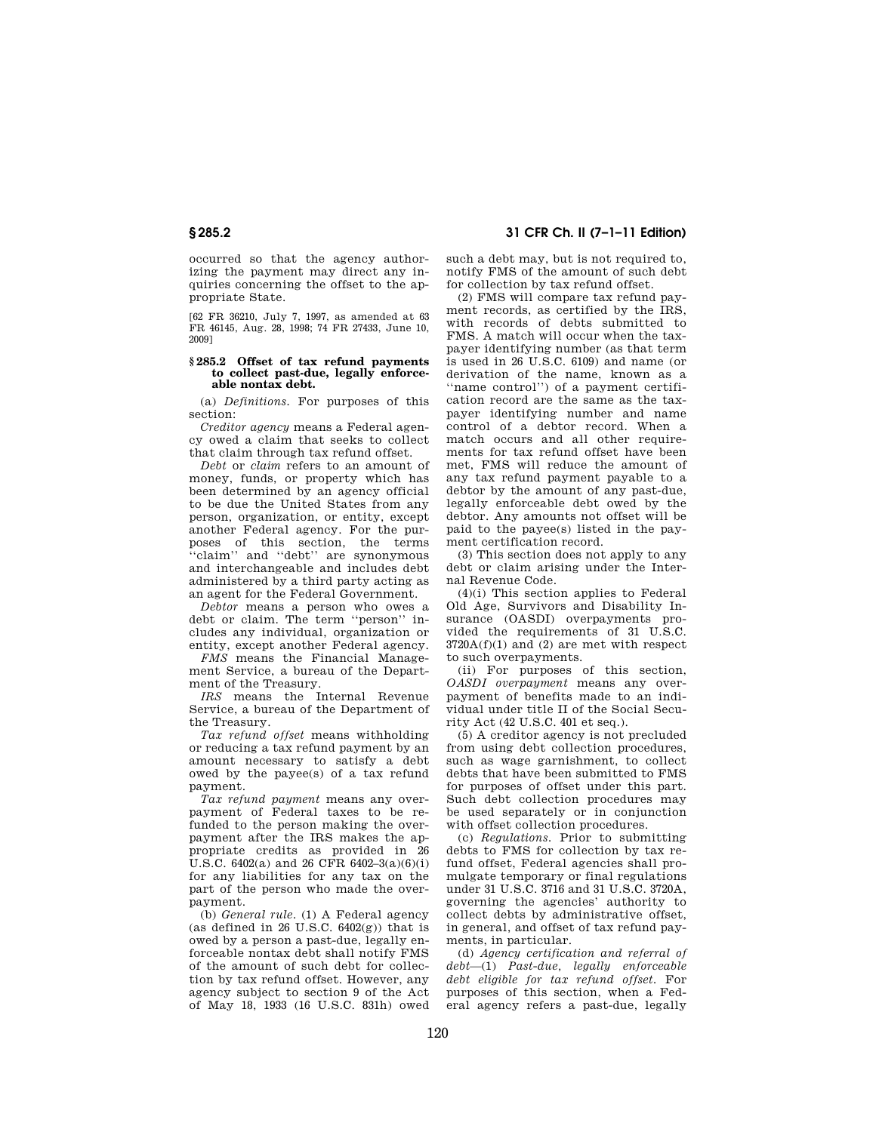occurred so that the agency authorizing the payment may direct any inquiries concerning the offset to the appropriate State.

[62 FR 36210, July 7, 1997, as amended at 63 FR 46145, Aug. 28, 1998; 74 FR 27433, June 10, 2009]

#### **§ 285.2 Offset of tax refund payments to collect past-due, legally enforceable nontax debt.**

(a) *Definitions.* For purposes of this section:

*Creditor agency* means a Federal agency owed a claim that seeks to collect that claim through tax refund offset.

*Debt* or *claim* refers to an amount of money, funds, or property which has been determined by an agency official to be due the United States from any person, organization, or entity, except another Federal agency. For the purposes of this section, the terms ''claim'' and ''debt'' are synonymous and interchangeable and includes debt administered by a third party acting as an agent for the Federal Government.

*Debtor* means a person who owes a debt or claim. The term ''person'' includes any individual, organization or entity, except another Federal agency.

*FMS* means the Financial Management Service, a bureau of the Department of the Treasury.

*IRS* means the Internal Revenue Service, a bureau of the Department of the Treasury.

*Tax refund offset* means withholding or reducing a tax refund payment by an amount necessary to satisfy a debt owed by the payee(s) of a tax refund payment.

*Tax refund payment* means any overpayment of Federal taxes to be refunded to the person making the overpayment after the IRS makes the appropriate credits as provided in 26 U.S.C.  $6402(a)$  and 26 CFR  $6402-3(a)(6)(i)$ for any liabilities for any tax on the part of the person who made the overpayment.

(b) *General rule.* (1) A Federal agency (as defined in 26 U.S.C.  $6402(g)$ ) that is owed by a person a past-due, legally enforceable nontax debt shall notify FMS of the amount of such debt for collection by tax refund offset. However, any agency subject to section 9 of the Act of May 18, 1933 (16 U.S.C. 831h) owed

**§ 285.2 31 CFR Ch. II (7–1–11 Edition)** 

such a debt may, but is not required to. notify FMS of the amount of such debt for collection by tax refund offset.

(2) FMS will compare tax refund payment records, as certified by the IRS, with records of debts submitted to FMS. A match will occur when the taxpayer identifying number (as that term is used in 26 U.S.C. 6109) and name (or derivation of the name, known as a ''name control'') of a payment certification record are the same as the taxpayer identifying number and name control of a debtor record. When a match occurs and all other requirements for tax refund offset have been met, FMS will reduce the amount of any tax refund payment payable to a debtor by the amount of any past-due, legally enforceable debt owed by the debtor. Any amounts not offset will be paid to the payee(s) listed in the payment certification record.

(3) This section does not apply to any debt or claim arising under the Internal Revenue Code.

(4)(i) This section applies to Federal Old Age, Survivors and Disability Insurance (OASDI) overpayments provided the requirements of 31 U.S.C.  $3720A(f)(1)$  and  $(2)$  are met with respect to such overpayments.

(ii) For purposes of this section, *OASDI overpayment* means any overpayment of benefits made to an individual under title II of the Social Security Act (42 U.S.C. 401 et seq.).

(5) A creditor agency is not precluded from using debt collection procedures, such as wage garnishment, to collect debts that have been submitted to FMS for purposes of offset under this part. Such debt collection procedures may be used separately or in conjunction with offset collection procedures.

(c) *Regulations.* Prior to submitting debts to FMS for collection by tax refund offset, Federal agencies shall promulgate temporary or final regulations under 31 U.S.C. 3716 and 31 U.S.C. 3720A, governing the agencies' authority to collect debts by administrative offset, in general, and offset of tax refund payments, in particular.

(d) *Agency certification and referral of debt*—(1) *Past-due, legally enforceable debt eligible for tax refund offset.* For purposes of this section, when a Federal agency refers a past-due, legally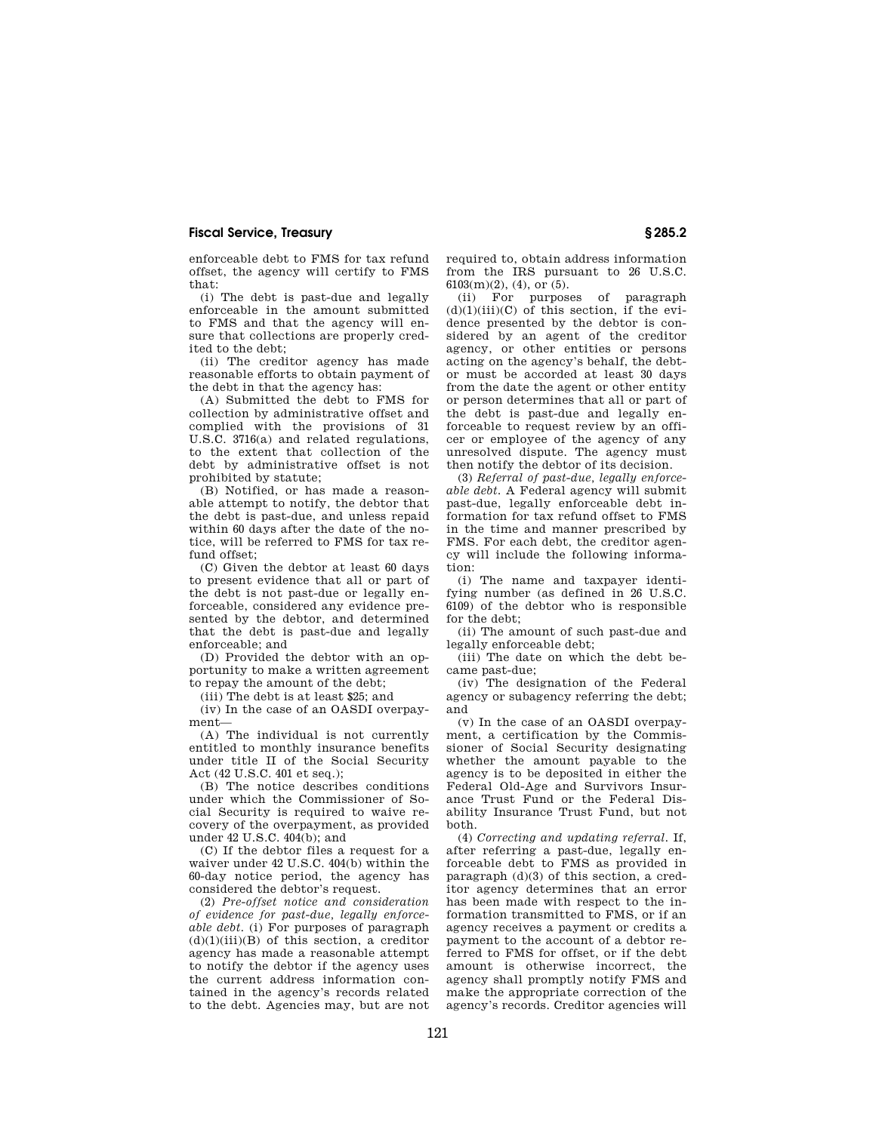enforceable debt to FMS for tax refund offset, the agency will certify to FMS that:

(i) The debt is past-due and legally enforceable in the amount submitted to FMS and that the agency will ensure that collections are properly credited to the debt;

(ii) The creditor agency has made reasonable efforts to obtain payment of the debt in that the agency has:

(A) Submitted the debt to FMS for collection by administrative offset and complied with the provisions of 31 U.S.C. 3716(a) and related regulations, to the extent that collection of the debt by administrative offset is not prohibited by statute;

(B) Notified, or has made a reasonable attempt to notify, the debtor that the debt is past-due, and unless repaid within 60 days after the date of the notice, will be referred to FMS for tax refund offset<sup>.</sup>

(C) Given the debtor at least 60 days to present evidence that all or part of the debt is not past-due or legally enforceable, considered any evidence presented by the debtor, and determined that the debt is past-due and legally enforceable; and

(D) Provided the debtor with an opportunity to make a written agreement to repay the amount of the debt;

(iii) The debt is at least \$25; and

(iv) In the case of an OASDI overpayment—

(A) The individual is not currently entitled to monthly insurance benefits under title II of the Social Security Act (42 U.S.C. 401 et seq.);

(B) The notice describes conditions under which the Commissioner of Social Security is required to waive recovery of the overpayment, as provided under 42 U.S.C. 404(b); and

(C) If the debtor files a request for a waiver under 42 U.S.C. 404(b) within the 60-day notice period, the agency has considered the debtor's request.

(2) *Pre-offset notice and consideration of evidence for past-due, legally enforceable debt.* (i) For purposes of paragraph  $(d)(1)(iii)(B)$  of this section, a creditor agency has made a reasonable attempt to notify the debtor if the agency uses the current address information contained in the agency's records related to the debt. Agencies may, but are not

required to, obtain address information from the IRS pursuant to 26 U.S.C.  $6103(m)(2)$ ,  $(4)$ , or  $(5)$ .

(ii) For purposes of paragraph  $(d)(1)(iii)(C)$  of this section, if the evidence presented by the debtor is considered by an agent of the creditor agency, or other entities or persons acting on the agency's behalf, the debtor must be accorded at least 30 days from the date the agent or other entity or person determines that all or part of the debt is past-due and legally enforceable to request review by an officer or employee of the agency of any unresolved dispute. The agency must then notify the debtor of its decision.

(3) *Referral of past-due, legally enforceable debt.* A Federal agency will submit past-due, legally enforceable debt information for tax refund offset to FMS in the time and manner prescribed by FMS. For each debt, the creditor agency will include the following information:

(i) The name and taxpayer identifying number (as defined in 26 U.S.C. 6109) of the debtor who is responsible for the debt;

(ii) The amount of such past-due and legally enforceable debt;

(iii) The date on which the debt became past-due;

(iv) The designation of the Federal agency or subagency referring the debt; and

(v) In the case of an OASDI overpayment, a certification by the Commissioner of Social Security designating whether the amount payable to the agency is to be deposited in either the Federal Old-Age and Survivors Insurance Trust Fund or the Federal Disability Insurance Trust Fund, but not both.

(4) *Correcting and updating referral.* If, after referring a past-due, legally enforceable debt to FMS as provided in paragraph (d)(3) of this section, a creditor agency determines that an error has been made with respect to the information transmitted to FMS, or if an agency receives a payment or credits a payment to the account of a debtor referred to FMS for offset, or if the debt amount is otherwise incorrect, the agency shall promptly notify FMS and make the appropriate correction of the agency's records. Creditor agencies will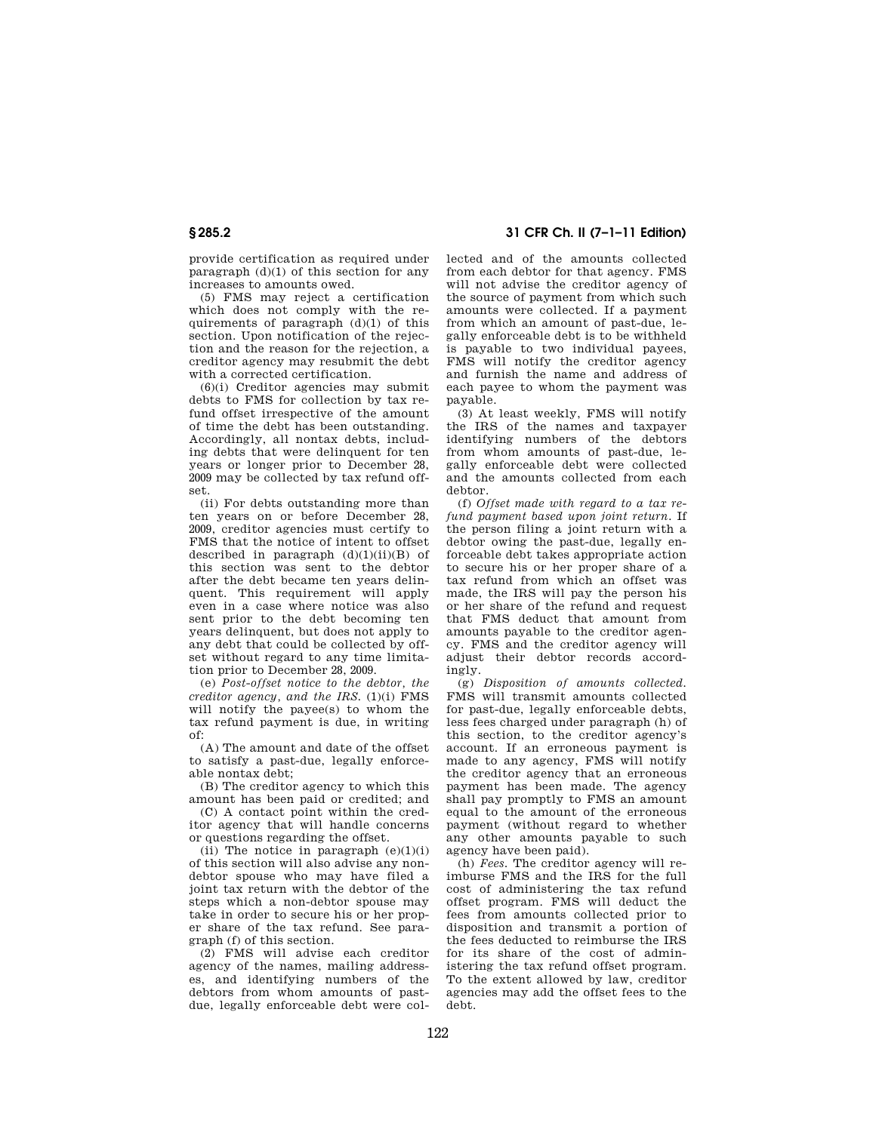provide certification as required under paragraph (d)(1) of this section for any increases to amounts owed.

(5) FMS may reject a certification which does not comply with the requirements of paragraph (d)(1) of this section. Upon notification of the rejection and the reason for the rejection, a creditor agency may resubmit the debt with a corrected certification.

(6)(i) Creditor agencies may submit debts to FMS for collection by tax refund offset irrespective of the amount of time the debt has been outstanding. Accordingly, all nontax debts, including debts that were delinquent for ten years or longer prior to December 28, 2009 may be collected by tax refund offset.

(ii) For debts outstanding more than ten years on or before December 28, 2009, creditor agencies must certify to FMS that the notice of intent to offset described in paragraph  $(d)(1)(ii)(B)$  of this section was sent to the debtor after the debt became ten years delinquent. This requirement will apply even in a case where notice was also sent prior to the debt becoming ten years delinquent, but does not apply to any debt that could be collected by offset without regard to any time limitation prior to December 28, 2009.

(e) *Post-offset notice to the debtor, the creditor agency, and the IRS.* (1)(i) FMS will notify the payee(s) to whom the tax refund payment is due, in writing of:

(A) The amount and date of the offset to satisfy a past-due, legally enforceable nontax debt;

(B) The creditor agency to which this amount has been paid or credited; and

(C) A contact point within the creditor agency that will handle concerns or questions regarding the offset.

(ii) The notice in paragraph  $(e)(1)(i)$ of this section will also advise any nondebtor spouse who may have filed a joint tax return with the debtor of the steps which a non-debtor spouse may take in order to secure his or her proper share of the tax refund. See paragraph (f) of this section.

(2) FMS will advise each creditor agency of the names, mailing addresses, and identifying numbers of the debtors from whom amounts of pastdue, legally enforceable debt were col-

**§ 285.2 31 CFR Ch. II (7–1–11 Edition)** 

lected and of the amounts collected from each debtor for that agency. FMS will not advise the creditor agency of the source of payment from which such amounts were collected. If a payment from which an amount of past-due, legally enforceable debt is to be withheld is payable to two individual payees, FMS will notify the creditor agency and furnish the name and address of each payee to whom the payment was payable.

(3) At least weekly, FMS will notify the IRS of the names and taxpayer identifying numbers of the debtors from whom amounts of past-due, legally enforceable debt were collected and the amounts collected from each debtor.

(f) *Offset made with regard to a tax refund payment based upon joint return.* If the person filing a joint return with a debtor owing the past-due, legally enforceable debt takes appropriate action to secure his or her proper share of a tax refund from which an offset was made, the IRS will pay the person his or her share of the refund and request that FMS deduct that amount from amounts payable to the creditor agency. FMS and the creditor agency will adjust their debtor records accordingly.

(g) *Disposition of amounts collected.*  FMS will transmit amounts collected for past-due, legally enforceable debts, less fees charged under paragraph (h) of this section, to the creditor agency's account. If an erroneous payment is made to any agency, FMS will notify the creditor agency that an erroneous payment has been made. The agency shall pay promptly to FMS an amount equal to the amount of the erroneous payment (without regard to whether any other amounts payable to such agency have been paid).

(h) *Fees.* The creditor agency will reimburse FMS and the IRS for the full cost of administering the tax refund offset program. FMS will deduct the fees from amounts collected prior to disposition and transmit a portion of the fees deducted to reimburse the IRS for its share of the cost of administering the tax refund offset program. To the extent allowed by law, creditor agencies may add the offset fees to the debt.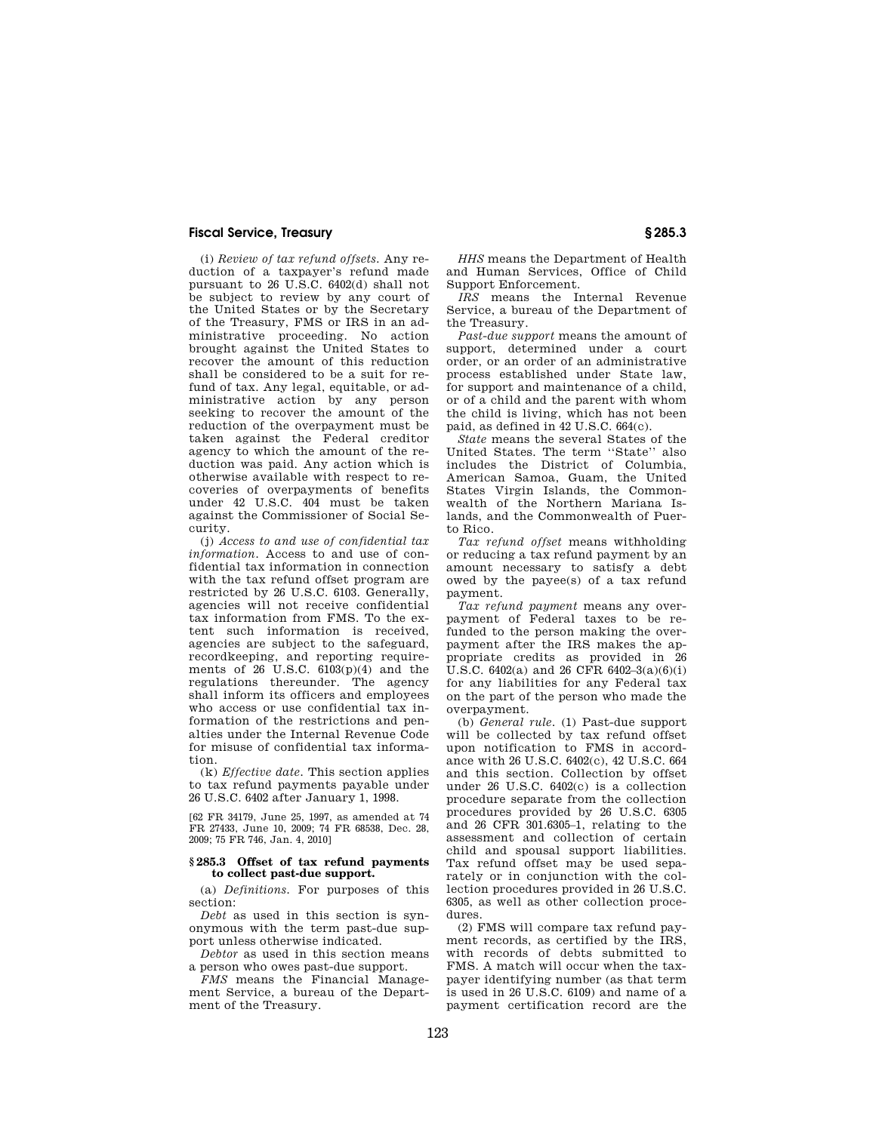(i) *Review of tax refund offsets.* Any reduction of a taxpayer's refund made pursuant to 26 U.S.C. 6402(d) shall not be subject to review by any court of the United States or by the Secretary of the Treasury, FMS or IRS in an administrative proceeding. No action brought against the United States to recover the amount of this reduction shall be considered to be a suit for refund of tax. Any legal, equitable, or administrative action by any person seeking to recover the amount of the reduction of the overpayment must be taken against the Federal creditor agency to which the amount of the reduction was paid. Any action which is otherwise available with respect to recoveries of overpayments of benefits under 42 U.S.C. 404 must be taken against the Commissioner of Social Security.

(j) *Access to and use of confidential tax information.* Access to and use of confidential tax information in connection with the tax refund offset program are restricted by 26 U.S.C. 6103. Generally, agencies will not receive confidential tax information from FMS. To the extent such information is received, agencies are subject to the safeguard, recordkeeping, and reporting requirements of  $26$  U.S.C.  $6103(p)(4)$  and the regulations thereunder. The agency shall inform its officers and employees who access or use confidential tax information of the restrictions and penalties under the Internal Revenue Code for misuse of confidential tax information.

(k) *Effective date.* This section applies to tax refund payments payable under 26 U.S.C. 6402 after January 1, 1998.

[62 FR 34179, June 25, 1997, as amended at 74 FR 27433, June 10, 2009; 74 FR 68538, Dec. 28, 2009; 75 FR 746, Jan. 4, 2010]

#### **§ 285.3 Offset of tax refund payments to collect past-due support.**

(a) *Definitions.* For purposes of this section:

*Debt* as used in this section is synonymous with the term past-due support unless otherwise indicated.

*Debtor* as used in this section means a person who owes past-due support.

*FMS* means the Financial Management Service, a bureau of the Department of the Treasury.

*HHS* means the Department of Health and Human Services, Office of Child Support Enforcement.

*IRS* means the Internal Revenue Service, a bureau of the Department of the Treasury.

*Past-due support* means the amount of support, determined under a court order, or an order of an administrative process established under State law, for support and maintenance of a child, or of a child and the parent with whom the child is living, which has not been paid, as defined in 42 U.S.C. 664(c).

*State* means the several States of the United States. The term ''State'' also includes the District of Columbia, American Samoa, Guam, the United States Virgin Islands, the Commonwealth of the Northern Mariana Islands, and the Commonwealth of Puerto Rico.

*Tax refund offset* means withholding or reducing a tax refund payment by an amount necessary to satisfy a debt owed by the payee(s) of a tax refund payment.

*Tax refund payment* means any overpayment of Federal taxes to be refunded to the person making the overpayment after the IRS makes the appropriate credits as provided in 26 U.S.C. 6402(a) and 26 CFR 6402-3(a)(6)(i) for any liabilities for any Federal tax on the part of the person who made the overpayment.

(b) *General rule.* (1) Past-due support will be collected by tax refund offset upon notification to FMS in accordance with 26 U.S.C. 6402(c), 42 U.S.C. 664 and this section. Collection by offset under 26 U.S.C. 6402(c) is a collection procedure separate from the collection procedures provided by 26 U.S.C. 6305 and 26 CFR 301.6305–1, relating to the assessment and collection of certain child and spousal support liabilities. Tax refund offset may be used separately or in conjunction with the collection procedures provided in 26 U.S.C. 6305, as well as other collection procedures.

(2) FMS will compare tax refund payment records, as certified by the IRS, with records of debts submitted to FMS. A match will occur when the taxpayer identifying number (as that term is used in 26 U.S.C. 6109) and name of a payment certification record are the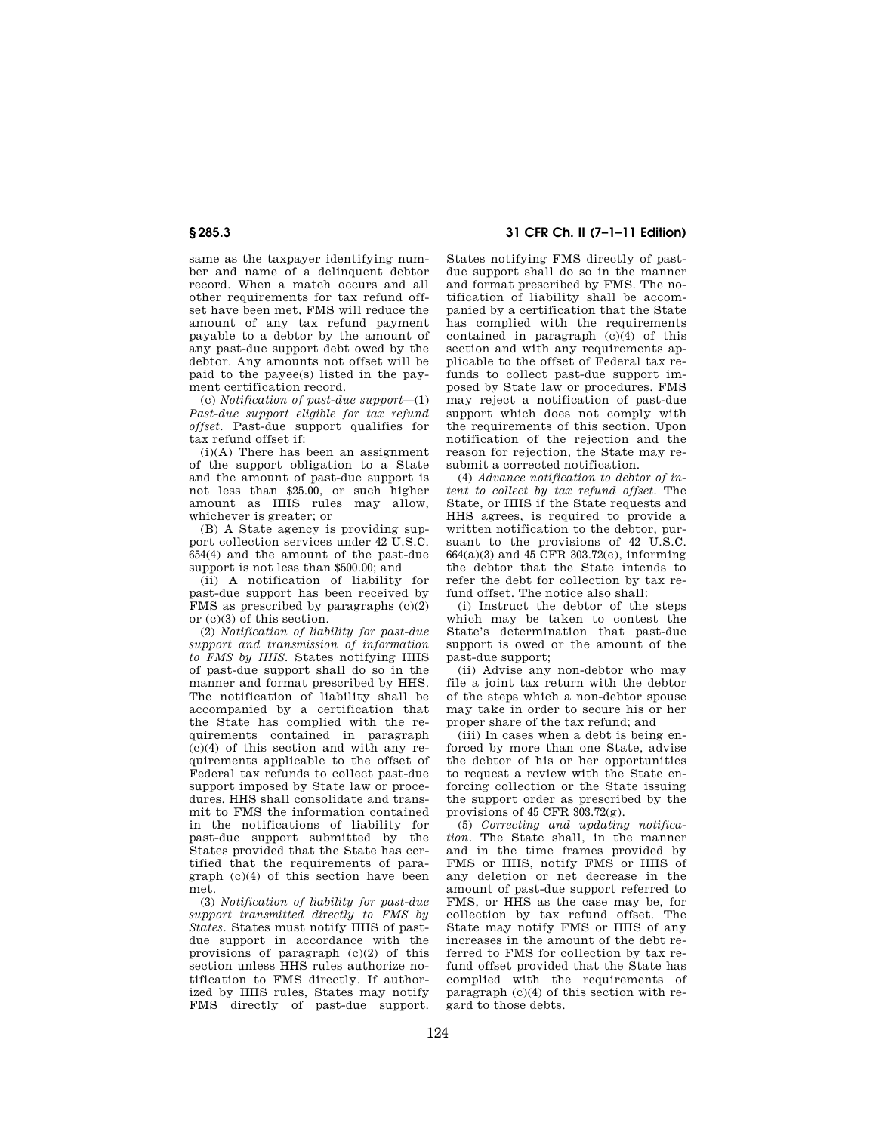same as the taxpayer identifying number and name of a delinquent debtor record. When a match occurs and all other requirements for tax refund offset have been met, FMS will reduce the amount of any tax refund payment payable to a debtor by the amount of any past-due support debt owed by the debtor. Any amounts not offset will be paid to the payee(s) listed in the payment certification record.

(c) *Notification of past-due support*—(1) *Past-due support eligible for tax refund offset.* Past-due support qualifies for tax refund offset if:

 $(i)(A)$  There has been an assignment of the support obligation to a State and the amount of past-due support is not less than \$25.00, or such higher amount as HHS rules may allow, whichever is greater; or

(B) A State agency is providing support collection services under 42 U.S.C. 654(4) and the amount of the past-due support is not less than \$500.00; and

(ii) A notification of liability for past-due support has been received by FMS as prescribed by paragraphs  $(c)(2)$ or (c)(3) of this section.

(2) *Notification of liability for past-due support and transmission of information to FMS by HHS.* States notifying HHS of past-due support shall do so in the manner and format prescribed by HHS. The notification of liability shall be accompanied by a certification that the State has complied with the requirements contained in paragraph  $(c)(4)$  of this section and with any requirements applicable to the offset of Federal tax refunds to collect past-due support imposed by State law or procedures. HHS shall consolidate and transmit to FMS the information contained in the notifications of liability for past-due support submitted by the States provided that the State has certified that the requirements of paragraph (c)(4) of this section have been met.

(3) *Notification of liability for past-due support transmitted directly to FMS by States.* States must notify HHS of pastdue support in accordance with the provisions of paragraph (c)(2) of this section unless HHS rules authorize notification to FMS directly. If authorized by HHS rules, States may notify FMS directly of past-due support.

**§ 285.3 31 CFR Ch. II (7–1–11 Edition)** 

States notifying FMS directly of pastdue support shall do so in the manner and format prescribed by FMS. The notification of liability shall be accompanied by a certification that the State has complied with the requirements contained in paragraph (c)(4) of this section and with any requirements applicable to the offset of Federal tax refunds to collect past-due support imposed by State law or procedures. FMS may reject a notification of past-due support which does not comply with the requirements of this section. Upon notification of the rejection and the reason for rejection, the State may resubmit a corrected notification.

(4) *Advance notification to debtor of intent to collect by tax refund offset.* The State, or HHS if the State requests and HHS agrees, is required to provide a written notification to the debtor, pursuant to the provisions of 42 U.S.C. 664(a)(3) and 45 CFR 303.72(e), informing the debtor that the State intends to refer the debt for collection by tax refund offset. The notice also shall:

(i) Instruct the debtor of the steps which may be taken to contest the State's determination that past-due support is owed or the amount of the past-due support;

(ii) Advise any non-debtor who may file a joint tax return with the debtor of the steps which a non-debtor spouse may take in order to secure his or her proper share of the tax refund; and

(iii) In cases when a debt is being enforced by more than one State, advise the debtor of his or her opportunities to request a review with the State enforcing collection or the State issuing the support order as prescribed by the provisions of  $45$  CFR  $303.72(g)$ .

(5) *Correcting and updating notification.* The State shall, in the manner and in the time frames provided by FMS or HHS, notify FMS or HHS of any deletion or net decrease in the amount of past-due support referred to FMS, or HHS as the case may be, for collection by tax refund offset. The State may notify FMS or HHS of any increases in the amount of the debt referred to FMS for collection by tax refund offset provided that the State has complied with the requirements of paragraph (c)(4) of this section with regard to those debts.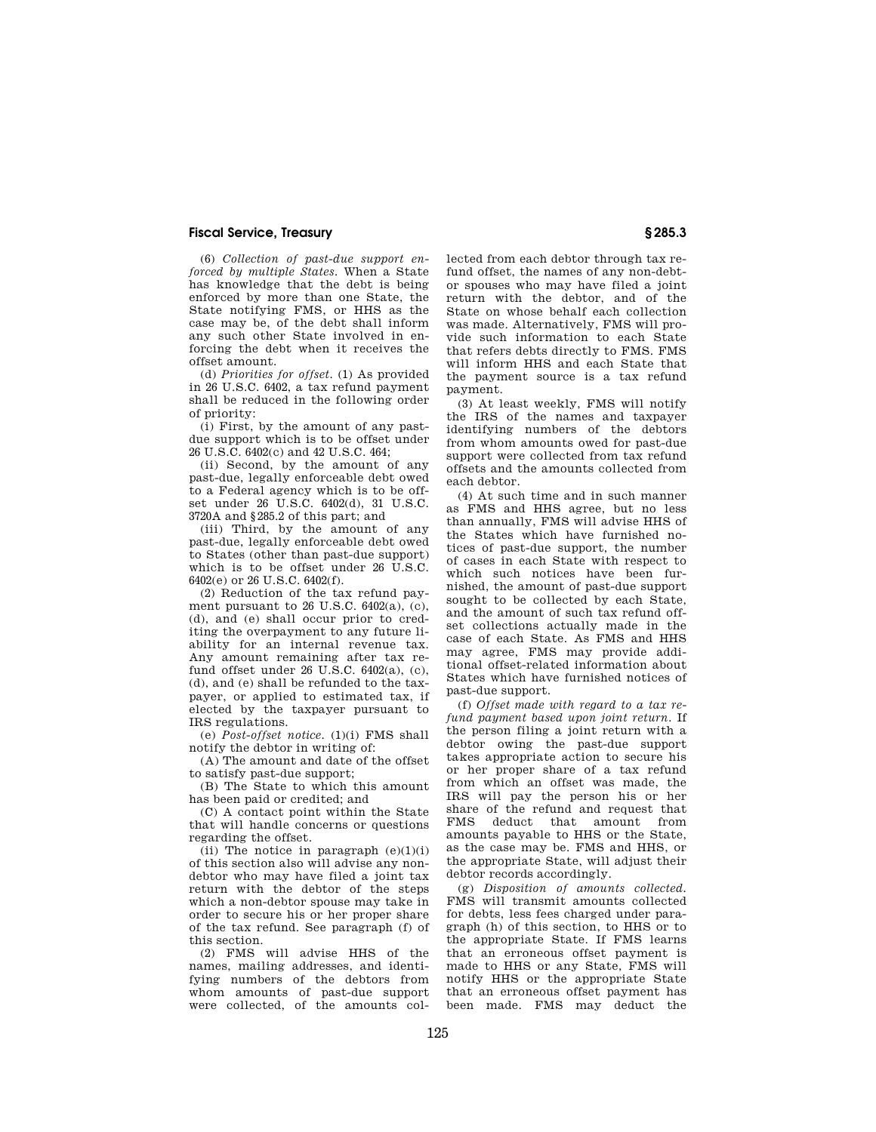(6) *Collection of past-due support enforced by multiple States.* When a State has knowledge that the debt is being enforced by more than one State, the State notifying FMS, or HHS as the case may be, of the debt shall inform any such other State involved in enforcing the debt when it receives the offset amount.

(d) *Priorities for offset.* (1) As provided in 26 U.S.C. 6402, a tax refund payment shall be reduced in the following order of priority:

(i) First, by the amount of any pastdue support which is to be offset under 26 U.S.C. 6402(c) and 42 U.S.C. 464;

(ii) Second, by the amount of any past-due, legally enforceable debt owed to a Federal agency which is to be offset under 26 U.S.C. 6402(d), 31 U.S.C. 3720A and §285.2 of this part; and

(iii) Third, by the amount of any past-due, legally enforceable debt owed to States (other than past-due support) which is to be offset under 26 U.S.C. 6402(e) or 26 U.S.C. 6402(f).

(2) Reduction of the tax refund payment pursuant to 26 U.S.C. 6402(a), (c), (d), and (e) shall occur prior to crediting the overpayment to any future liability for an internal revenue tax. Any amount remaining after tax refund offset under 26 U.S.C. 6402(a), (c), (d), and (e) shall be refunded to the taxpayer, or applied to estimated tax, if elected by the taxpayer pursuant to IRS regulations.

(e) *Post-offset notice.* (1)(i) FMS shall notify the debtor in writing of:

(A) The amount and date of the offset to satisfy past-due support;

(B) The State to which this amount has been paid or credited; and

(C) A contact point within the State that will handle concerns or questions regarding the offset.

(ii) The notice in paragraph  $(e)(1)(i)$ of this section also will advise any nondebtor who may have filed a joint tax return with the debtor of the steps which a non-debtor spouse may take in order to secure his or her proper share of the tax refund. See paragraph (f) of this section.

(2) FMS will advise HHS of the names, mailing addresses, and identifying numbers of the debtors from whom amounts of past-due support were collected, of the amounts collected from each debtor through tax refund offset, the names of any non-debtor spouses who may have filed a joint return with the debtor, and of the State on whose behalf each collection was made. Alternatively, FMS will provide such information to each State that refers debts directly to FMS. FMS will inform HHS and each State that the payment source is a tax refund payment.

(3) At least weekly, FMS will notify the IRS of the names and taxpayer identifying numbers of the debtors from whom amounts owed for past-due support were collected from tax refund offsets and the amounts collected from each debtor.

(4) At such time and in such manner as FMS and HHS agree, but no less than annually, FMS will advise HHS of the States which have furnished notices of past-due support, the number of cases in each State with respect to which such notices have been furnished, the amount of past-due support sought to be collected by each State, and the amount of such tax refund offset collections actually made in the case of each State. As FMS and HHS may agree, FMS may provide additional offset-related information about States which have furnished notices of past-due support.

(f) *Offset made with regard to a tax refund payment based upon joint return.* If the person filing a joint return with a debtor owing the past-due support takes appropriate action to secure his or her proper share of a tax refund from which an offset was made, the IRS will pay the person his or her share of the refund and request that FMS deduct that amount from amounts payable to HHS or the State, as the case may be. FMS and HHS, or the appropriate State, will adjust their debtor records accordingly.

(g) *Disposition of amounts collected.*  FMS will transmit amounts collected for debts, less fees charged under paragraph (h) of this section, to HHS or to the appropriate State. If FMS learns that an erroneous offset payment is made to HHS or any State, FMS will notify HHS or the appropriate State that an erroneous offset payment has been made. FMS may deduct the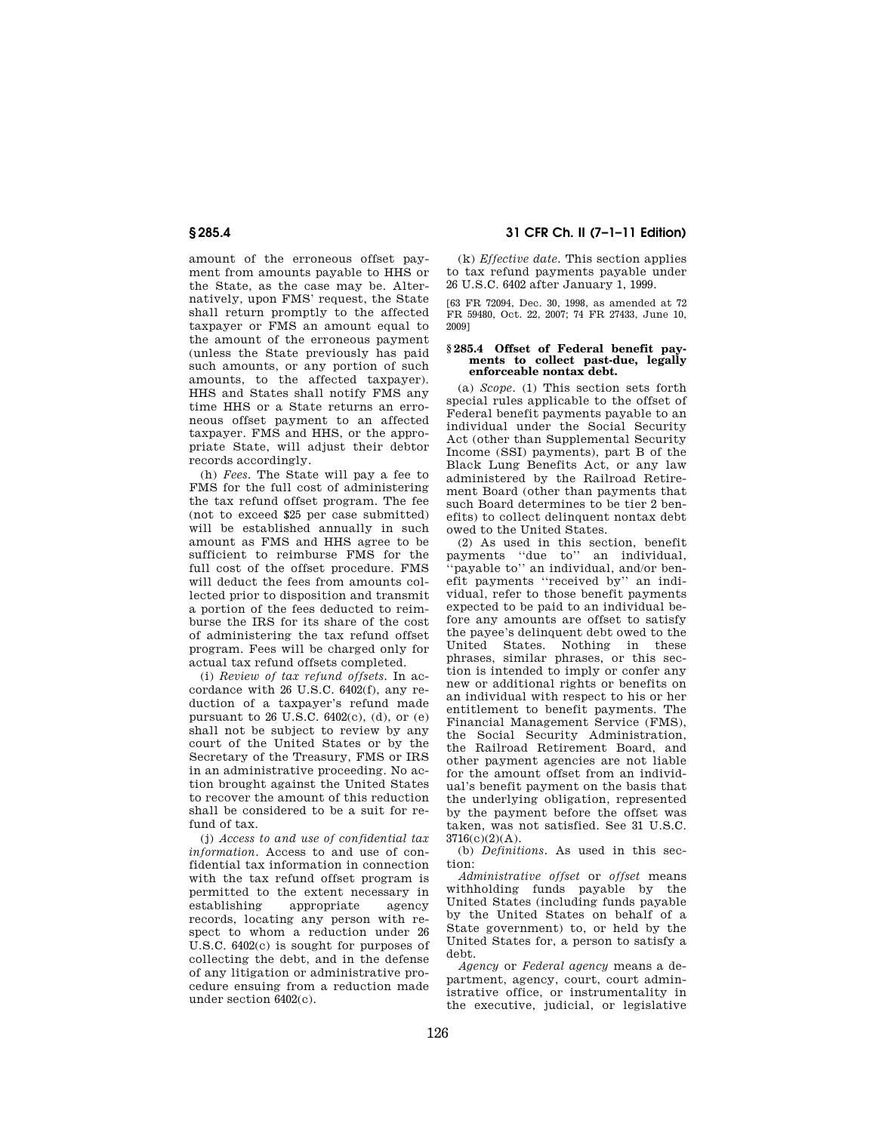# **§ 285.4 31 CFR Ch. II (7–1–11 Edition)**

amount of the erroneous offset payment from amounts payable to HHS or the State, as the case may be. Alternatively, upon FMS' request, the State shall return promptly to the affected taxpayer or FMS an amount equal to the amount of the erroneous payment (unless the State previously has paid such amounts, or any portion of such amounts, to the affected taxpayer). HHS and States shall notify FMS any time HHS or a State returns an erroneous offset payment to an affected taxpayer. FMS and HHS, or the appropriate State, will adjust their debtor records accordingly.

(h) *Fees.* The State will pay a fee to FMS for the full cost of administering the tax refund offset program. The fee (not to exceed \$25 per case submitted) will be established annually in such amount as FMS and HHS agree to be sufficient to reimburse FMS for the full cost of the offset procedure. FMS will deduct the fees from amounts collected prior to disposition and transmit a portion of the fees deducted to reimburse the IRS for its share of the cost of administering the tax refund offset program. Fees will be charged only for actual tax refund offsets completed.

(i) *Review of tax refund offsets.* In accordance with 26 U.S.C. 6402(f), any reduction of a taxpayer's refund made pursuant to 26 U.S.C. 6402(c), (d), or (e) shall not be subject to review by any court of the United States or by the Secretary of the Treasury, FMS or IRS in an administrative proceeding. No action brought against the United States to recover the amount of this reduction shall be considered to be a suit for refund of tax.

(j) *Access to and use of confidential tax information.* Access to and use of confidential tax information in connection with the tax refund offset program is permitted to the extent necessary in establishing appropriate agency records, locating any person with respect to whom a reduction under 26 U.S.C. 6402(c) is sought for purposes of collecting the debt, and in the defense of any litigation or administrative procedure ensuing from a reduction made under section 6402(c).

(k) *Effective date.* This section applies to tax refund payments payable under 26 U.S.C. 6402 after January 1, 1999.

[63 FR 72094, Dec. 30, 1998, as amended at 72 FR 59480, Oct. 22, 2007; 74 FR 27433, June 10, 2009]

#### **§ 285.4 Offset of Federal benefit payments to collect past-due, legally enforceable nontax debt.**

(a) *Scope.* (1) This section sets forth special rules applicable to the offset of Federal benefit payments payable to an individual under the Social Security Act (other than Supplemental Security Income (SSI) payments), part B of the Black Lung Benefits Act, or any law administered by the Railroad Retirement Board (other than payments that such Board determines to be tier 2 benefits) to collect delinquent nontax debt owed to the United States.

(2) As used in this section, benefit payments ''due to'' an individual, ''payable to'' an individual, and/or benefit payments ''received by'' an individual, refer to those benefit payments expected to be paid to an individual before any amounts are offset to satisfy the payee's delinquent debt owed to the United States. Nothing in these phrases, similar phrases, or this section is intended to imply or confer any new or additional rights or benefits on an individual with respect to his or her entitlement to benefit payments. The Financial Management Service (FMS), the Social Security Administration, the Railroad Retirement Board, and other payment agencies are not liable for the amount offset from an individual's benefit payment on the basis that the underlying obligation, represented by the payment before the offset was taken, was not satisfied. See 31 U.S.C.  $3716(c)(2)(A)$ .

(b) *Definitions.* As used in this section:

*Administrative offset* or *offset* means withholding funds payable by the United States (including funds payable by the United States on behalf of a State government) to, or held by the United States for, a person to satisfy a debt.

*Agency* or *Federal agency* means a department, agency, court, court administrative office, or instrumentality in the executive, judicial, or legislative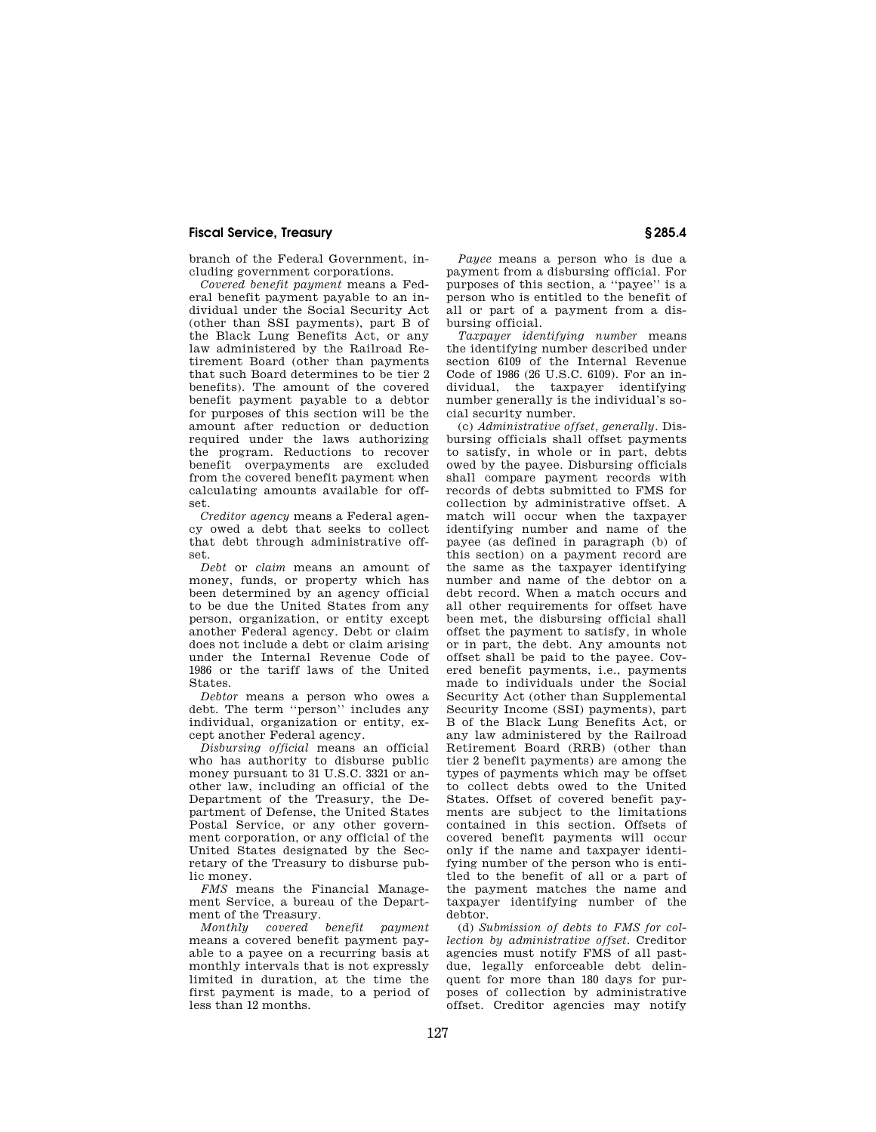branch of the Federal Government, including government corporations.

*Covered benefit payment* means a Federal benefit payment payable to an individual under the Social Security Act (other than SSI payments), part B of the Black Lung Benefits Act, or any law administered by the Railroad Retirement Board (other than payments that such Board determines to be tier 2 benefits). The amount of the covered benefit payment payable to a debtor for purposes of this section will be the amount after reduction or deduction required under the laws authorizing the program. Reductions to recover benefit overpayments are excluded from the covered benefit payment when calculating amounts available for offset.

*Creditor agency* means a Federal agency owed a debt that seeks to collect that debt through administrative offset.

*Debt* or *claim* means an amount of money, funds, or property which has been determined by an agency official to be due the United States from any person, organization, or entity except another Federal agency. Debt or claim does not include a debt or claim arising under the Internal Revenue Code of 1986 or the tariff laws of the United States.

*Debtor* means a person who owes a debt. The term ''person'' includes any individual, organization or entity, except another Federal agency.

*Disbursing official* means an official who has authority to disburse public money pursuant to 31 U.S.C. 3321 or another law, including an official of the Department of the Treasury, the Department of Defense, the United States Postal Service, or any other government corporation, or any official of the United States designated by the Secretary of the Treasury to disburse public money.

*FMS* means the Financial Management Service, a bureau of the Department of the Treasury.

*Monthly covered benefit payment*  means a covered benefit payment payable to a payee on a recurring basis at monthly intervals that is not expressly limited in duration, at the time the first payment is made, to a period of less than 12 months.

*Payee* means a person who is due a payment from a disbursing official. For purposes of this section, a ''payee'' is a person who is entitled to the benefit of all or part of a payment from a disbursing official.

*Taxpayer identifying number* means the identifying number described under section 6109 of the Internal Revenue Code of 1986 (26 U.S.C. 6109). For an individual, the taxpayer identifying number generally is the individual's social security number.

(c) *Administrative offset, generally.* Disbursing officials shall offset payments to satisfy, in whole or in part, debts owed by the payee. Disbursing officials shall compare payment records with records of debts submitted to FMS for collection by administrative offset. A match will occur when the taxpayer identifying number and name of the payee (as defined in paragraph (b) of this section) on a payment record are the same as the taxpayer identifying number and name of the debtor on a debt record. When a match occurs and all other requirements for offset have been met, the disbursing official shall offset the payment to satisfy, in whole or in part, the debt. Any amounts not offset shall be paid to the payee. Covered benefit payments, i.e., payments made to individuals under the Social Security Act (other than Supplemental Security Income (SSI) payments), part B of the Black Lung Benefits Act, or any law administered by the Railroad Retirement Board (RRB) (other than tier 2 benefit payments) are among the types of payments which may be offset to collect debts owed to the United States. Offset of covered benefit payments are subject to the limitations contained in this section. Offsets of covered benefit payments will occur only if the name and taxpayer identifying number of the person who is entitled to the benefit of all or a part of the payment matches the name and taxpayer identifying number of the debtor.

(d) *Submission of debts to FMS for collection by administrative offset.* Creditor agencies must notify FMS of all pastdue, legally enforceable debt delinquent for more than 180 days for purposes of collection by administrative offset. Creditor agencies may notify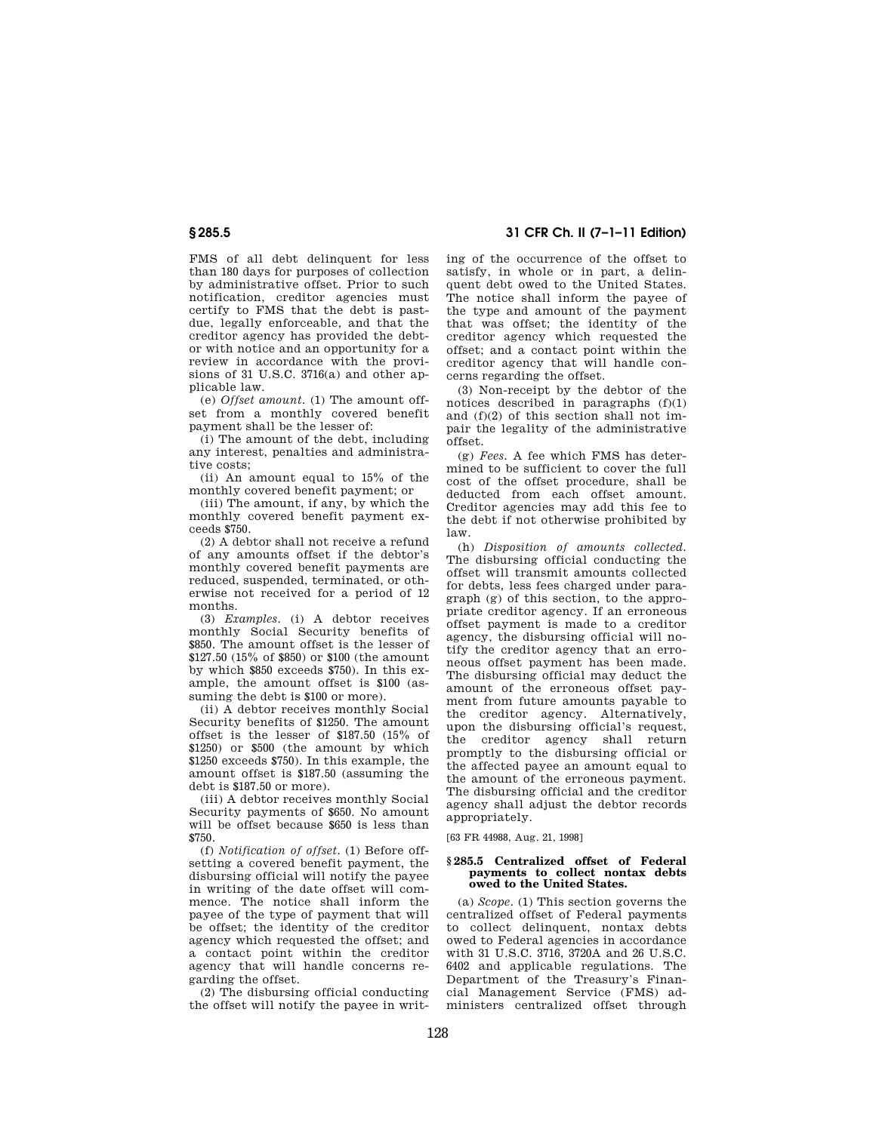# **§ 285.5 31 CFR Ch. II (7–1–11 Edition)**

FMS of all debt delinquent for less than 180 days for purposes of collection by administrative offset. Prior to such notification, creditor agencies must certify to FMS that the debt is pastdue, legally enforceable, and that the creditor agency has provided the debtor with notice and an opportunity for a review in accordance with the provisions of 31 U.S.C. 3716(a) and other applicable law.

(e) *Offset amount.* (1) The amount offset from a monthly covered benefit payment shall be the lesser of:

(i) The amount of the debt, including any interest, penalties and administrative costs;

(ii) An amount equal to 15% of the monthly covered benefit payment; or

(iii) The amount, if any, by which the monthly covered benefit payment exceeds \$750.

(2) A debtor shall not receive a refund of any amounts offset if the debtor's monthly covered benefit payments are reduced, suspended, terminated, or otherwise not received for a period of 12 months.

(3) *Examples.* (i) A debtor receives monthly Social Security benefits of \$850. The amount offset is the lesser of \$127.50 (15% of \$850) or \$100 (the amount by which \$850 exceeds \$750). In this example, the amount offset is \$100 (assuming the debt is \$100 or more).

(ii) A debtor receives monthly Social Security benefits of \$1250. The amount offset is the lesser of \$187.50 (15% of \$1250) or \$500 (the amount by which \$1250 exceeds \$750). In this example, the amount offset is \$187.50 (assuming the debt is \$187.50 or more).

(iii) A debtor receives monthly Social Security payments of \$650. No amount will be offset because \$650 is less than \$750.

(f) *Notification of offset.* (1) Before offsetting a covered benefit payment, the disbursing official will notify the payee in writing of the date offset will commence. The notice shall inform the payee of the type of payment that will be offset; the identity of the creditor agency which requested the offset; and a contact point within the creditor agency that will handle concerns regarding the offset.

(2) The disbursing official conducting the offset will notify the payee in writing of the occurrence of the offset to satisfy, in whole or in part, a delinquent debt owed to the United States. The notice shall inform the payee of the type and amount of the payment that was offset; the identity of the creditor agency which requested the offset; and a contact point within the creditor agency that will handle concerns regarding the offset.

(3) Non-receipt by the debtor of the notices described in paragraphs (f)(1) and (f)(2) of this section shall not impair the legality of the administrative offset.

(g) *Fees.* A fee which FMS has determined to be sufficient to cover the full cost of the offset procedure, shall be deducted from each offset amount. Creditor agencies may add this fee to the debt if not otherwise prohibited by law.

(h) *Disposition of amounts collected.*  The disbursing official conducting the offset will transmit amounts collected for debts, less fees charged under paragraph (g) of this section, to the appropriate creditor agency. If an erroneous offset payment is made to a creditor agency, the disbursing official will notify the creditor agency that an erroneous offset payment has been made. The disbursing official may deduct the amount of the erroneous offset payment from future amounts payable to the creditor agency. Alternatively, upon the disbursing official's request, the creditor agency shall return promptly to the disbursing official or the affected payee an amount equal to the amount of the erroneous payment. The disbursing official and the creditor agency shall adjust the debtor records appropriately.

[63 FR 44988, Aug. 21, 1998]

#### **§ 285.5 Centralized offset of Federal payments to collect nontax debts owed to the United States.**

(a) *Scope.* (1) This section governs the centralized offset of Federal payments to collect delinquent, nontax debts owed to Federal agencies in accordance with 31 U.S.C. 3716, 3720A and 26 U.S.C. 6402 and applicable regulations. The Department of the Treasury's Financial Management Service (FMS) administers centralized offset through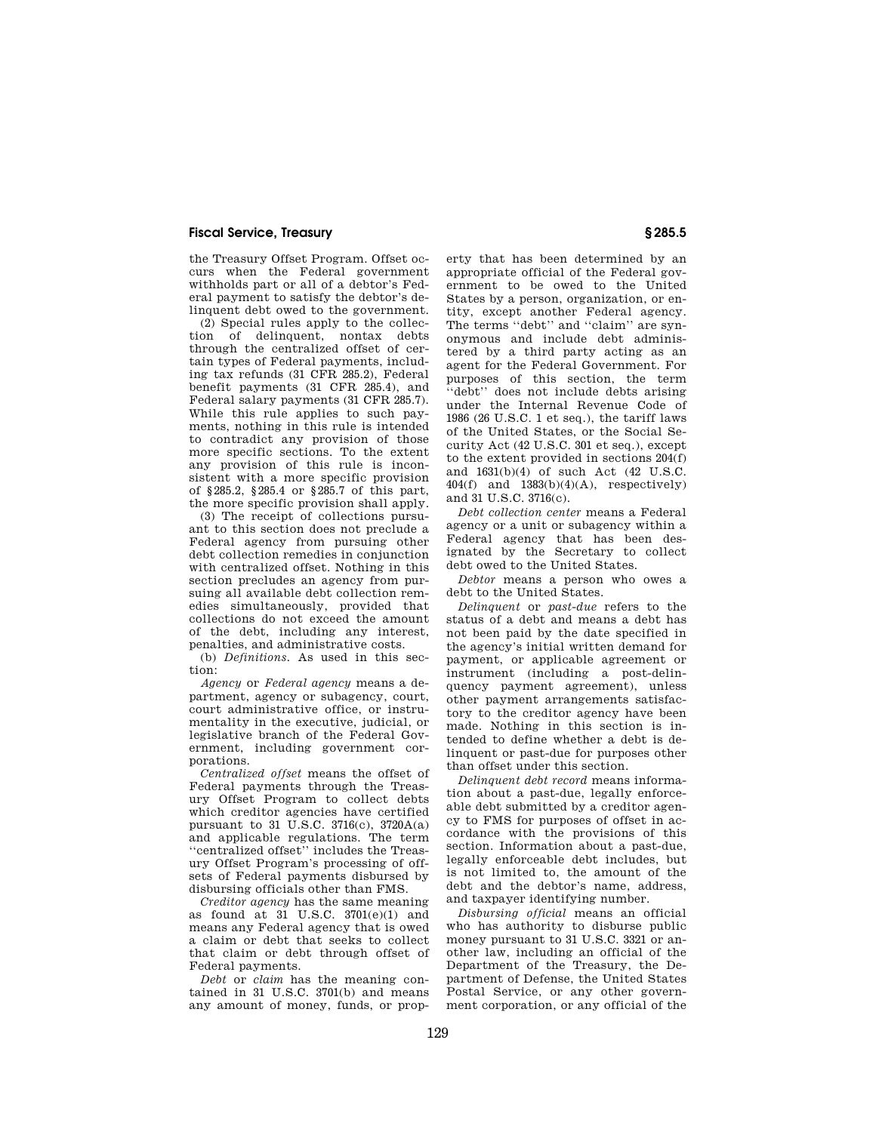the Treasury Offset Program. Offset occurs when the Federal government withholds part or all of a debtor's Federal payment to satisfy the debtor's delinquent debt owed to the government.

(2) Special rules apply to the collection of delinquent, nontax debts through the centralized offset of certain types of Federal payments, including tax refunds (31 CFR 285.2), Federal benefit payments (31 CFR 285.4), and Federal salary payments (31 CFR 285.7). While this rule applies to such payments, nothing in this rule is intended to contradict any provision of those more specific sections. To the extent any provision of this rule is inconsistent with a more specific provision of §285.2, §285.4 or §285.7 of this part, the more specific provision shall apply.

(3) The receipt of collections pursuant to this section does not preclude a Federal agency from pursuing other debt collection remedies in conjunction with centralized offset. Nothing in this section precludes an agency from pursuing all available debt collection remedies simultaneously, provided that collections do not exceed the amount of the debt, including any interest, penalties, and administrative costs.

(b) *Definitions.* As used in this section:

*Agency* or *Federal agency* means a department, agency or subagency, court, court administrative office, or instrumentality in the executive, judicial, or legislative branch of the Federal Government, including government corporations.

*Centralized offset* means the offset of Federal payments through the Treasury Offset Program to collect debts which creditor agencies have certified pursuant to 31 U.S.C. 3716(c), 3720A(a) and applicable regulations. The term ''centralized offset'' includes the Treasury Offset Program's processing of offsets of Federal payments disbursed by disbursing officials other than FMS.

*Creditor agency* has the same meaning as found at 31 U.S.C. 3701(e)(1) and means any Federal agency that is owed a claim or debt that seeks to collect that claim or debt through offset of Federal payments.

*Debt* or *claim* has the meaning contained in 31 U.S.C. 3701(b) and means any amount of money, funds, or prop-

erty that has been determined by an appropriate official of the Federal government to be owed to the United States by a person, organization, or entity, except another Federal agency. The terms ''debt'' and ''claim'' are synonymous and include debt administered by a third party acting as an agent for the Federal Government. For purposes of this section, the term ''debt'' does not include debts arising under the Internal Revenue Code of 1986 (26 U.S.C. 1 et seq.), the tariff laws of the United States, or the Social Security Act (42 U.S.C. 301 et seq.), except to the extent provided in sections 204(f) and 1631(b)(4) of such Act (42 U.S.C. 404(f) and 1383(b)(4)(A), respectively) and 31 U.S.C. 3716(c).

*Debt collection center* means a Federal agency or a unit or subagency within a Federal agency that has been designated by the Secretary to collect debt owed to the United States.

*Debtor* means a person who owes a debt to the United States.

*Delinquent* or *past-due* refers to the status of a debt and means a debt has not been paid by the date specified in the agency's initial written demand for payment, or applicable agreement or instrument (including a post-delinquency payment agreement), unless other payment arrangements satisfactory to the creditor agency have been made. Nothing in this section is intended to define whether a debt is delinquent or past-due for purposes other than offset under this section.

*Delinquent debt record* means information about a past-due, legally enforceable debt submitted by a creditor agency to FMS for purposes of offset in accordance with the provisions of this section. Information about a past-due, legally enforceable debt includes, but is not limited to, the amount of the debt and the debtor's name, address, and taxpayer identifying number.

*Disbursing official* means an official who has authority to disburse public money pursuant to 31 U.S.C. 3321 or another law, including an official of the Department of the Treasury, the Department of Defense, the United States Postal Service, or any other government corporation, or any official of the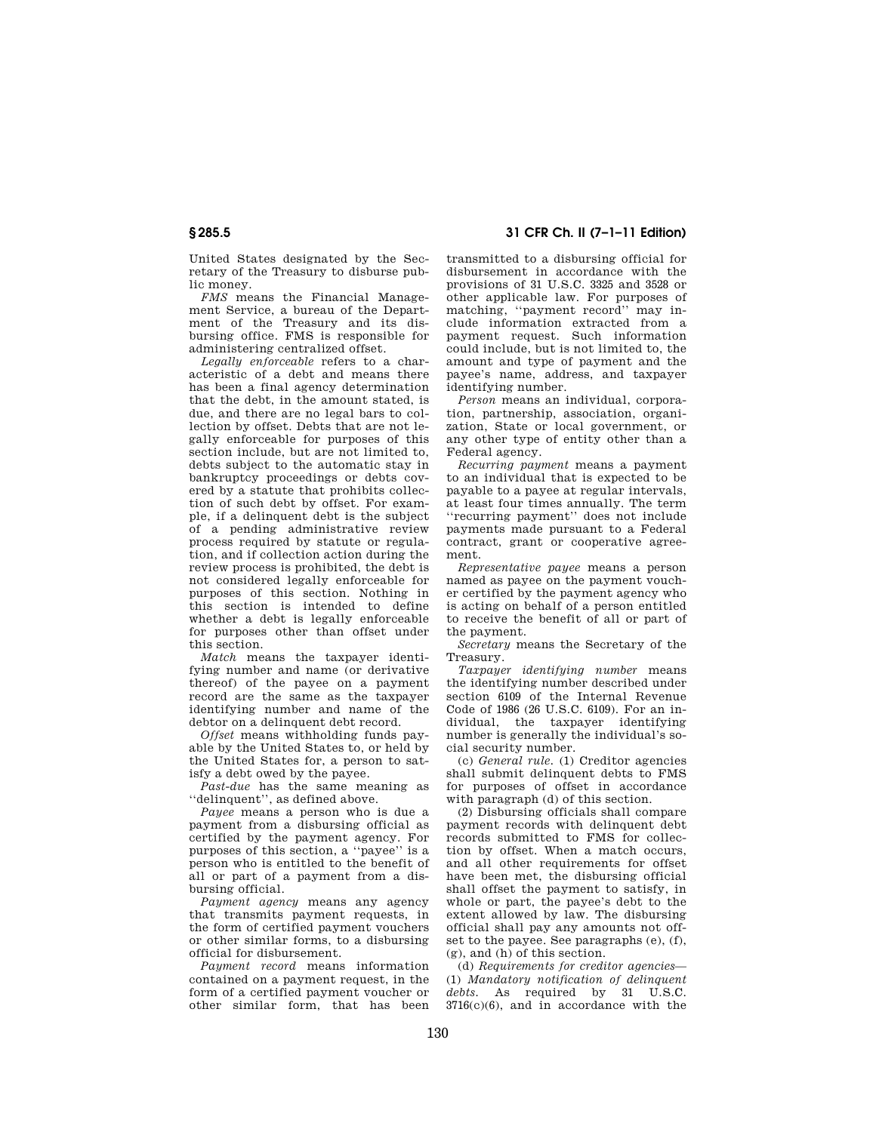United States designated by the Secretary of the Treasury to disburse public money.

*FMS* means the Financial Management Service, a bureau of the Department of the Treasury and its disbursing office. FMS is responsible for administering centralized offset.

*Legally enforceable* refers to a characteristic of a debt and means there has been a final agency determination that the debt, in the amount stated, is due, and there are no legal bars to collection by offset. Debts that are not legally enforceable for purposes of this section include, but are not limited to, debts subject to the automatic stay in bankruptcy proceedings or debts covered by a statute that prohibits collection of such debt by offset. For example, if a delinquent debt is the subject of a pending administrative review process required by statute or regulation, and if collection action during the review process is prohibited, the debt is not considered legally enforceable for purposes of this section. Nothing in this section is intended to define whether a debt is legally enforceable for purposes other than offset under this section.

*Match* means the taxpayer identifying number and name (or derivative thereof) of the payee on a payment record are the same as the taxpayer identifying number and name of the debtor on a delinquent debt record.

*Offset* means withholding funds payable by the United States to, or held by the United States for, a person to satisfy a debt owed by the payee.

*Past-due* has the same meaning as ''delinquent'', as defined above.

*Payee* means a person who is due a payment from a disbursing official as certified by the payment agency. For purposes of this section, a ''payee'' is a person who is entitled to the benefit of all or part of a payment from a disbursing official.

*Payment agency* means any agency that transmits payment requests, in the form of certified payment vouchers or other similar forms, to a disbursing official for disbursement.

*Payment record* means information contained on a payment request, in the form of a certified payment voucher or other similar form, that has been

**§ 285.5 31 CFR Ch. II (7–1–11 Edition)** 

transmitted to a disbursing official for disbursement in accordance with the provisions of 31 U.S.C. 3325 and 3528 or other applicable law. For purposes of matching, ''payment record'' may include information extracted from a payment request. Such information could include, but is not limited to, the amount and type of payment and the payee's name, address, and taxpayer identifying number.

*Person* means an individual, corporation, partnership, association, organization, State or local government, or any other type of entity other than a Federal agency.

*Recurring payment* means a payment to an individual that is expected to be payable to a payee at regular intervals, at least four times annually. The term ''recurring payment'' does not include payments made pursuant to a Federal contract, grant or cooperative agreement.

*Representative payee* means a person named as payee on the payment voucher certified by the payment agency who is acting on behalf of a person entitled to receive the benefit of all or part of the payment.

*Secretary* means the Secretary of the Treasury.

*Taxpayer identifying number* means the identifying number described under section 6109 of the Internal Revenue Code of 1986 (26 U.S.C. 6109). For an individual, the taxpayer identifying number is generally the individual's social security number.

(c) *General rule.* (1) Creditor agencies shall submit delinquent debts to FMS for purposes of offset in accordance with paragraph (d) of this section.

(2) Disbursing officials shall compare payment records with delinquent debt records submitted to FMS for collection by offset. When a match occurs, and all other requirements for offset have been met, the disbursing official shall offset the payment to satisfy, in whole or part, the payee's debt to the extent allowed by law. The disbursing official shall pay any amounts not offset to the payee. See paragraphs (e), (f), (g), and (h) of this section.

(d) *Requirements for creditor agencies*— (1) *Mandatory notification of delinquent debts.* As required by 31 U.S.C.  $3716(c)(6)$ , and in accordance with the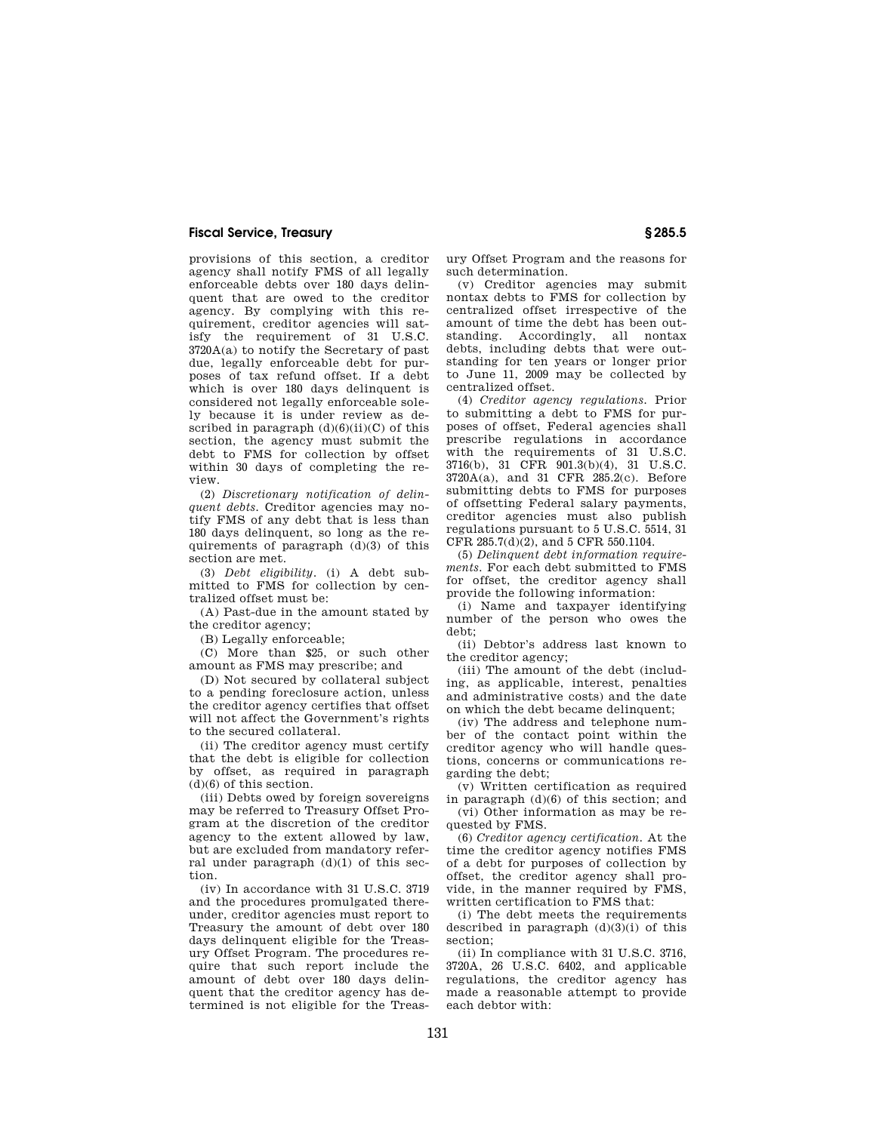provisions of this section, a creditor agency shall notify FMS of all legally enforceable debts over 180 days delinquent that are owed to the creditor agency. By complying with this requirement, creditor agencies will satisfy the requirement of 31 U.S.C. 3720A(a) to notify the Secretary of past due, legally enforceable debt for purposes of tax refund offset. If a debt which is over 180 days delinquent is considered not legally enforceable solely because it is under review as described in paragraph  $(d)(6)(ii)(C)$  of this section, the agency must submit the debt to FMS for collection by offset within 30 days of completing the review.

(2) *Discretionary notification of delinquent debts.* Creditor agencies may notify FMS of any debt that is less than 180 days delinquent, so long as the requirements of paragraph  $(d)(3)$  of this section are met.

(3) *Debt eligibility.* (i) A debt submitted to FMS for collection by centralized offset must be:

(A) Past-due in the amount stated by the creditor agency;

(B) Legally enforceable;

(C) More than \$25, or such other amount as FMS may prescribe; and

(D) Not secured by collateral subject to a pending foreclosure action, unless the creditor agency certifies that offset will not affect the Government's rights to the secured collateral.

(ii) The creditor agency must certify that the debt is eligible for collection by offset, as required in paragraph (d)(6) of this section.

(iii) Debts owed by foreign sovereigns may be referred to Treasury Offset Program at the discretion of the creditor agency to the extent allowed by law, but are excluded from mandatory referral under paragraph (d)(1) of this section.

(iv) In accordance with 31 U.S.C. 3719 and the procedures promulgated thereunder, creditor agencies must report to Treasury the amount of debt over 180 days delinquent eligible for the Treasury Offset Program. The procedures require that such report include the amount of debt over 180 days delinquent that the creditor agency has determined is not eligible for the Treasury Offset Program and the reasons for such determination.

(v) Creditor agencies may submit nontax debts to FMS for collection by centralized offset irrespective of the amount of time the debt has been outstanding. Accordingly, all nontax debts, including debts that were outstanding for ten years or longer prior to June 11, 2009 may be collected by centralized offset.

(4) *Creditor agency regulations.* Prior to submitting a debt to FMS for purposes of offset, Federal agencies shall prescribe regulations in accordance with the requirements of 31 U.S.C. 3716(b), 31 CFR 901.3(b)(4), 31 U.S.C. 3720A(a), and 31 CFR 285.2(c). Before submitting debts to FMS for purposes of offsetting Federal salary payments, creditor agencies must also publish regulations pursuant to 5 U.S.C. 5514, 31 CFR 285.7(d)(2), and 5 CFR 550.1104.

(5) *Delinquent debt information requirements.* For each debt submitted to FMS for offset, the creditor agency shall provide the following information:

(i) Name and taxpayer identifying number of the person who owes the debt;

(ii) Debtor's address last known to the creditor agency;

(iii) The amount of the debt (including, as applicable, interest, penalties and administrative costs) and the date on which the debt became delinquent;

(iv) The address and telephone number of the contact point within the creditor agency who will handle questions, concerns or communications regarding the debt;

(v) Written certification as required in paragraph (d)(6) of this section; and

(vi) Other information as may be requested by FMS.

(6) *Creditor agency certification.* At the time the creditor agency notifies FMS of a debt for purposes of collection by offset, the creditor agency shall provide, in the manner required by FMS, written certification to FMS that:

(i) The debt meets the requirements described in paragraph  $(d)(3)(i)$  of this section;

(ii) In compliance with 31 U.S.C. 3716, 3720A, 26 U.S.C. 6402, and applicable regulations, the creditor agency has made a reasonable attempt to provide each debtor with: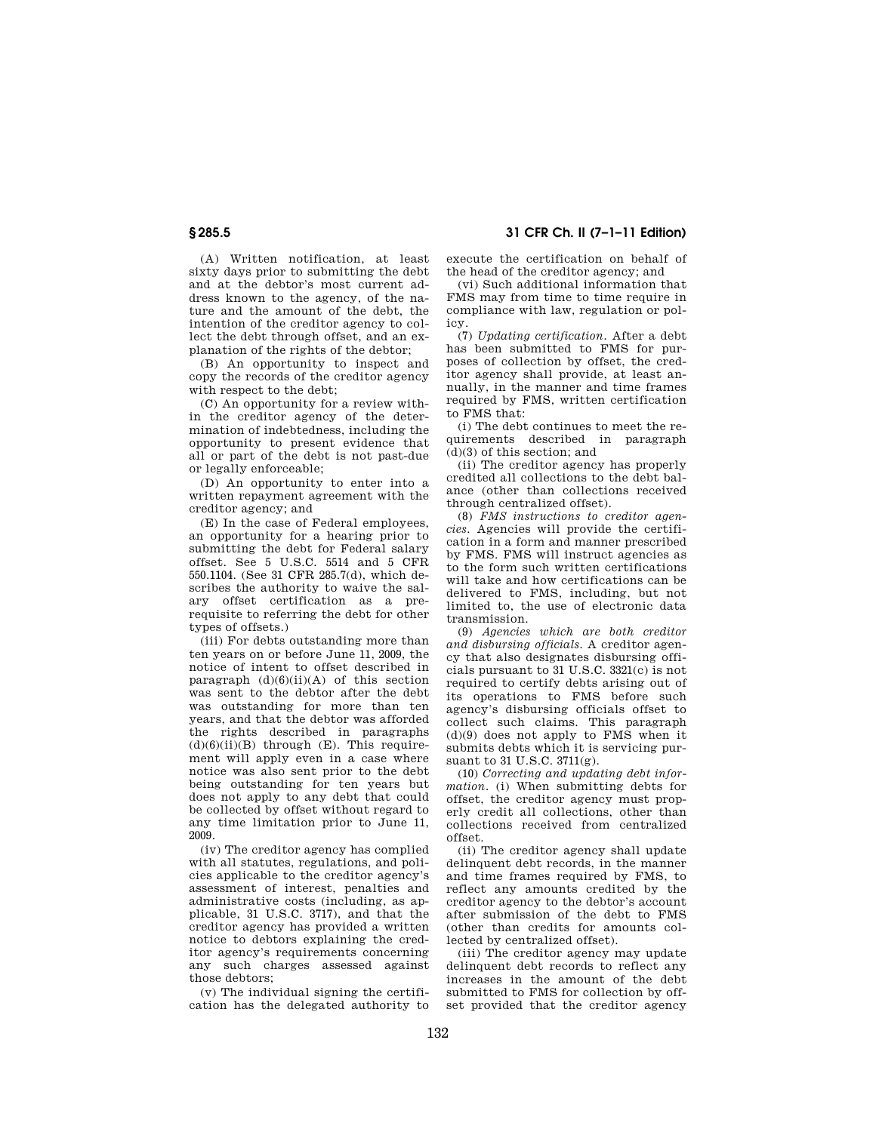(A) Written notification, at least sixty days prior to submitting the debt and at the debtor's most current address known to the agency, of the nature and the amount of the debt, the intention of the creditor agency to collect the debt through offset, and an explanation of the rights of the debtor;

(B) An opportunity to inspect and copy the records of the creditor agency with respect to the debt;

(C) An opportunity for a review within the creditor agency of the determination of indebtedness, including the opportunity to present evidence that all or part of the debt is not past-due or legally enforceable;

(D) An opportunity to enter into a written repayment agreement with the creditor agency; and

(E) In the case of Federal employees, an opportunity for a hearing prior to submitting the debt for Federal salary offset. See 5 U.S.C. 5514 and 5 CFR 550.1104. (See 31 CFR 285.7(d), which describes the authority to waive the salary offset certification as a prerequisite to referring the debt for other types of offsets.)

(iii) For debts outstanding more than ten years on or before June 11, 2009, the notice of intent to offset described in paragraph  $(d)(6)(ii)(A)$  of this section was sent to the debtor after the debt was outstanding for more than ten years, and that the debtor was afforded the rights described in paragraphs  $(d)(6)(ii)(B)$  through  $(E)$ . This requirement will apply even in a case where notice was also sent prior to the debt being outstanding for ten years but does not apply to any debt that could be collected by offset without regard to any time limitation prior to June 11, 2009.

(iv) The creditor agency has complied with all statutes, regulations, and policies applicable to the creditor agency's assessment of interest, penalties and administrative costs (including, as applicable, 31 U.S.C. 3717), and that the creditor agency has provided a written notice to debtors explaining the creditor agency's requirements concerning any such charges assessed against those debtors;

(v) The individual signing the certification has the delegated authority to

**§ 285.5 31 CFR Ch. II (7–1–11 Edition)** 

execute the certification on behalf of the head of the creditor agency; and

(vi) Such additional information that FMS may from time to time require in compliance with law, regulation or policy.

(7) *Updating certification.* After a debt has been submitted to FMS for purposes of collection by offset, the creditor agency shall provide, at least annually, in the manner and time frames required by FMS, written certification to FMS that:

(i) The debt continues to meet the requirements described in paragraph (d)(3) of this section; and

(ii) The creditor agency has properly credited all collections to the debt balance (other than collections received through centralized offset).

(8) *FMS instructions to creditor agencies.* Agencies will provide the certification in a form and manner prescribed by FMS. FMS will instruct agencies as to the form such written certifications will take and how certifications can be delivered to FMS, including, but not limited to, the use of electronic data transmission.

(9) *Agencies which are both creditor and disbursing officials.* A creditor agency that also designates disbursing officials pursuant to 31 U.S.C. 3321(c) is not required to certify debts arising out of its operations to FMS before such agency's disbursing officials offset to collect such claims. This paragraph  $(d)(9)$  does not apply to FMS when it submits debts which it is servicing pursuant to 31 U.S.C. 3711(g).

(10) *Correcting and updating debt information.* (i) When submitting debts for offset, the creditor agency must properly credit all collections, other than collections received from centralized offset.

(ii) The creditor agency shall update delinquent debt records, in the manner and time frames required by FMS, to reflect any amounts credited by the creditor agency to the debtor's account after submission of the debt to FMS (other than credits for amounts collected by centralized offset).

(iii) The creditor agency may update delinquent debt records to reflect any increases in the amount of the debt submitted to FMS for collection by offset provided that the creditor agency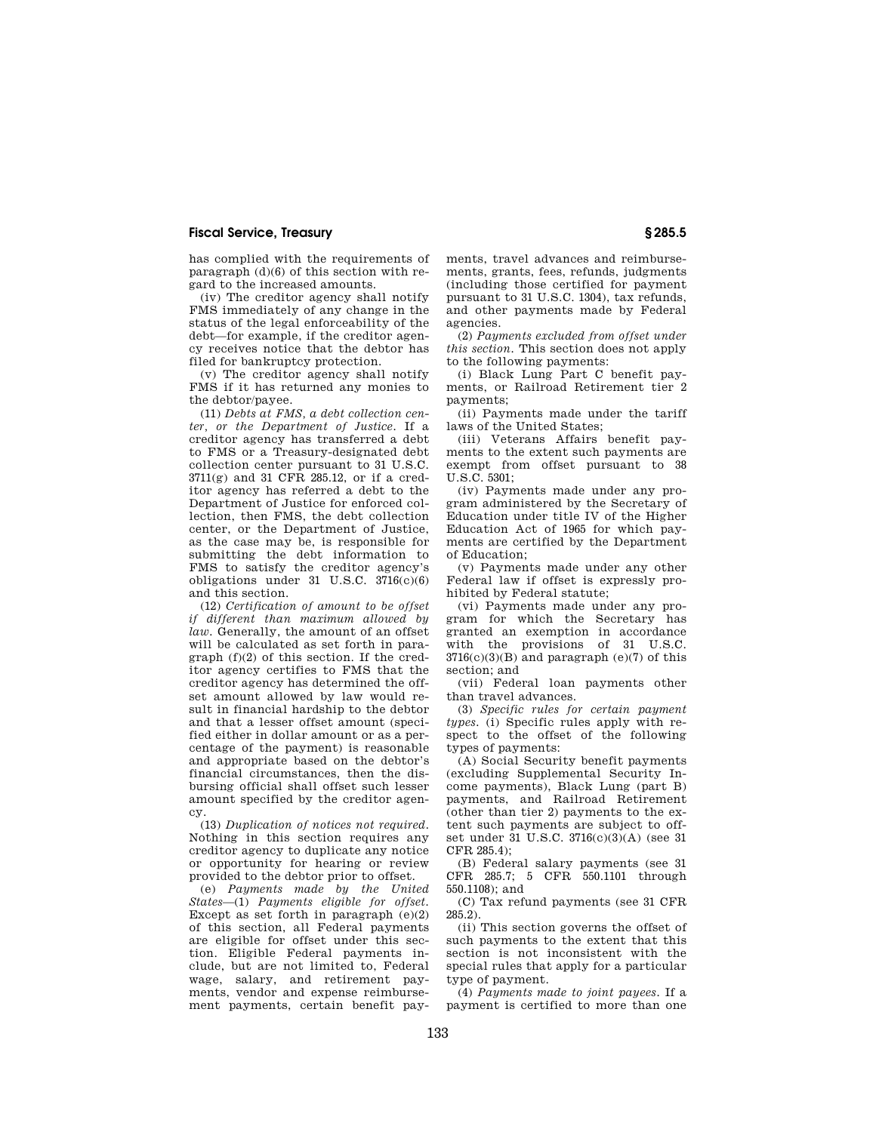has complied with the requirements of paragraph (d)(6) of this section with regard to the increased amounts.

(iv) The creditor agency shall notify FMS immediately of any change in the status of the legal enforceability of the debt—for example, if the creditor agency receives notice that the debtor has filed for bankruptcy protection.

(v) The creditor agency shall notify FMS if it has returned any monies to the debtor/payee.

(11) *Debts at FMS, a debt collection center, or the Department of Justice.* If a creditor agency has transferred a debt to FMS or a Treasury-designated debt collection center pursuant to 31 U.S.C. 3711(g) and 31 CFR 285.12, or if a creditor agency has referred a debt to the Department of Justice for enforced collection, then FMS, the debt collection center, or the Department of Justice, as the case may be, is responsible for submitting the debt information to FMS to satisfy the creditor agency's obligations under 31 U.S.C.  $3716(c)(6)$ and this section.

(12) *Certification of amount to be offset if different than maximum allowed by*  law. Generally, the amount of an offset will be calculated as set forth in paragraph (f)(2) of this section. If the creditor agency certifies to FMS that the creditor agency has determined the offset amount allowed by law would result in financial hardship to the debtor and that a lesser offset amount (specified either in dollar amount or as a percentage of the payment) is reasonable and appropriate based on the debtor's financial circumstances, then the disbursing official shall offset such lesser amount specified by the creditor agency.

(13) *Duplication of notices not required.*  Nothing in this section requires any creditor agency to duplicate any notice or opportunity for hearing or review provided to the debtor prior to offset.

(e) *Payments made by the United States*—(1) *Payments eligible for offset.*  Except as set forth in paragraph (e)(2) of this section, all Federal payments are eligible for offset under this section. Eligible Federal payments include, but are not limited to, Federal wage, salary, and retirement payments, vendor and expense reimbursement payments, certain benefit payments, travel advances and reimbursements, grants, fees, refunds, judgments (including those certified for payment pursuant to 31 U.S.C. 1304), tax refunds, and other payments made by Federal agencies.

(2) *Payments excluded from offset under this section.* This section does not apply to the following payments:

(i) Black Lung Part C benefit payments, or Railroad Retirement tier 2 payments;

(ii) Payments made under the tariff laws of the United States;

(iii) Veterans Affairs benefit payments to the extent such payments are exempt from offset pursuant to 38 U.S.C. 5301;

(iv) Payments made under any program administered by the Secretary of Education under title IV of the Higher Education Act of 1965 for which payments are certified by the Department of Education;

(v) Payments made under any other Federal law if offset is expressly prohibited by Federal statute;

(vi) Payments made under any program for which the Secretary has granted an exemption in accordance with the provisions of 31 U.S.C.  $3716(c)(3)(B)$  and paragraph (e)(7) of this section; and

(vii) Federal loan payments other than travel advances.

(3) *Specific rules for certain payment types.* (i) Specific rules apply with respect to the offset of the following types of payments:

(A) Social Security benefit payments (excluding Supplemental Security Income payments), Black Lung (part B) payments, and Railroad Retirement (other than tier 2) payments to the extent such payments are subject to offset under 31 U.S.C. 3716(c)(3)(A) (see 31 CFR  $285.4$ )

(B) Federal salary payments (see 31 CFR 285.7; 5 CFR 550.1101 through 550.1108); and

(C) Tax refund payments (see 31 CFR 285.2).

(ii) This section governs the offset of such payments to the extent that this section is not inconsistent with the special rules that apply for a particular type of payment.

(4) *Payments made to joint payees.* If a payment is certified to more than one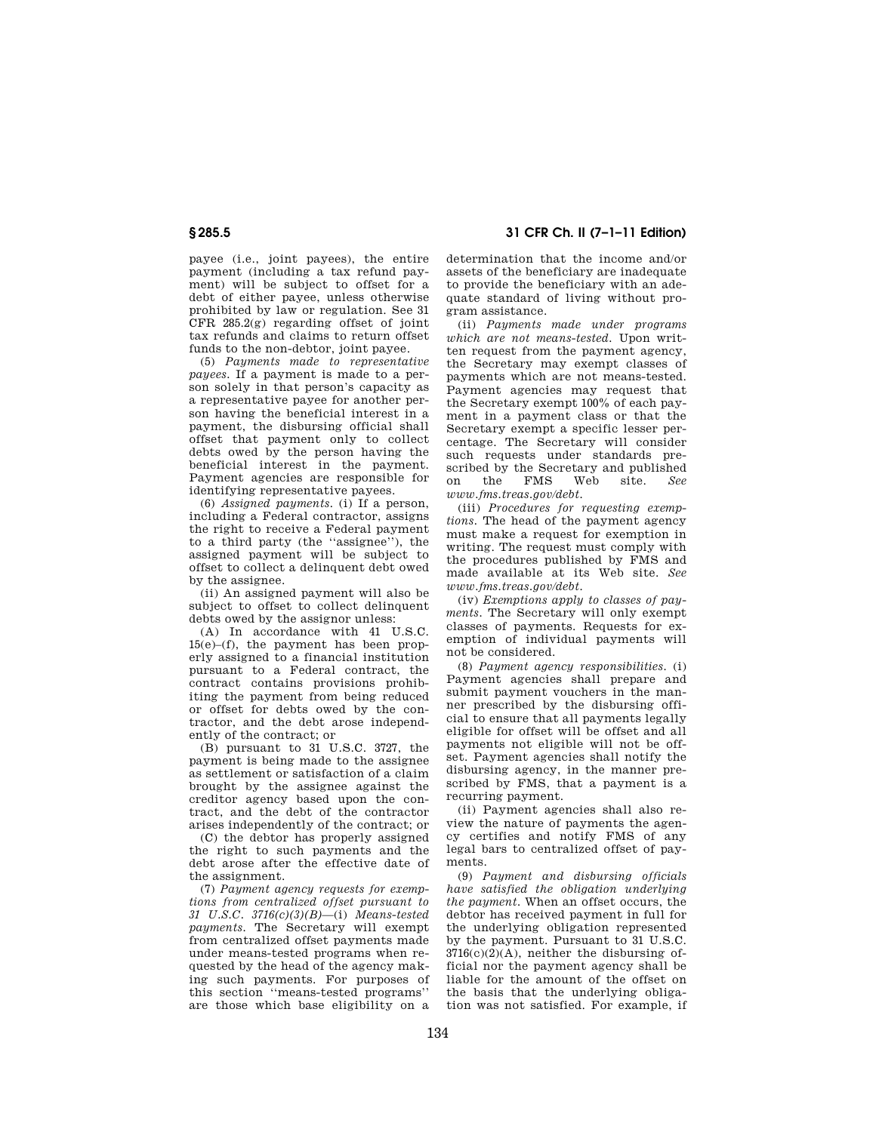payee (i.e., joint payees), the entire payment (including a tax refund payment) will be subject to offset for a debt of either payee, unless otherwise prohibited by law or regulation. See 31 CFR 285.2(g) regarding offset of joint tax refunds and claims to return offset funds to the non-debtor, joint payee.

(5) *Payments made to representative payees.* If a payment is made to a person solely in that person's capacity as a representative payee for another person having the beneficial interest in a payment, the disbursing official shall offset that payment only to collect debts owed by the person having the beneficial interest in the payment. Payment agencies are responsible for identifying representative payees.

(6) *Assigned payments.* (i) If a person, including a Federal contractor, assigns the right to receive a Federal payment to a third party (the ''assignee''), the assigned payment will be subject to offset to collect a delinquent debt owed by the assignee.

(ii) An assigned payment will also be subject to offset to collect delinquent debts owed by the assignor unless:

(A) In accordance with 41 U.S.C. 15(e)–(f), the payment has been properly assigned to a financial institution pursuant to a Federal contract, the contract contains provisions prohibiting the payment from being reduced or offset for debts owed by the contractor, and the debt arose independently of the contract; or

(B) pursuant to 31 U.S.C. 3727, the payment is being made to the assignee as settlement or satisfaction of a claim brought by the assignee against the creditor agency based upon the contract, and the debt of the contractor arises independently of the contract; or

(C) the debtor has properly assigned the right to such payments and the debt arose after the effective date of the assignment.

(7) *Payment agency requests for exemptions from centralized offset pursuant to 31 U.S.C. 3716(c)(3)(B)*—(i) *Means-tested payments.* The Secretary will exempt from centralized offset payments made under means-tested programs when requested by the head of the agency making such payments. For purposes of this section ''means-tested programs'' are those which base eligibility on a

**§ 285.5 31 CFR Ch. II (7–1–11 Edition)** 

determination that the income and/or assets of the beneficiary are inadequate to provide the beneficiary with an adequate standard of living without program assistance.

(ii) *Payments made under programs which are not means-tested.* Upon written request from the payment agency, the Secretary may exempt classes of payments which are not means-tested. Payment agencies may request that the Secretary exempt 100% of each payment in a payment class or that the Secretary exempt a specific lesser percentage. The Secretary will consider such requests under standards prescribed by the Secretary and published on the FMS Web site. *See www.fms.treas.gov/debt.* 

(iii) *Procedures for requesting exemptions.* The head of the payment agency must make a request for exemption in writing. The request must comply with the procedures published by FMS and made available at its Web site. *See www.fms.treas.gov/debt.* 

(iv) *Exemptions apply to classes of payments.* The Secretary will only exempt classes of payments. Requests for exemption of individual payments will not be considered.

(8) *Payment agency responsibilities.* (i) Payment agencies shall prepare and submit payment vouchers in the manner prescribed by the disbursing official to ensure that all payments legally eligible for offset will be offset and all payments not eligible will not be offset. Payment agencies shall notify the disbursing agency, in the manner prescribed by FMS, that a payment is a recurring payment.

(ii) Payment agencies shall also review the nature of payments the agency certifies and notify FMS of any legal bars to centralized offset of payments.

(9) *Payment and disbursing officials have satisfied the obligation underlying the payment.* When an offset occurs, the debtor has received payment in full for the underlying obligation represented by the payment. Pursuant to 31 U.S.C.  $3716(c)(2)(A)$ , neither the disbursing official nor the payment agency shall be liable for the amount of the offset on the basis that the underlying obligation was not satisfied. For example, if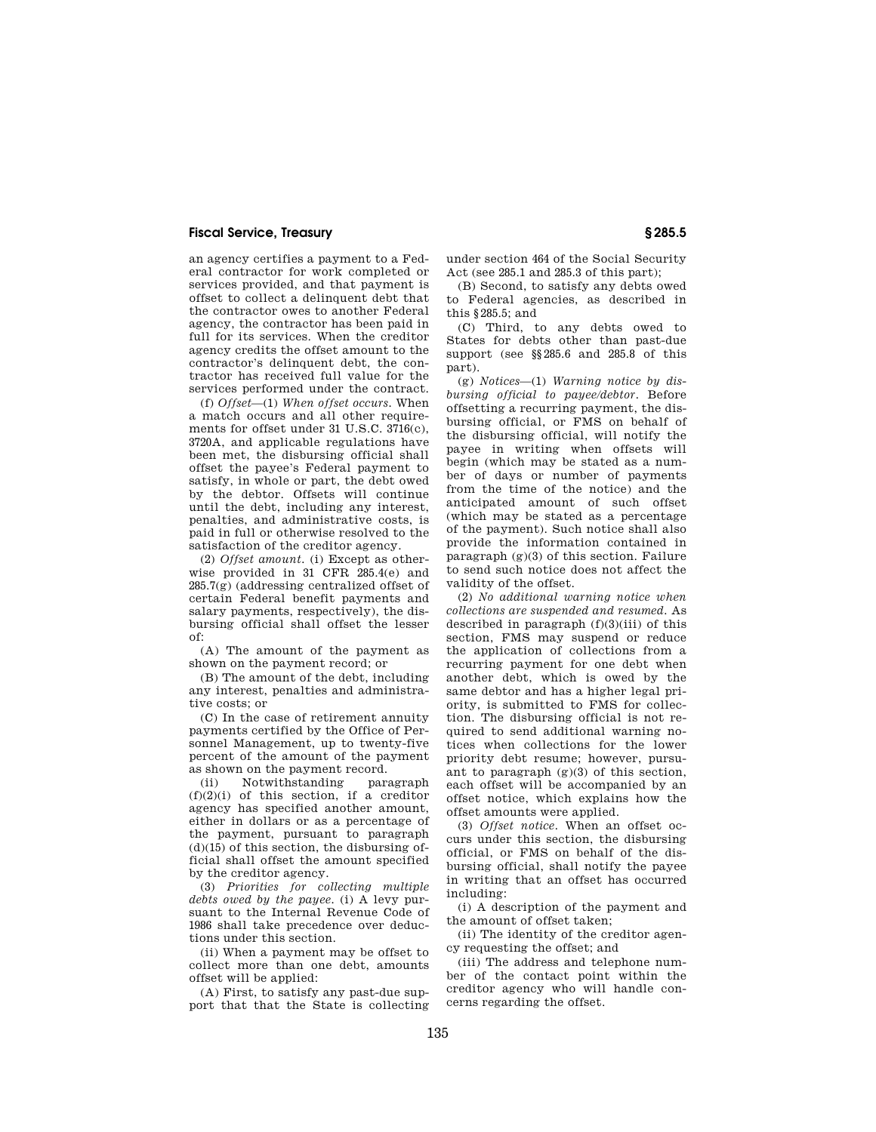an agency certifies a payment to a Federal contractor for work completed or services provided, and that payment is offset to collect a delinquent debt that the contractor owes to another Federal agency, the contractor has been paid in full for its services. When the creditor agency credits the offset amount to the contractor's delinquent debt, the contractor has received full value for the services performed under the contract.

(f) *Offset*—(1) *When offset occurs.* When a match occurs and all other requirements for offset under 31 U.S.C. 3716(c), 3720A, and applicable regulations have been met, the disbursing official shall offset the payee's Federal payment to satisfy, in whole or part, the debt owed by the debtor. Offsets will continue until the debt, including any interest, penalties, and administrative costs, is paid in full or otherwise resolved to the satisfaction of the creditor agency.

(2) *Offset amount.* (i) Except as otherwise provided in 31 CFR 285.4(e) and 285.7(g) (addressing centralized offset of certain Federal benefit payments and salary payments, respectively), the disbursing official shall offset the lesser of:

(A) The amount of the payment as shown on the payment record; or

(B) The amount of the debt, including any interest, penalties and administrative costs; or

(C) In the case of retirement annuity payments certified by the Office of Personnel Management, up to twenty-five percent of the amount of the payment as shown on the payment record.

(ii) Notwithstanding paragraph  $(f)(2)(i)$  of this section, if a creditor agency has specified another amount, either in dollars or as a percentage of the payment, pursuant to paragraph  $(d)(15)$  of this section, the disbursing official shall offset the amount specified by the creditor agency.

(3) *Priorities for collecting multiple debts owed by the payee.* (i) A levy pursuant to the Internal Revenue Code of 1986 shall take precedence over deductions under this section.

(ii) When a payment may be offset to collect more than one debt, amounts offset will be applied:

(A) First, to satisfy any past-due support that that the State is collecting under section 464 of the Social Security Act (see 285.1 and 285.3 of this part);

(B) Second, to satisfy any debts owed to Federal agencies, as described in this §285.5; and

(C) Third, to any debts owed to States for debts other than past-due support (see §§285.6 and 285.8 of this part).

(g) *Notices*—(1) *Warning notice by disbursing official to payee/debtor.* Before offsetting a recurring payment, the disbursing official, or FMS on behalf of the disbursing official, will notify the payee in writing when offsets will begin (which may be stated as a number of days or number of payments from the time of the notice) and the anticipated amount of such offset (which may be stated as a percentage of the payment). Such notice shall also provide the information contained in paragraph (g)(3) of this section. Failure to send such notice does not affect the validity of the offset.

(2) *No additional warning notice when collections are suspended and resumed.* As described in paragraph  $(f)(3)(iii)$  of this section, FMS may suspend or reduce the application of collections from a recurring payment for one debt when another debt, which is owed by the same debtor and has a higher legal priority, is submitted to FMS for collection. The disbursing official is not required to send additional warning notices when collections for the lower priority debt resume; however, pursuant to paragraph (g)(3) of this section, each offset will be accompanied by an offset notice, which explains how the offset amounts were applied.

(3) *Offset notice.* When an offset occurs under this section, the disbursing official, or FMS on behalf of the disbursing official, shall notify the payee in writing that an offset has occurred including:

(i) A description of the payment and the amount of offset taken;

(ii) The identity of the creditor agency requesting the offset; and

(iii) The address and telephone number of the contact point within the creditor agency who will handle concerns regarding the offset.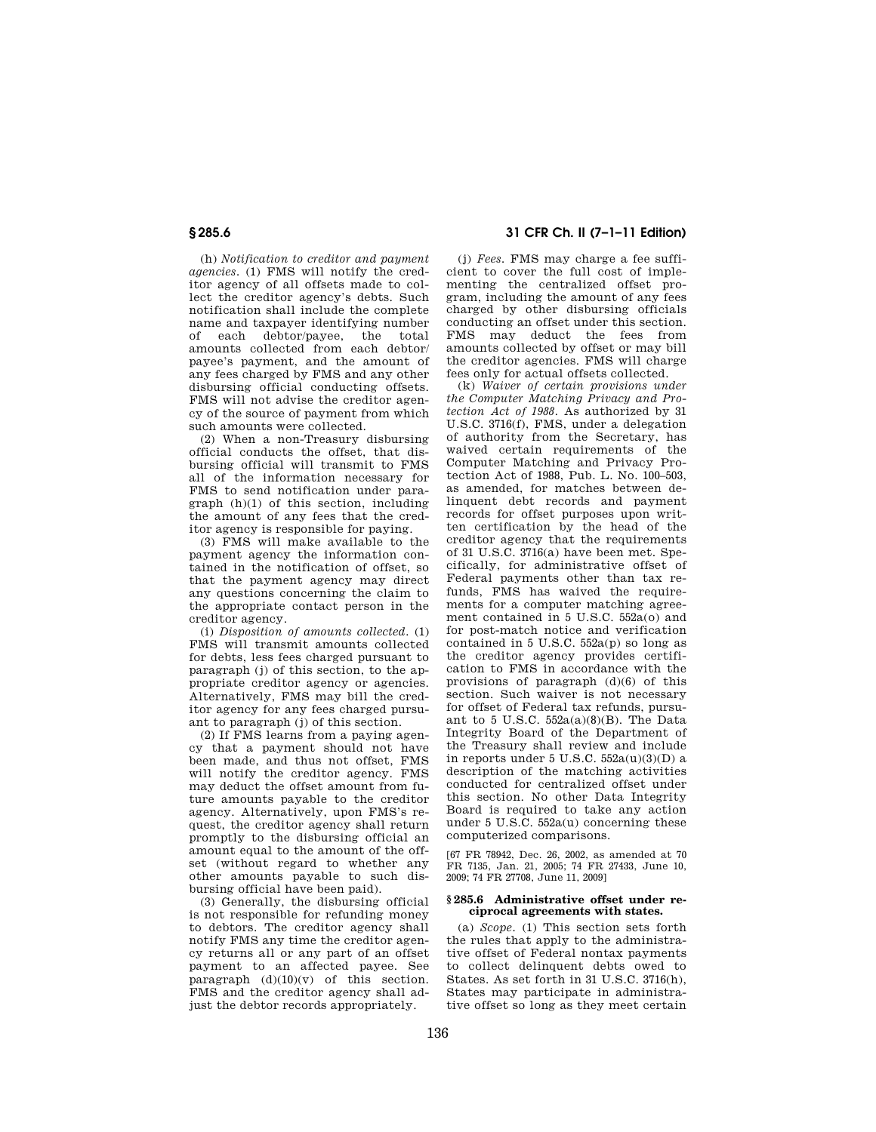(h) *Notification to creditor and payment agencies.* (1) FMS will notify the creditor agency of all offsets made to collect the creditor agency's debts. Such notification shall include the complete name and taxpayer identifying number<br>of each debtor/payee the total debtor/payee, amounts collected from each debtor/ payee's payment, and the amount of any fees charged by FMS and any other disbursing official conducting offsets. FMS will not advise the creditor agency of the source of payment from which such amounts were collected.

(2) When a non-Treasury disbursing official conducts the offset, that disbursing official will transmit to FMS all of the information necessary for FMS to send notification under para $graph (h)(1)$  of this section, including the amount of any fees that the creditor agency is responsible for paying.

(3) FMS will make available to the payment agency the information contained in the notification of offset, so that the payment agency may direct any questions concerning the claim to the appropriate contact person in the creditor agency.

(i) *Disposition of amounts collected.* (1) FMS will transmit amounts collected for debts, less fees charged pursuant to paragraph (j) of this section, to the appropriate creditor agency or agencies. Alternatively, FMS may bill the creditor agency for any fees charged pursuant to paragraph (j) of this section.

(2) If FMS learns from a paying agency that a payment should not have been made, and thus not offset, FMS will notify the creditor agency. FMS may deduct the offset amount from future amounts payable to the creditor agency. Alternatively, upon FMS's request, the creditor agency shall return promptly to the disbursing official an amount equal to the amount of the offset (without regard to whether any other amounts payable to such disbursing official have been paid).

(3) Generally, the disbursing official is not responsible for refunding money to debtors. The creditor agency shall notify FMS any time the creditor agency returns all or any part of an offset payment to an affected payee. See paragraph  $(d)(10)(v)$  of this section. FMS and the creditor agency shall adjust the debtor records appropriately.

**§ 285.6 31 CFR Ch. II (7–1–11 Edition)** 

(j) *Fees.* FMS may charge a fee sufficient to cover the full cost of implementing the centralized offset program, including the amount of any fees charged by other disbursing officials conducting an offset under this section. FMS may deduct the fees from amounts collected by offset or may bill the creditor agencies. FMS will charge fees only for actual offsets collected.

(k) *Waiver of certain provisions under the Computer Matching Privacy and Protection Act of 1988.* As authorized by 31 U.S.C. 3716(f), FMS, under a delegation of authority from the Secretary, has waived certain requirements of the Computer Matching and Privacy Protection Act of 1988, Pub. L. No. 100–503, as amended, for matches between delinquent debt records and payment records for offset purposes upon written certification by the head of the creditor agency that the requirements of 31 U.S.C. 3716(a) have been met. Specifically, for administrative offset of Federal payments other than tax refunds, FMS has waived the requirements for a computer matching agreement contained in 5 U.S.C. 552a(o) and for post-match notice and verification contained in  $5 \text{ U.S.C. } 552a(n)$  so long as the creditor agency provides certification to FMS in accordance with the provisions of paragraph (d)(6) of this section. Such waiver is not necessary for offset of Federal tax refunds, pursuant to 5 U.S.C.  $552a(a)(8)(B)$ . The Data Integrity Board of the Department of the Treasury shall review and include in reports under  $5$  U.S.C.  $552a(u)(3)(D)$  a description of the matching activities conducted for centralized offset under this section. No other Data Integrity Board is required to take any action under  $5 \text{ U.S.C. } 552a(u)$  concerning these computerized comparisons.

[67 FR 78942, Dec. 26, 2002, as amended at 70 FR 7135, Jan. 21, 2005; 74 FR 27433, June 10, 2009; 74 FR 27708, June 11, 2009]

#### **§ 285.6 Administrative offset under reciprocal agreements with states.**

(a) *Scope.* (1) This section sets forth the rules that apply to the administrative offset of Federal nontax payments to collect delinquent debts owed to States. As set forth in 31 U.S.C. 3716(h), States may participate in administrative offset so long as they meet certain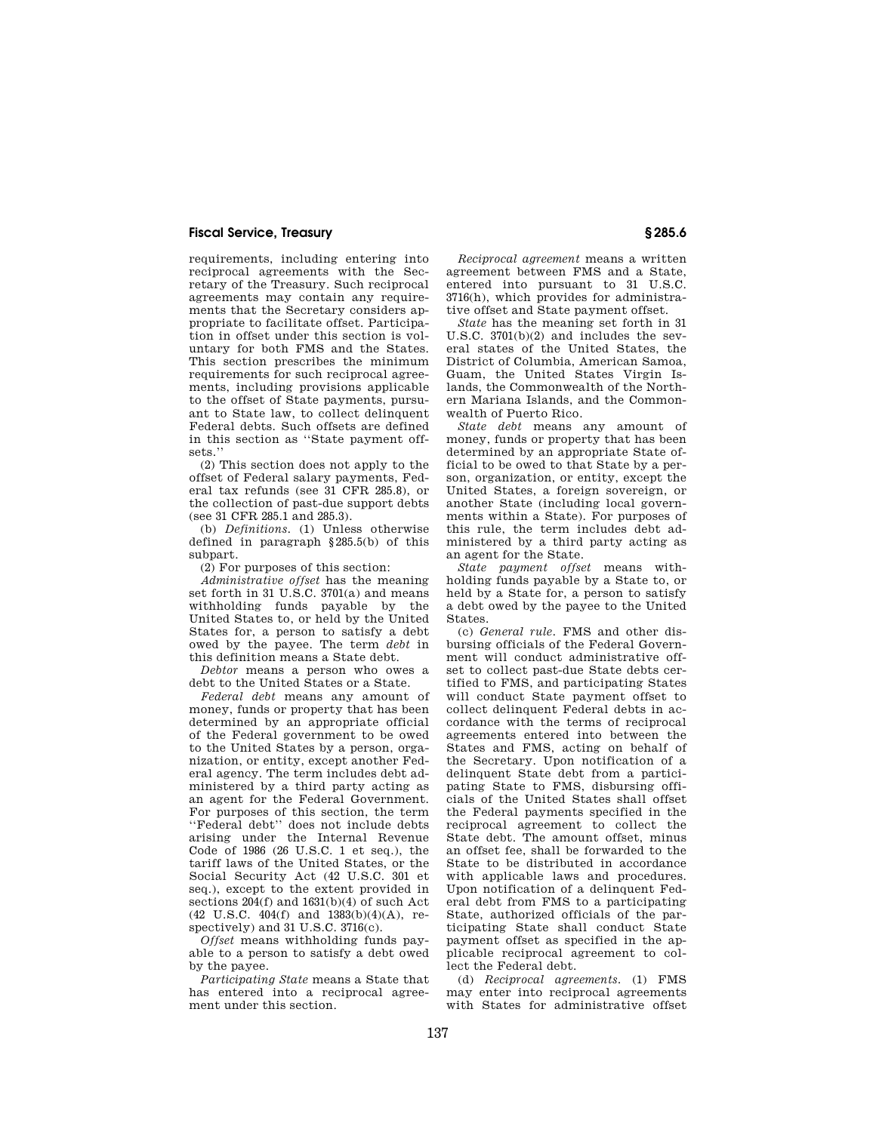requirements, including entering into reciprocal agreements with the Secretary of the Treasury. Such reciprocal agreements may contain any requirements that the Secretary considers appropriate to facilitate offset. Participation in offset under this section is voluntary for both FMS and the States. This section prescribes the minimum requirements for such reciprocal agreements, including provisions applicable to the offset of State payments, pursuant to State law, to collect delinquent Federal debts. Such offsets are defined in this section as ''State payment offsets.'

(2) This section does not apply to the offset of Federal salary payments, Federal tax refunds (see 31 CFR 285.8), or the collection of past-due support debts (see 31 CFR 285.1 and 285.3).

(b) *Definitions.* (1) Unless otherwise defined in paragraph §285.5(b) of this subpart.

(2) For purposes of this section:

*Administrative offset* has the meaning set forth in 31 U.S.C. 3701(a) and means withholding funds payable by the United States to, or held by the United States for, a person to satisfy a debt owed by the payee. The term *debt* in this definition means a State debt.

*Debtor* means a person who owes a debt to the United States or a State.

*Federal debt* means any amount of money, funds or property that has been determined by an appropriate official of the Federal government to be owed to the United States by a person, organization, or entity, except another Federal agency. The term includes debt administered by a third party acting as an agent for the Federal Government. For purposes of this section, the term ''Federal debt'' does not include debts arising under the Internal Revenue Code of 1986 (26 U.S.C. 1 et seq.), the tariff laws of the United States, or the Social Security Act (42 U.S.C. 301 et seq.), except to the extent provided in sections 204(f) and 1631(b)(4) of such Act (42 U.S.C. 404(f) and 1383(b)(4)(A), respectively) and 31 U.S.C. 3716(c).

*Offset* means withholding funds payable to a person to satisfy a debt owed by the payee.

*Participating State* means a State that has entered into a reciprocal agreement under this section.

*Reciprocal agreement* means a written agreement between FMS and a State, entered into pursuant to 31 U.S.C. 3716(h), which provides for administrative offset and State payment offset.

*State* has the meaning set forth in 31 U.S.C. 3701(b)(2) and includes the several states of the United States, the District of Columbia, American Samoa, Guam, the United States Virgin Islands, the Commonwealth of the Northern Mariana Islands, and the Commonwealth of Puerto Rico.

*State debt* means any amount of money, funds or property that has been determined by an appropriate State official to be owed to that State by a person, organization, or entity, except the United States, a foreign sovereign, or another State (including local governments within a State). For purposes of this rule, the term includes debt administered by a third party acting as an agent for the State.

*State payment offset* means withholding funds payable by a State to, or held by a State for, a person to satisfy a debt owed by the payee to the United **States** 

(c) *General rule.* FMS and other disbursing officials of the Federal Government will conduct administrative offset to collect past-due State debts certified to FMS, and participating States will conduct State payment offset to collect delinquent Federal debts in accordance with the terms of reciprocal agreements entered into between the States and FMS, acting on behalf of the Secretary. Upon notification of a delinquent State debt from a participating State to FMS, disbursing officials of the United States shall offset the Federal payments specified in the reciprocal agreement to collect the State debt. The amount offset, minus an offset fee, shall be forwarded to the State to be distributed in accordance with applicable laws and procedures. Upon notification of a delinquent Federal debt from FMS to a participating State, authorized officials of the participating State shall conduct State payment offset as specified in the applicable reciprocal agreement to col-.<br>lect the Federal debt.

(d) *Reciprocal agreements.* (1) FMS may enter into reciprocal agreements with States for administrative offset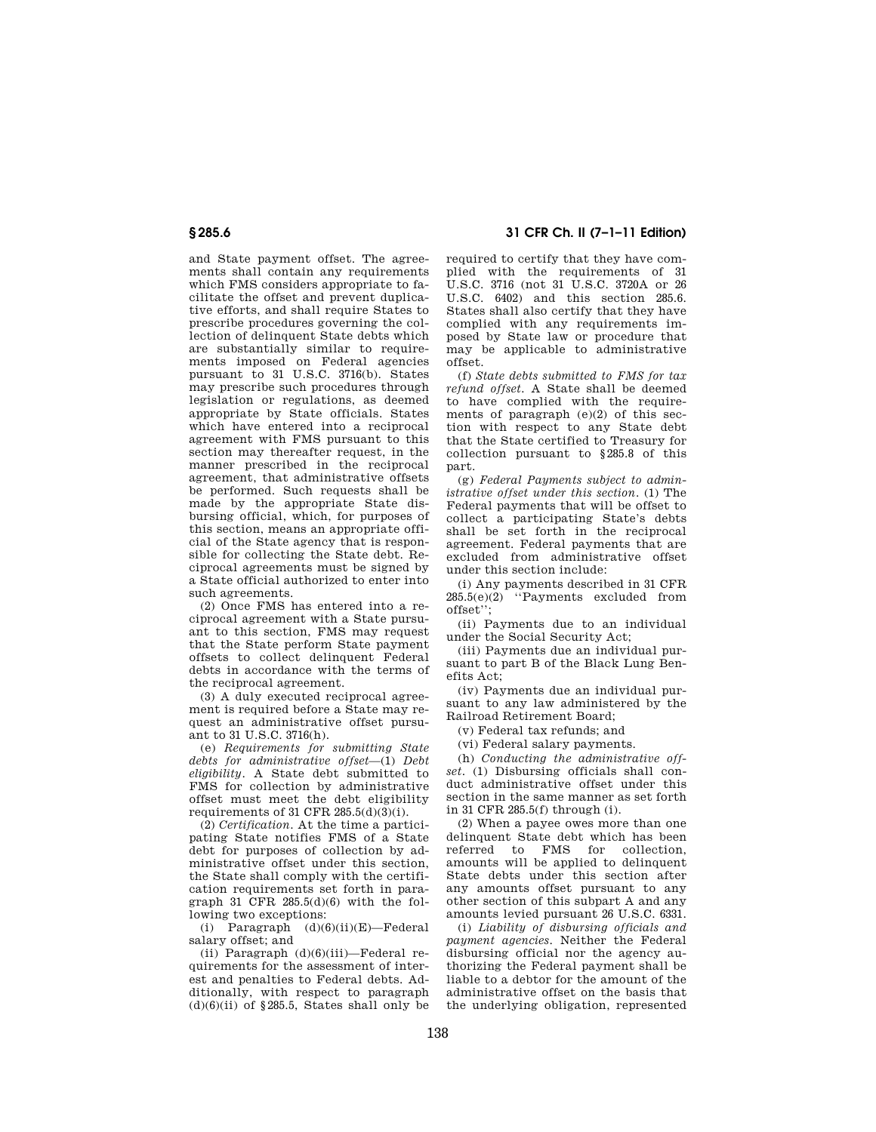and State payment offset. The agreements shall contain any requirements which FMS considers appropriate to facilitate the offset and prevent duplicative efforts, and shall require States to prescribe procedures governing the collection of delinquent State debts which are substantially similar to requirements imposed on Federal agencies pursuant to 31 U.S.C. 3716(b). States may prescribe such procedures through legislation or regulations, as deemed appropriate by State officials. States which have entered into a reciprocal agreement with FMS pursuant to this section may thereafter request, in the manner prescribed in the reciprocal agreement, that administrative offsets be performed. Such requests shall be made by the appropriate State disbursing official, which, for purposes of this section, means an appropriate official of the State agency that is responsible for collecting the State debt. Reciprocal agreements must be signed by a State official authorized to enter into such agreements.

(2) Once FMS has entered into a reciprocal agreement with a State pursuant to this section, FMS may request that the State perform State payment offsets to collect delinquent Federal debts in accordance with the terms of the reciprocal agreement.

(3) A duly executed reciprocal agreement is required before a State may request an administrative offset pursuant to 31 U.S.C. 3716(h).

(e) *Requirements for submitting State debts for administrative offset*—(1) *Debt eligibility*. A State debt submitted to FMS for collection by administrative offset must meet the debt eligibility requirements of 31 CFR  $285.5(d)(3)(i)$ .

(2) *Certification*. At the time a participating State notifies FMS of a State debt for purposes of collection by administrative offset under this section, the State shall comply with the certification requirements set forth in paragraph 31 CFR  $285.5(d)(6)$  with the following two exceptions:

(i) Paragraph  $(d)(6)(ii)(E)$ —Federal salary offset; and

(ii) Paragraph (d)(6)(iii)—Federal requirements for the assessment of interest and penalties to Federal debts. Additionally, with respect to paragraph  $(d)(6)(ii)$  of §285.5, States shall only be

# **§ 285.6 31 CFR Ch. II (7–1–11 Edition)**

required to certify that they have complied with the requirements of 31 U.S.C. 3716 (not 31 U.S.C. 3720A or 26 U.S.C. 6402) and this section 285.6. States shall also certify that they have complied with any requirements imposed by State law or procedure that may be applicable to administrative offset.

(f) *State debts submitted to FMS for tax refund offset.* A State shall be deemed to have complied with the requirements of paragraph (e)(2) of this section with respect to any State debt that the State certified to Treasury for collection pursuant to §285.8 of this part.

(g) *Federal Payments subject to administrative offset under this section*. (1) The Federal payments that will be offset to collect a participating State's debts shall be set forth in the reciprocal agreement. Federal payments that are excluded from administrative offset under this section include:

(i) Any payments described in 31 CFR  $285.5(e)(2)$  "Payments excluded from offset'';

(ii) Payments due to an individual under the Social Security Act;

(iii) Payments due an individual pursuant to part B of the Black Lung Benefits Act;

(iv) Payments due an individual pursuant to any law administered by the Railroad Retirement Board;

(v) Federal tax refunds; and

(vi) Federal salary payments.

(h) *Conducting the administrative offset*. (1) Disbursing officials shall conduct administrative offset under this section in the same manner as set forth in 31 CFR 285.5(f) through (i).

(2) When a payee owes more than one delinquent State debt which has been referred to FMS for collection, amounts will be applied to delinquent State debts under this section after any amounts offset pursuant to any other section of this subpart A and any amounts levied pursuant 26 U.S.C. 6331.

(i) *Liability of disbursing officials and payment agencies*. Neither the Federal disbursing official nor the agency authorizing the Federal payment shall be liable to a debtor for the amount of the administrative offset on the basis that the underlying obligation, represented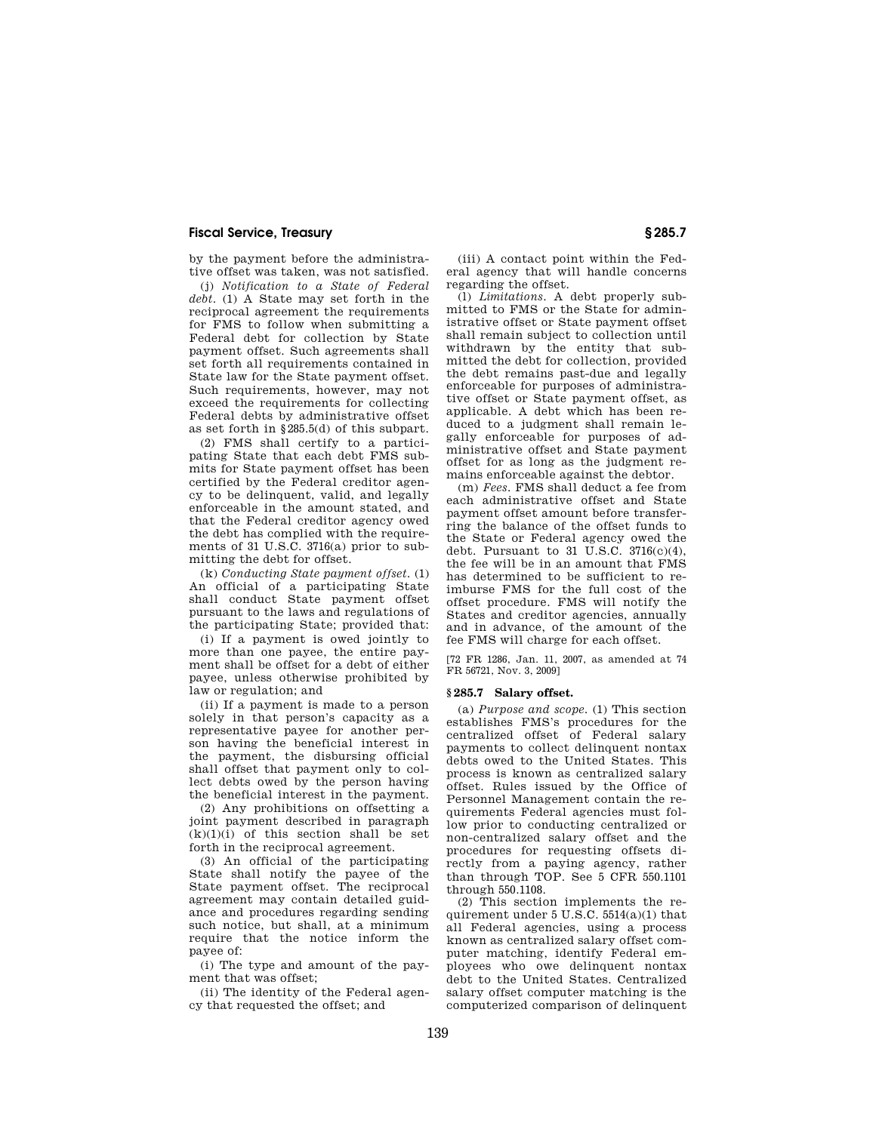by the payment before the administrative offset was taken, was not satisfied.

(j) *Notification to a State of Federal debt*. (1) A State may set forth in the reciprocal agreement the requirements for FMS to follow when submitting a Federal debt for collection by State payment offset. Such agreements shall set forth all requirements contained in State law for the State payment offset. Such requirements, however, may not exceed the requirements for collecting Federal debts by administrative offset as set forth in §285.5(d) of this subpart.

(2) FMS shall certify to a participating State that each debt FMS submits for State payment offset has been certified by the Federal creditor agency to be delinquent, valid, and legally enforceable in the amount stated, and that the Federal creditor agency owed the debt has complied with the requirements of 31 U.S.C. 3716(a) prior to submitting the debt for offset.

(k) *Conducting State payment offset.* (1) An official of a participating State shall conduct State payment offset pursuant to the laws and regulations of the participating State; provided that:

(i) If a payment is owed jointly to more than one payee, the entire payment shall be offset for a debt of either payee, unless otherwise prohibited by law or regulation; and

(ii) If a payment is made to a person solely in that person's capacity as a representative payee for another person having the beneficial interest in the payment, the disbursing official shall offset that payment only to collect debts owed by the person having the beneficial interest in the payment.

(2) Any prohibitions on offsetting a joint payment described in paragraph  $(k)(1)(i)$  of this section shall be set forth in the reciprocal agreement.

(3) An official of the participating State shall notify the payee of the State payment offset. The reciprocal agreement may contain detailed guidance and procedures regarding sending such notice, but shall, at a minimum require that the notice inform the payee of:

(i) The type and amount of the payment that was offset;

(ii) The identity of the Federal agency that requested the offset; and

(iii) A contact point within the Federal agency that will handle concerns regarding the offset.

(l) *Limitations*. A debt properly submitted to FMS or the State for administrative offset or State payment offset shall remain subject to collection until withdrawn by the entity that submitted the debt for collection, provided the debt remains past-due and legally enforceable for purposes of administrative offset or State payment offset, as applicable. A debt which has been reduced to a judgment shall remain legally enforceable for purposes of administrative offset and State payment offset for as long as the judgment remains enforceable against the debtor.

(m) *Fees*. FMS shall deduct a fee from each administrative offset and State payment offset amount before transferring the balance of the offset funds to the State or Federal agency owed the debt. Pursuant to 31 U.S.C.  $3716(c)(4)$ , the fee will be in an amount that FMS has determined to be sufficient to reimburse FMS for the full cost of the offset procedure. FMS will notify the States and creditor agencies, annually and in advance, of the amount of the fee FMS will charge for each offset.

[72 FR 1286, Jan. 11, 2007, as amended at 74 FR 56721, Nov. 3, 2009]

#### **§ 285.7 Salary offset.**

(a) *Purpose and scope.* (1) This section establishes FMS's procedures for the centralized offset of Federal salary payments to collect delinquent nontax debts owed to the United States. This process is known as centralized salary offset. Rules issued by the Office of Personnel Management contain the requirements Federal agencies must follow prior to conducting centralized or non-centralized salary offset and the procedures for requesting offsets directly from a paying agency, rather than through TOP. See 5 CFR 550.1101 through 550.1108.

(2) This section implements the requirement under 5 U.S.C. 5514(a)(1) that all Federal agencies, using a process known as centralized salary offset computer matching, identify Federal employees who owe delinquent nontax debt to the United States. Centralized salary offset computer matching is the computerized comparison of delinquent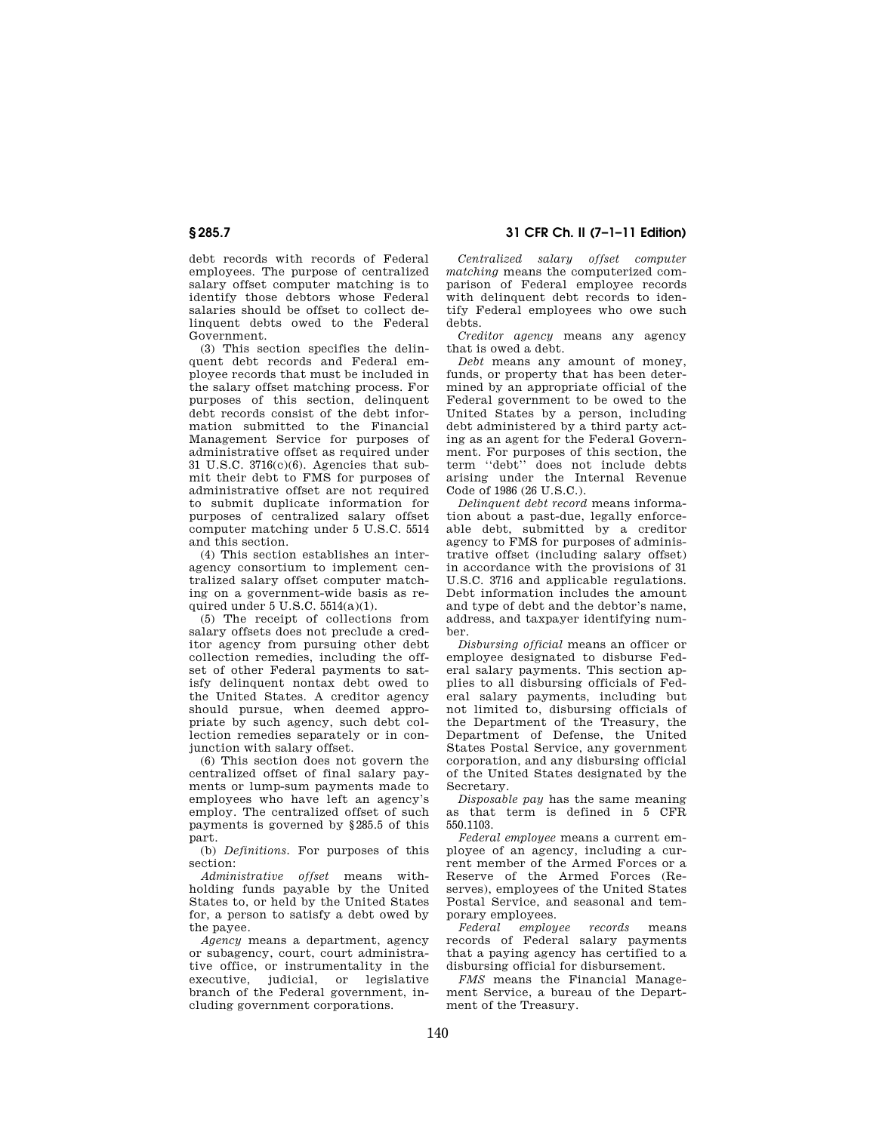debt records with records of Federal employees. The purpose of centralized salary offset computer matching is to identify those debtors whose Federal salaries should be offset to collect delinquent debts owed to the Federal Government.

(3) This section specifies the delinquent debt records and Federal employee records that must be included in the salary offset matching process. For purposes of this section, delinquent debt records consist of the debt information submitted to the Financial Management Service for purposes of administrative offset as required under 31 U.S.C. 3716(c)(6). Agencies that submit their debt to FMS for purposes of administrative offset are not required to submit duplicate information for purposes of centralized salary offset computer matching under 5 U.S.C. 5514 and this section.

(4) This section establishes an interagency consortium to implement centralized salary offset computer matching on a government-wide basis as required under  $5$  U.S.C.  $5514(a)(1)$ .

(5) The receipt of collections from salary offsets does not preclude a creditor agency from pursuing other debt collection remedies, including the offset of other Federal payments to satisfy delinquent nontax debt owed to the United States. A creditor agency should pursue, when deemed appropriate by such agency, such debt collection remedies separately or in conjunction with salary offset.

(6) This section does not govern the centralized offset of final salary payments or lump-sum payments made to employees who have left an agency's employ. The centralized offset of such payments is governed by §285.5 of this part.

(b) *Definitions.* For purposes of this section:

*Administrative offset* means withholding funds payable by the United States to, or held by the United States for, a person to satisfy a debt owed by the payee.

*Agency* means a department, agency or subagency, court, court administrative office, or instrumentality in the executive, judicial, or legislative branch of the Federal government, including government corporations.

**§ 285.7 31 CFR Ch. II (7–1–11 Edition)** 

*Centralized salary offset computer matching* means the computerized comparison of Federal employee records with delinquent debt records to identify Federal employees who owe such debts.

*Creditor agency* means any agency that is owed a debt.

*Debt* means any amount of money, funds, or property that has been determined by an appropriate official of the Federal government to be owed to the United States by a person, including debt administered by a third party acting as an agent for the Federal Government. For purposes of this section, the term ''debt'' does not include debts arising under the Internal Revenue Code of 1986 (26 U.S.C.).

*Delinquent debt record* means information about a past-due, legally enforceable debt, submitted by a creditor agency to FMS for purposes of administrative offset (including salary offset) in accordance with the provisions of 31 U.S.C. 3716 and applicable regulations. Debt information includes the amount and type of debt and the debtor's name, address, and taxpayer identifying number.

*Disbursing official* means an officer or employee designated to disburse Federal salary payments. This section applies to all disbursing officials of Federal salary payments, including but not limited to, disbursing officials of the Department of the Treasury, the Department of Defense, the United States Postal Service, any government corporation, and any disbursing official of the United States designated by the Secretary.

*Disposable pay* has the same meaning as that term is defined in 5 CFR 550.1103.

*Federal employee* means a current employee of an agency, including a current member of the Armed Forces or a Reserve of the Armed Forces (Reserves), employees of the United States Postal Service, and seasonal and temporary employees.

*Federal employee records* means records of Federal salary payments that a paying agency has certified to a disbursing official for disbursement.

*FMS* means the Financial Management Service, a bureau of the Department of the Treasury.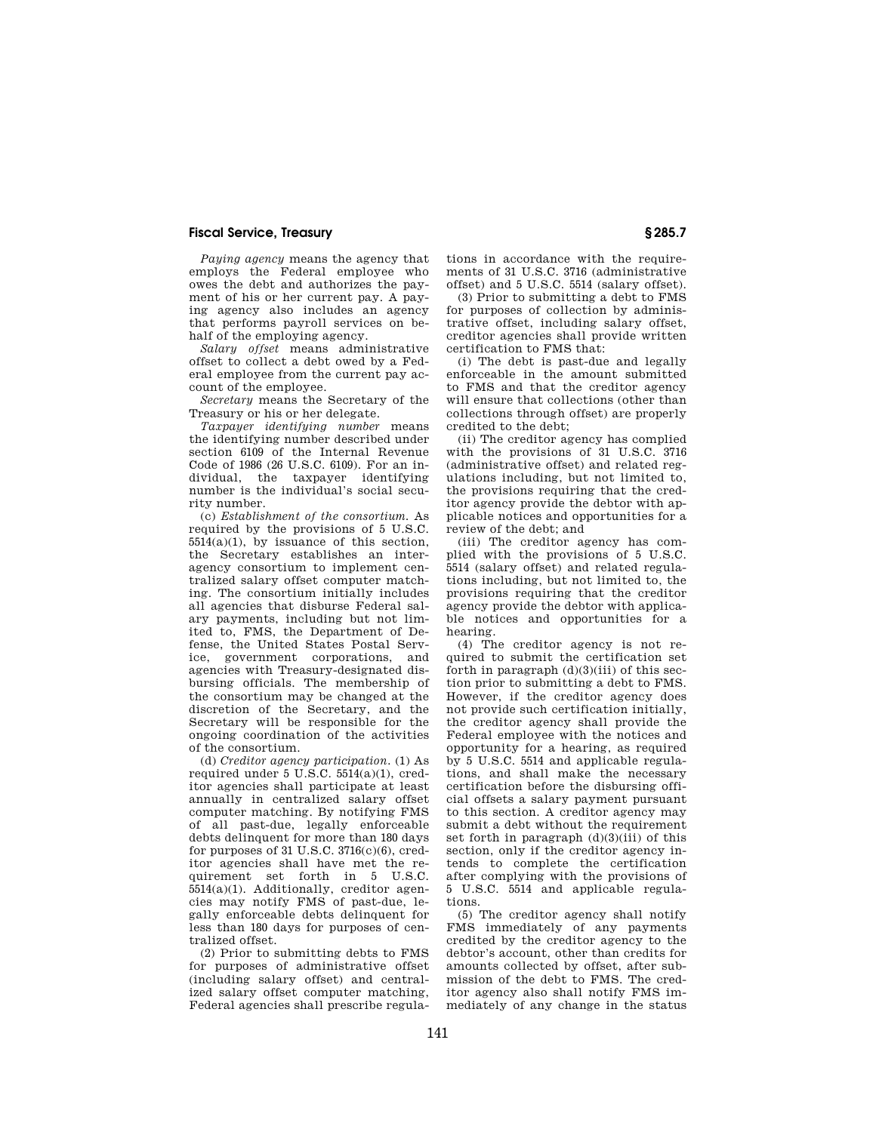*Paying agency* means the agency that employs the Federal employee who owes the debt and authorizes the payment of his or her current pay. A paying agency also includes an agency that performs payroll services on behalf of the employing agency.

*Salary offset* means administrative offset to collect a debt owed by a Federal employee from the current pay account of the employee.

*Secretary* means the Secretary of the Treasury or his or her delegate.

*Taxpayer identifying number* means the identifying number described under section 6109 of the Internal Revenue Code of 1986 (26 U.S.C. 6109). For an individual, the taxpayer identifying number is the individual's social security number.

(c) *Establishment of the consortium.* As required by the provisions of 5 U.S.C.  $5514(a)(1)$ , by issuance of this section, the Secretary establishes an interagency consortium to implement centralized salary offset computer matching. The consortium initially includes all agencies that disburse Federal salary payments, including but not limited to, FMS, the Department of Defense, the United States Postal Service, government corporations, and agencies with Treasury-designated disbursing officials. The membership of the consortium may be changed at the discretion of the Secretary, and the Secretary will be responsible for the ongoing coordination of the activities of the consortium.

(d) *Creditor agency participation.* (1) As required under 5 U.S.C. 5514(a)(1), creditor agencies shall participate at least annually in centralized salary offset computer matching. By notifying FMS of all past-due, legally enforceable debts delinquent for more than 180 days for purposes of 31 U.S.C. 3716(c)(6), creditor agencies shall have met the requirement set forth in 5 U.S.C. 5514(a)(1). Additionally, creditor agencies may notify FMS of past-due, legally enforceable debts delinquent for less than 180 days for purposes of centralized offset.

(2) Prior to submitting debts to FMS for purposes of administrative offset (including salary offset) and centralized salary offset computer matching, Federal agencies shall prescribe regulations in accordance with the requirements of 31 U.S.C. 3716 (administrative offset) and 5 U.S.C. 5514 (salary offset).

(3) Prior to submitting a debt to FMS for purposes of collection by administrative offset, including salary offset, creditor agencies shall provide written certification to FMS that:

(i) The debt is past-due and legally enforceable in the amount submitted to FMS and that the creditor agency will ensure that collections (other than collections through offset) are properly credited to the debt;

(ii) The creditor agency has complied with the provisions of 31 U.S.C. 3716 (administrative offset) and related regulations including, but not limited to, the provisions requiring that the creditor agency provide the debtor with applicable notices and opportunities for a review of the debt; and

(iii) The creditor agency has complied with the provisions of 5 U.S.C. 5514 (salary offset) and related regulations including, but not limited to, the provisions requiring that the creditor agency provide the debtor with applicable notices and opportunities for a hearing.

(4) The creditor agency is not required to submit the certification set forth in paragraph  $(d)(3)(iii)$  of this section prior to submitting a debt to FMS. However, if the creditor agency does not provide such certification initially, the creditor agency shall provide the Federal employee with the notices and opportunity for a hearing, as required by 5 U.S.C. 5514 and applicable regulations, and shall make the necessary certification before the disbursing official offsets a salary payment pursuant to this section. A creditor agency may submit a debt without the requirement set forth in paragraph  $(d)(3)(iii)$  of this section, only if the creditor agency intends to complete the certification after complying with the provisions of 5 U.S.C. 5514 and applicable regulations.

(5) The creditor agency shall notify FMS immediately of any payments credited by the creditor agency to the debtor's account, other than credits for amounts collected by offset, after submission of the debt to FMS. The creditor agency also shall notify FMS immediately of any change in the status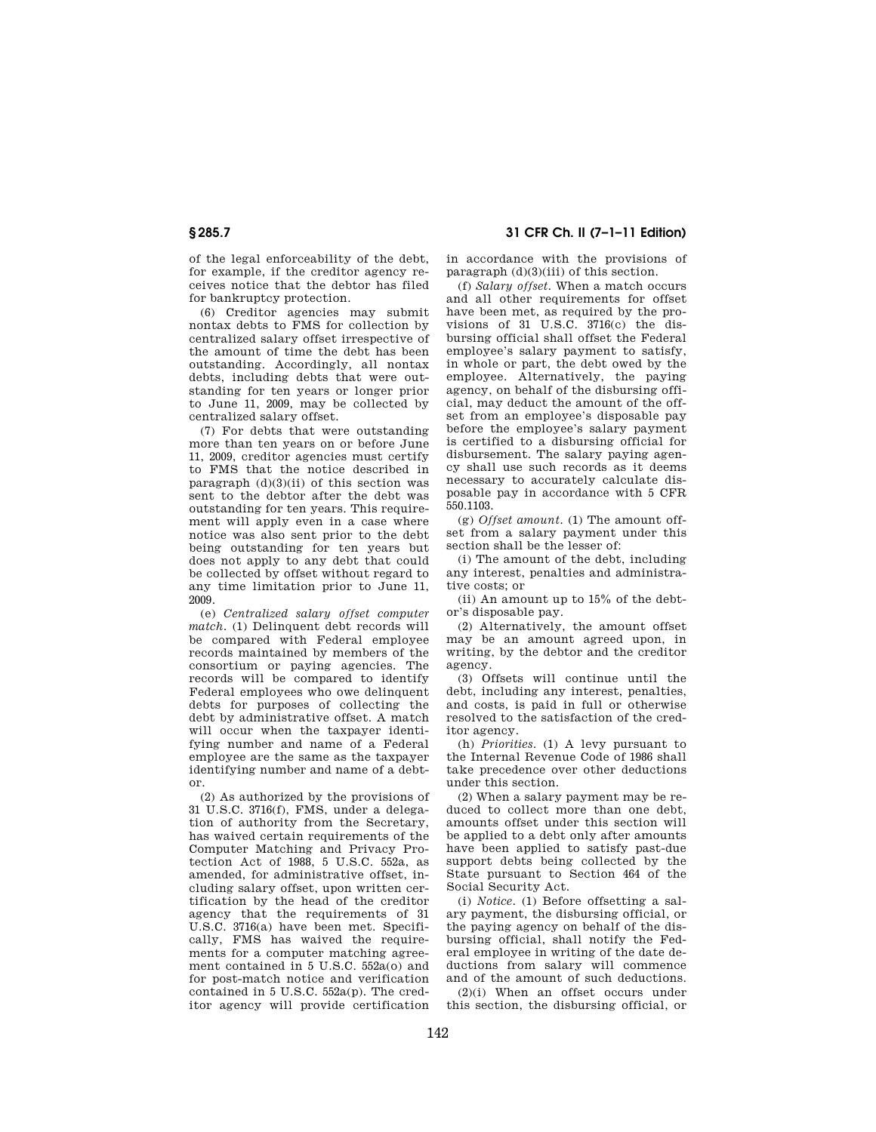of the legal enforceability of the debt, for example, if the creditor agency receives notice that the debtor has filed for bankruptcy protection.

(6) Creditor agencies may submit nontax debts to FMS for collection by centralized salary offset irrespective of the amount of time the debt has been outstanding. Accordingly, all nontax debts, including debts that were outstanding for ten years or longer prior to June 11, 2009, may be collected by centralized salary offset.

(7) For debts that were outstanding more than ten years on or before June 11, 2009, creditor agencies must certify to FMS that the notice described in paragraph  $(d)(3)(ii)$  of this section was sent to the debtor after the debt was outstanding for ten years. This requirement will apply even in a case where notice was also sent prior to the debt being outstanding for ten years but does not apply to any debt that could be collected by offset without regard to any time limitation prior to June 11, 2009.

(e) *Centralized salary offset computer match.* (1) Delinquent debt records will be compared with Federal employee records maintained by members of the consortium or paying agencies. The records will be compared to identify Federal employees who owe delinquent debts for purposes of collecting the debt by administrative offset. A match will occur when the taxpayer identifying number and name of a Federal employee are the same as the taxpayer identifying number and name of a debtor.

(2) As authorized by the provisions of 31 U.S.C. 3716(f), FMS, under a delegation of authority from the Secretary, has waived certain requirements of the Computer Matching and Privacy Protection Act of 1988, 5 U.S.C. 552a, as amended, for administrative offset, including salary offset, upon written certification by the head of the creditor agency that the requirements of 31 U.S.C. 3716(a) have been met. Specifically, FMS has waived the requirements for a computer matching agreement contained in 5 U.S.C. 552a(o) and for post-match notice and verification contained in 5 U.S.C. 552a(p). The creditor agency will provide certification

**§ 285.7 31 CFR Ch. II (7–1–11 Edition)** 

in accordance with the provisions of paragraph  $(d)(3)(iii)$  of this section.

(f) *Salary offset.* When a match occurs and all other requirements for offset have been met, as required by the provisions of 31 U.S.C. 3716(c) the disbursing official shall offset the Federal employee's salary payment to satisfy, in whole or part, the debt owed by the employee. Alternatively, the paying agency, on behalf of the disbursing official, may deduct the amount of the offset from an employee's disposable pay before the employee's salary payment is certified to a disbursing official for disbursement. The salary paying agency shall use such records as it deems necessary to accurately calculate disposable pay in accordance with 5 CFR 550.1103.

(g) *Offset amount.* (1) The amount offset from a salary payment under this section shall be the lesser of:

(i) The amount of the debt, including any interest, penalties and administrative costs; or

(ii) An amount up to 15% of the debtor's disposable pay.

(2) Alternatively, the amount offset may be an amount agreed upon, in writing, by the debtor and the creditor agency.

(3) Offsets will continue until the debt, including any interest, penalties, and costs, is paid in full or otherwise resolved to the satisfaction of the creditor agency.

(h) *Priorities.* (1) A levy pursuant to the Internal Revenue Code of 1986 shall take precedence over other deductions under this section.

(2) When a salary payment may be reduced to collect more than one debt, amounts offset under this section will be applied to a debt only after amounts have been applied to satisfy past-due support debts being collected by the State pursuant to Section 464 of the Social Security Act.

(i) *Notice.* (1) Before offsetting a salary payment, the disbursing official, or the paying agency on behalf of the disbursing official, shall notify the Federal employee in writing of the date deductions from salary will commence and of the amount of such deductions.

(2)(i) When an offset occurs under this section, the disbursing official, or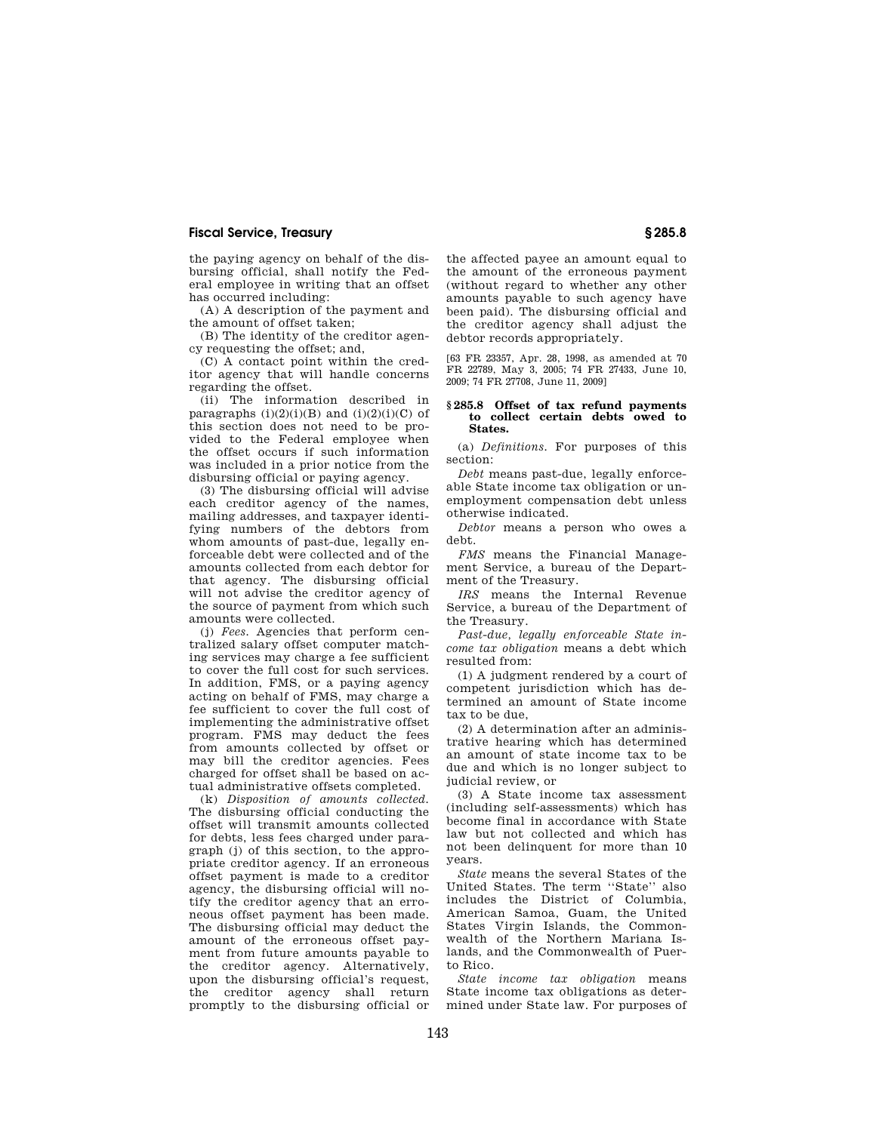the paying agency on behalf of the disbursing official, shall notify the Federal employee in writing that an offset has occurred including:

(A) A description of the payment and the amount of offset taken;

(B) The identity of the creditor agency requesting the offset; and,

(C) A contact point within the creditor agency that will handle concerns regarding the offset.

(ii) The information described in paragraphs  $(i)(2)(i)(B)$  and  $(i)(2)(i)(C)$  of this section does not need to be provided to the Federal employee when the offset occurs if such information was included in a prior notice from the disbursing official or paying agency.

(3) The disbursing official will advise each creditor agency of the names, mailing addresses, and taxpayer identifying numbers of the debtors from whom amounts of past-due, legally enforceable debt were collected and of the amounts collected from each debtor for that agency. The disbursing official will not advise the creditor agency of the source of payment from which such amounts were collected.

(j) *Fees.* Agencies that perform centralized salary offset computer matching services may charge a fee sufficient to cover the full cost for such services. In addition, FMS, or a paying agency acting on behalf of FMS, may charge a fee sufficient to cover the full cost of implementing the administrative offset program. FMS may deduct the fees from amounts collected by offset or may bill the creditor agencies. Fees charged for offset shall be based on actual administrative offsets completed.

(k) *Disposition of amounts collected.*  The disbursing official conducting the offset will transmit amounts collected for debts, less fees charged under paragraph (j) of this section, to the appropriate creditor agency. If an erroneous offset payment is made to a creditor agency, the disbursing official will notify the creditor agency that an erroneous offset payment has been made. The disbursing official may deduct the amount of the erroneous offset payment from future amounts payable to the creditor agency. Alternatively, upon the disbursing official's request, the creditor agency shall return promptly to the disbursing official or

the affected payee an amount equal to the amount of the erroneous payment (without regard to whether any other amounts payable to such agency have been paid). The disbursing official and the creditor agency shall adjust the debtor records appropriately.

[63 FR 23357, Apr. 28, 1998, as amended at 70 FR 22789, May 3, 2005; 74 FR 27433, June 10, 2009; 74 FR 27708, June 11, 2009]

#### **§ 285.8 Offset of tax refund payments to collect certain debts owed to States.**

(a) *Definitions.* For purposes of this section:

*Debt* means past-due, legally enforceable State income tax obligation or unemployment compensation debt unless otherwise indicated.

*Debtor* means a person who owes a debt.

*FMS* means the Financial Management Service, a bureau of the Department of the Treasury.

*IRS* means the Internal Revenue Service, a bureau of the Department of the Treasury.

*Past-due, legally enforceable State income tax obligation* means a debt which resulted from:

(1) A judgment rendered by a court of competent jurisdiction which has determined an amount of State income tax to be due,

(2) A determination after an administrative hearing which has determined an amount of state income tax to be due and which is no longer subject to judicial review, or

(3) A State income tax assessment (including self-assessments) which has become final in accordance with State law but not collected and which has not been delinquent for more than 10 years.

*State* means the several States of the United States. The term ''State'' also includes the District of Columbia, American Samoa, Guam, the United States Virgin Islands, the Commonwealth of the Northern Mariana Islands, and the Commonwealth of Puerto Rico.

*State income tax obligation* means State income tax obligations as determined under State law. For purposes of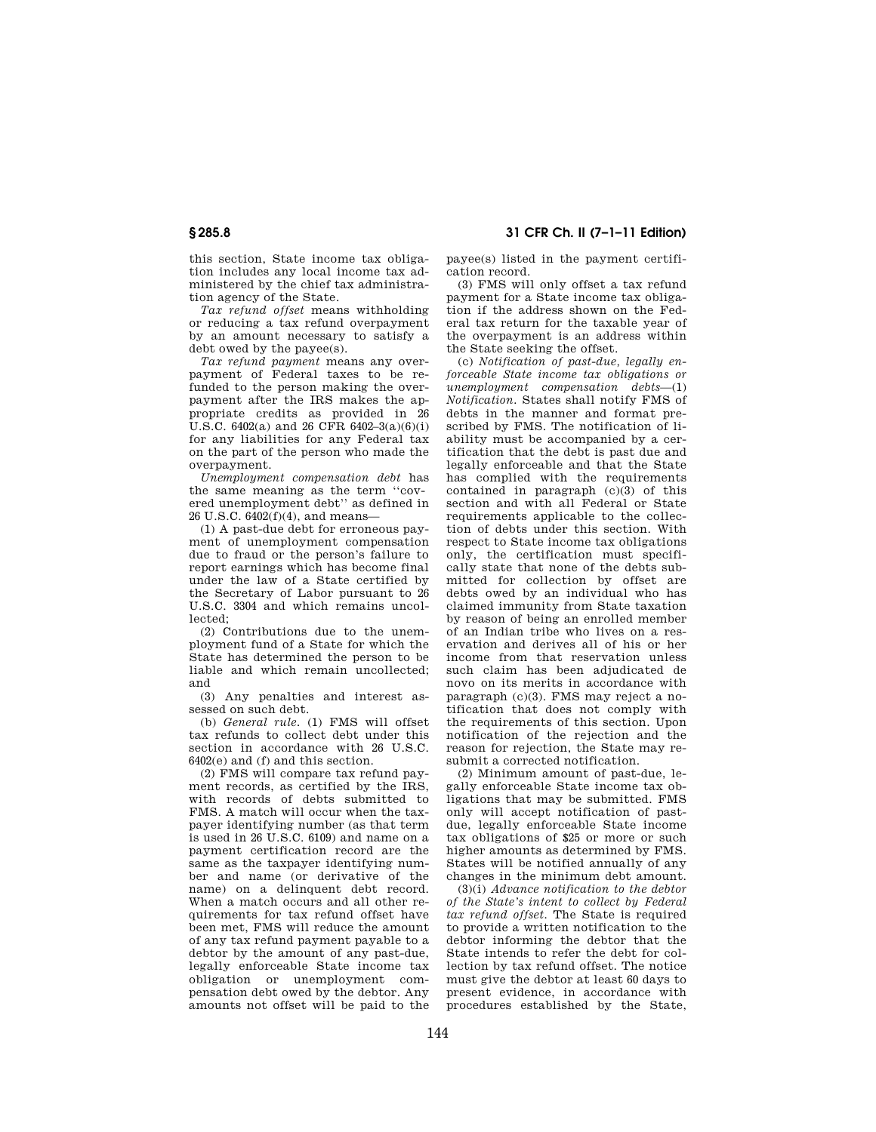this section, State income tax obligation includes any local income tax administered by the chief tax administration agency of the State.

*Tax refund offset* means withholding or reducing a tax refund overpayment by an amount necessary to satisfy a debt owed by the payee(s).

*Tax refund payment* means any overpayment of Federal taxes to be refunded to the person making the overpayment after the IRS makes the appropriate credits as provided in 26 U.S.C.  $6402(a)$  and 26 CFR  $6402-3(a)(6)(i)$ for any liabilities for any Federal tax on the part of the person who made the overpayment.

*Unemployment compensation debt* has the same meaning as the term ''covered unemployment debt'' as defined in 26 U.S.C. 6402(f)(4), and means—

(1) A past-due debt for erroneous payment of unemployment compensation due to fraud or the person's failure to report earnings which has become final under the law of a State certified by the Secretary of Labor pursuant to 26 U.S.C. 3304 and which remains uncollected;

(2) Contributions due to the unemployment fund of a State for which the State has determined the person to be liable and which remain uncollected; and

(3) Any penalties and interest assessed on such debt.

(b) *General rule.* (1) FMS will offset tax refunds to collect debt under this section in accordance with 26 U.S.C. 6402(e) and (f) and this section.

(2) FMS will compare tax refund payment records, as certified by the IRS, with records of debts submitted to FMS. A match will occur when the taxpayer identifying number (as that term is used in 26 U.S.C. 6109) and name on a payment certification record are the same as the taxpayer identifying number and name (or derivative of the name) on a delinquent debt record. When a match occurs and all other requirements for tax refund offset have been met, FMS will reduce the amount of any tax refund payment payable to a debtor by the amount of any past-due, legally enforceable State income tax obligation or unemployment compensation debt owed by the debtor. Any amounts not offset will be paid to the

payee(s) listed in the payment certification record.

(3) FMS will only offset a tax refund payment for a State income tax obligation if the address shown on the Federal tax return for the taxable year of the overpayment is an address within the State seeking the offset.

(c) *Notification of past-due, legally enforceable State income tax obligations or unemployment compensation debts*—(1) *Notification.* States shall notify FMS of debts in the manner and format prescribed by FMS. The notification of liability must be accompanied by a certification that the debt is past due and legally enforceable and that the State has complied with the requirements contained in paragraph (c)(3) of this section and with all Federal or State requirements applicable to the collection of debts under this section. With respect to State income tax obligations only, the certification must specifically state that none of the debts submitted for collection by offset are debts owed by an individual who has claimed immunity from State taxation by reason of being an enrolled member of an Indian tribe who lives on a reservation and derives all of his or her income from that reservation unless such claim has been adjudicated de novo on its merits in accordance with paragraph (c)(3). FMS may reject a notification that does not comply with the requirements of this section. Upon notification of the rejection and the reason for rejection, the State may resubmit a corrected notification.

(2) Minimum amount of past-due, legally enforceable State income tax obligations that may be submitted. FMS only will accept notification of pastdue, legally enforceable State income tax obligations of \$25 or more or such higher amounts as determined by FMS. States will be notified annually of any changes in the minimum debt amount.

(3)(i) *Advance notification to the debtor of the State's intent to collect by Federal tax refund offset.* The State is required to provide a written notification to the debtor informing the debtor that the State intends to refer the debt for collection by tax refund offset. The notice must give the debtor at least 60 days to present evidence, in accordance with procedures established by the State,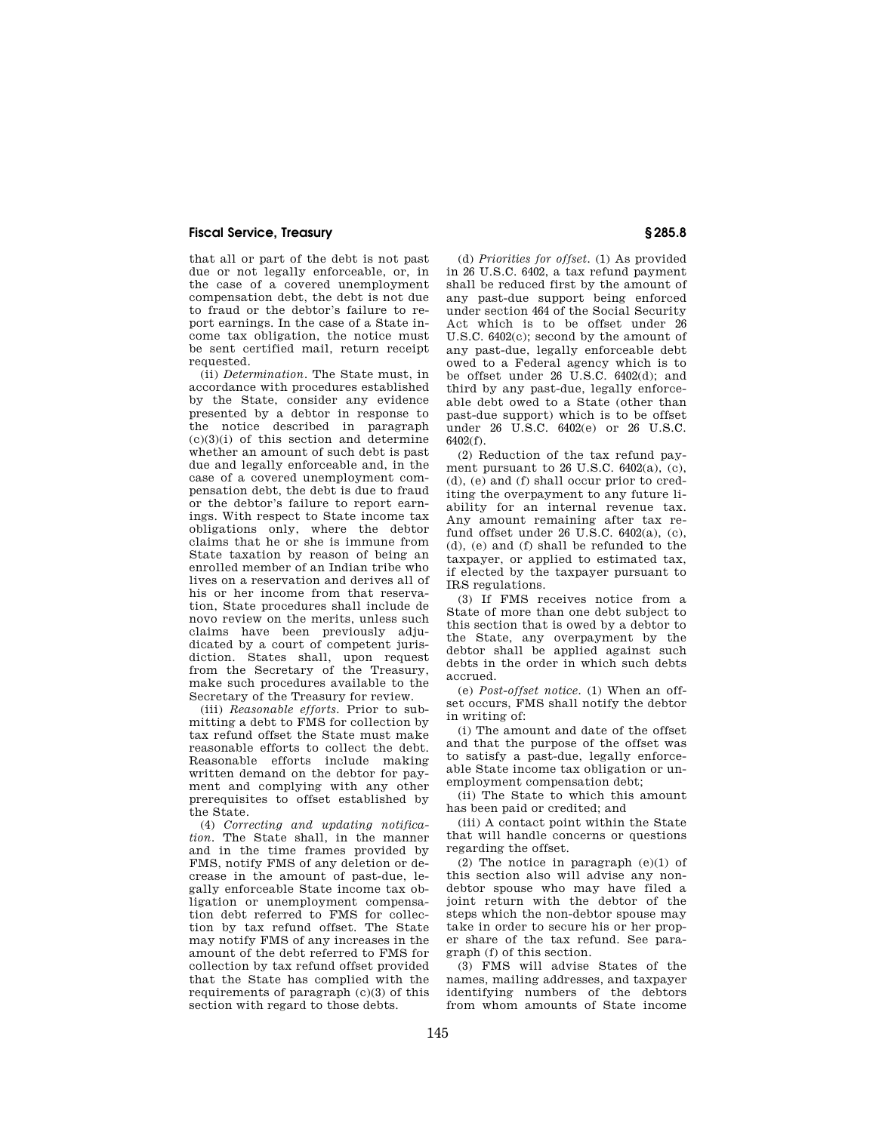that all or part of the debt is not past due or not legally enforceable, or, in the case of a covered unemployment compensation debt, the debt is not due to fraud or the debtor's failure to report earnings. In the case of a State income tax obligation, the notice must be sent certified mail, return receipt requested.

(ii) *Determination.* The State must, in accordance with procedures established by the State, consider any evidence presented by a debtor in response to the notice described in paragraph  $(c)(3)(i)$  of this section and determine whether an amount of such debt is past due and legally enforceable and, in the case of a covered unemployment compensation debt, the debt is due to fraud or the debtor's failure to report earnings. With respect to State income tax obligations only, where the debtor claims that he or she is immune from State taxation by reason of being an enrolled member of an Indian tribe who lives on a reservation and derives all of his or her income from that reservation, State procedures shall include de novo review on the merits, unless such claims have been previously adjudicated by a court of competent jurisdiction. States shall, upon request from the Secretary of the Treasury, make such procedures available to the Secretary of the Treasury for review.

(iii) *Reasonable efforts.* Prior to submitting a debt to FMS for collection by tax refund offset the State must make reasonable efforts to collect the debt. Reasonable efforts include making written demand on the debtor for payment and complying with any other prerequisites to offset established by the State.

(4) *Correcting and updating notification.* The State shall, in the manner and in the time frames provided by FMS, notify FMS of any deletion or decrease in the amount of past-due, legally enforceable State income tax obligation or unemployment compensation debt referred to FMS for collection by tax refund offset. The State may notify FMS of any increases in the amount of the debt referred to FMS for collection by tax refund offset provided that the State has complied with the requirements of paragraph (c)(3) of this section with regard to those debts.

(d) *Priorities for offset.* (1) As provided in 26 U.S.C. 6402, a tax refund payment shall be reduced first by the amount of any past-due support being enforced under section 464 of the Social Security Act which is to be offset under 26 U.S.C. 6402(c); second by the amount of any past-due, legally enforceable debt owed to a Federal agency which is to be offset under 26 U.S.C. 6402(d); and third by any past-due, legally enforceable debt owed to a State (other than past-due support) which is to be offset under 26 U.S.C. 6402(e) or 26 U.S.C. 6402(f).

(2) Reduction of the tax refund payment pursuant to  $26$  U.S.C.  $6402(a)$ , (c), (d), (e) and (f) shall occur prior to crediting the overpayment to any future liability for an internal revenue tax. Any amount remaining after tax refund offset under 26 U.S.C. 6402(a), (c), (d), (e) and (f) shall be refunded to the taxpayer, or applied to estimated tax, if elected by the taxpayer pursuant to IRS regulations.

(3) If FMS receives notice from a State of more than one debt subject to this section that is owed by a debtor to the State, any overpayment by the debtor shall be applied against such debts in the order in which such debts accrued.

(e) *Post-offset notice.* (1) When an offset occurs, FMS shall notify the debtor in writing of:

(i) The amount and date of the offset and that the purpose of the offset was to satisfy a past-due, legally enforceable State income tax obligation or unemployment compensation debt;

(ii) The State to which this amount has been paid or credited; and

(iii) A contact point within the State that will handle concerns or questions regarding the offset.

(2) The notice in paragraph (e)(1) of this section also will advise any nondebtor spouse who may have filed a joint return with the debtor of the steps which the non-debtor spouse may take in order to secure his or her proper share of the tax refund. See paragraph (f) of this section.

(3) FMS will advise States of the names, mailing addresses, and taxpayer identifying numbers of the debtors from whom amounts of State income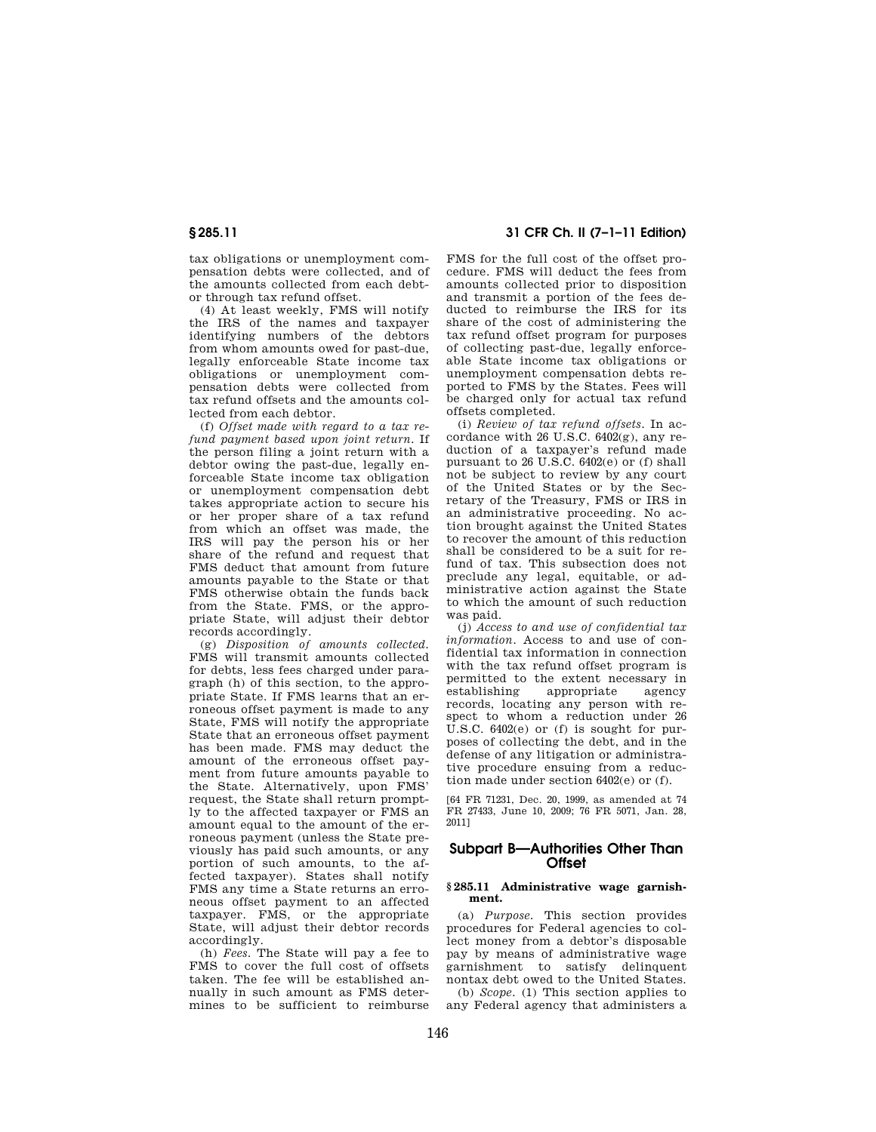tax obligations or unemployment compensation debts were collected, and of the amounts collected from each debtor through tax refund offset.

(4) At least weekly, FMS will notify the IRS of the names and taxpayer identifying numbers of the debtors from whom amounts owed for past-due, legally enforceable State income tax obligations or unemployment compensation debts were collected from tax refund offsets and the amounts collected from each debtor.

(f) *Offset made with regard to a tax refund payment based upon joint return.* If the person filing a joint return with a debtor owing the past-due, legally enforceable State income tax obligation or unemployment compensation debt takes appropriate action to secure his or her proper share of a tax refund from which an offset was made, the IRS will pay the person his or her share of the refund and request that FMS deduct that amount from future amounts payable to the State or that FMS otherwise obtain the funds back from the State. FMS, or the appropriate State, will adjust their debtor records accordingly.

(g) *Disposition of amounts collected.*  FMS will transmit amounts collected for debts, less fees charged under paragraph (h) of this section, to the appropriate State. If FMS learns that an erroneous offset payment is made to any State, FMS will notify the appropriate State that an erroneous offset payment has been made. FMS may deduct the amount of the erroneous offset payment from future amounts payable to the State. Alternatively, upon FMS' request, the State shall return promptly to the affected taxpayer or FMS an amount equal to the amount of the erroneous payment (unless the State previously has paid such amounts, or any portion of such amounts, to the affected taxpayer). States shall notify FMS any time a State returns an erroneous offset payment to an affected taxpayer. FMS, or the appropriate State, will adjust their debtor records accordingly.

(h) *Fees.* The State will pay a fee to FMS to cover the full cost of offsets taken. The fee will be established annually in such amount as FMS determines to be sufficient to reimburse

# **§ 285.11 31 CFR Ch. II (7–1–11 Edition)**

FMS for the full cost of the offset procedure. FMS will deduct the fees from amounts collected prior to disposition and transmit a portion of the fees deducted to reimburse the IRS for its share of the cost of administering the tax refund offset program for purposes of collecting past-due, legally enforceable State income tax obligations or unemployment compensation debts reported to FMS by the States. Fees will be charged only for actual tax refund offsets completed.

(i) *Review of tax refund offsets.* In accordance with  $26$  U.S.C.  $6402(g)$ , any reduction of a taxpayer's refund made pursuant to 26 U.S.C. 6402(e) or (f) shall not be subject to review by any court of the United States or by the Secretary of the Treasury, FMS or IRS in an administrative proceeding. No action brought against the United States to recover the amount of this reduction shall be considered to be a suit for refund of tax. This subsection does not preclude any legal, equitable, or administrative action against the State to which the amount of such reduction was paid.

(j) *Access to and use of confidential tax information.* Access to and use of confidential tax information in connection with the tax refund offset program is permitted to the extent necessary in<br>establishing appropriate agency appropriate agency records, locating any person with respect to whom a reduction under 26  $U.S.C. 6402(e)$  or (f) is sought for purposes of collecting the debt, and in the defense of any litigation or administrative procedure ensuing from a reduction made under section 6402(e) or (f).

[64 FR 71231, Dec. 20, 1999, as amended at 74 FR 27433, June 10, 2009; 76 FR 5071, Jan. 28, 2011]

# **Subpart B—Authorities Other Than Offset**

#### **§ 285.11 Administrative wage garnishment.**

(a) *Purpose.* This section provides procedures for Federal agencies to collect money from a debtor's disposable pay by means of administrative wage garnishment to satisfy delinquent nontax debt owed to the United States.

(b) *Scope.* (1) This section applies to any Federal agency that administers a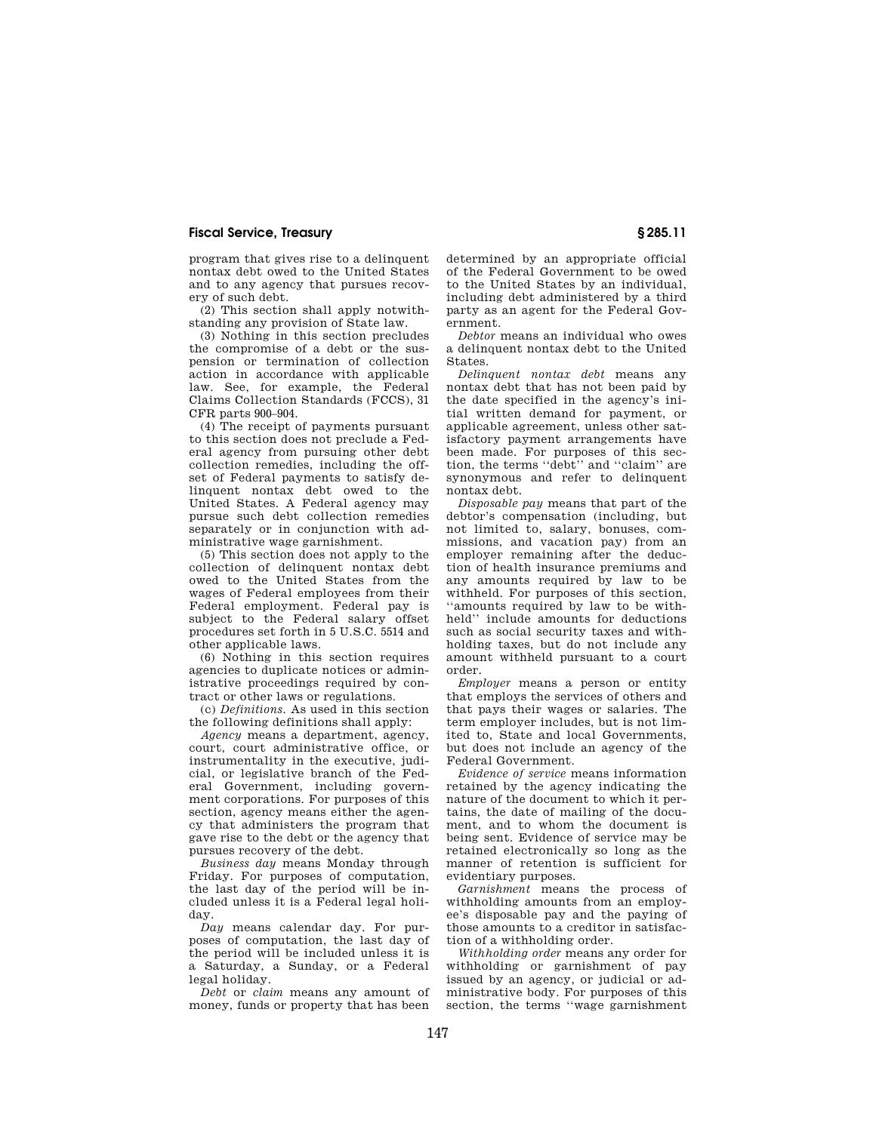program that gives rise to a delinquent nontax debt owed to the United States and to any agency that pursues recovery of such debt.

(2) This section shall apply notwithstanding any provision of State law.

(3) Nothing in this section precludes the compromise of a debt or the suspension or termination of collection action in accordance with applicable law. See, for example, the Federal Claims Collection Standards (FCCS), 31 CFR parts 900–904.

(4) The receipt of payments pursuant to this section does not preclude a Federal agency from pursuing other debt collection remedies, including the offset of Federal payments to satisfy delinquent nontax debt owed to the United States. A Federal agency may pursue such debt collection remedies separately or in conjunction with administrative wage garnishment.

(5) This section does not apply to the collection of delinquent nontax debt owed to the United States from the wages of Federal employees from their Federal employment. Federal pay is subject to the Federal salary offset procedures set forth in 5 U.S.C. 5514 and other applicable laws.

(6) Nothing in this section requires agencies to duplicate notices or administrative proceedings required by contract or other laws or regulations.

(c) *Definitions.* As used in this section the following definitions shall apply:

*Agency* means a department, agency, court, court administrative office, or instrumentality in the executive, judicial, or legislative branch of the Federal Government, including government corporations. For purposes of this section, agency means either the agency that administers the program that gave rise to the debt or the agency that pursues recovery of the debt.

*Business day* means Monday through Friday. For purposes of computation, the last day of the period will be included unless it is a Federal legal holiday.

*Day* means calendar day. For purposes of computation, the last day of the period will be included unless it is a Saturday, a Sunday, or a Federal legal holiday.

*Debt* or *claim* means any amount of money, funds or property that has been

determined by an appropriate official of the Federal Government to be owed to the United States by an individual, including debt administered by a third party as an agent for the Federal Government.

*Debtor* means an individual who owes a delinquent nontax debt to the United States.

*Delinquent nontax debt* means any nontax debt that has not been paid by the date specified in the agency's initial written demand for payment, or applicable agreement, unless other satisfactory payment arrangements have been made. For purposes of this section, the terms ''debt'' and ''claim'' are synonymous and refer to delinquent nontax debt.

*Disposable pay* means that part of the debtor's compensation (including, but not limited to, salary, bonuses, commissions, and vacation pay) from an employer remaining after the deduction of health insurance premiums and any amounts required by law to be withheld. For purposes of this section, ''amounts required by law to be withheld'' include amounts for deductions such as social security taxes and withholding taxes, but do not include any amount withheld pursuant to a court order.

*Employer* means a person or entity that employs the services of others and that pays their wages or salaries. The term employer includes, but is not limited to, State and local Governments, but does not include an agency of the Federal Government.

*Evidence of service* means information retained by the agency indicating the nature of the document to which it pertains, the date of mailing of the document, and to whom the document is being sent. Evidence of service may be retained electronically so long as the manner of retention is sufficient for evidentiary purposes.

*Garnishment* means the process of withholding amounts from an employee's disposable pay and the paying of those amounts to a creditor in satisfaction of a withholding order.

*Withholding order* means any order for withholding or garnishment of pay issued by an agency, or judicial or administrative body. For purposes of this section, the terms "wage garnishment"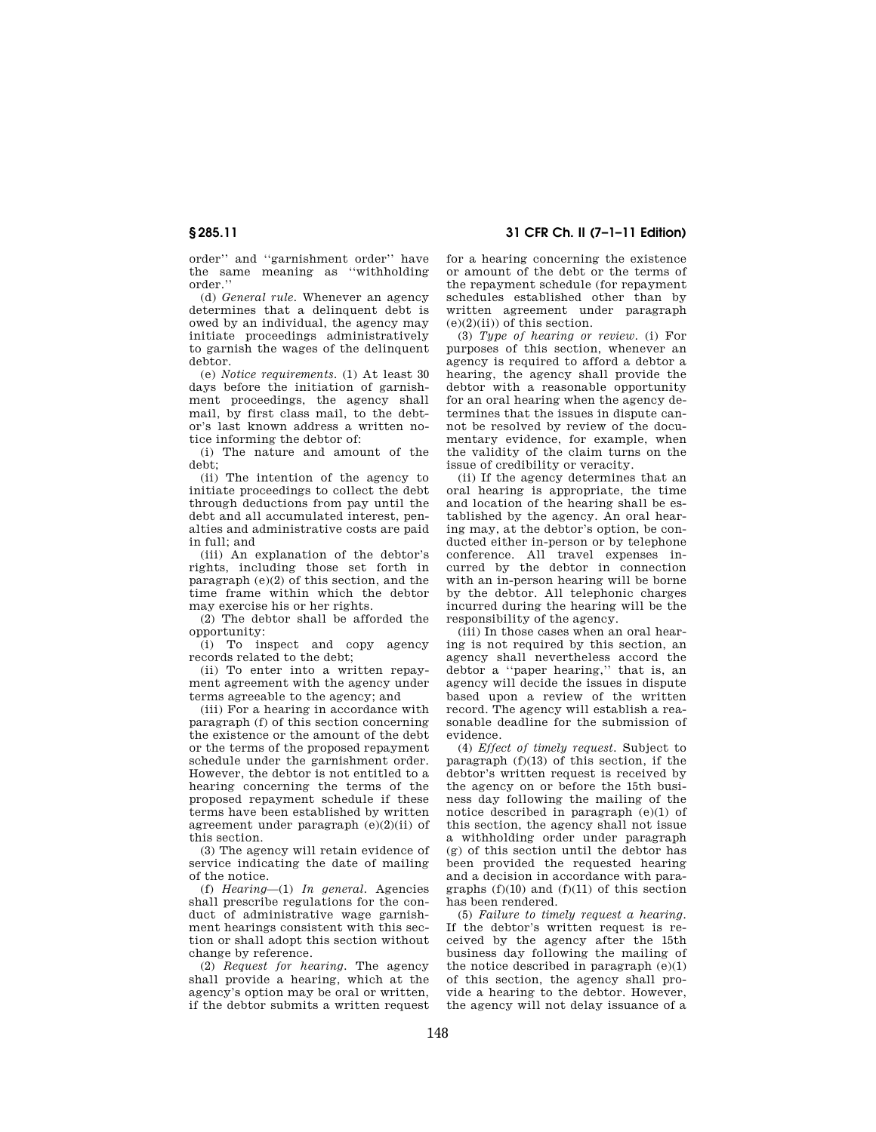order'' and ''garnishment order'' have the same meaning as ''withholding order.''

(d) *General rule.* Whenever an agency determines that a delinquent debt is owed by an individual, the agency may initiate proceedings administratively to garnish the wages of the delinquent debtor.

(e) *Notice requirements.* (1) At least 30 days before the initiation of garnishment proceedings, the agency shall mail, by first class mail, to the debtor's last known address a written notice informing the debtor of:

(i) The nature and amount of the debt;

(ii) The intention of the agency to initiate proceedings to collect the debt through deductions from pay until the debt and all accumulated interest, penalties and administrative costs are paid in full; and

(iii) An explanation of the debtor's rights, including those set forth in paragraph (e)(2) of this section, and the time frame within which the debtor may exercise his or her rights.

(2) The debtor shall be afforded the opportunity:

(i) To inspect and copy agency records related to the debt;

(ii) To enter into a written repayment agreement with the agency under terms agreeable to the agency; and

(iii) For a hearing in accordance with paragraph (f) of this section concerning the existence or the amount of the debt or the terms of the proposed repayment schedule under the garnishment order. However, the debtor is not entitled to a hearing concerning the terms of the proposed repayment schedule if these terms have been established by written agreement under paragraph (e)(2)(ii) of this section.

(3) The agency will retain evidence of service indicating the date of mailing of the notice.

(f) *Hearing*—(1) *In general.* Agencies shall prescribe regulations for the conduct of administrative wage garnishment hearings consistent with this section or shall adopt this section without change by reference.

(2) *Request for hearing.* The agency shall provide a hearing, which at the agency's option may be oral or written, if the debtor submits a written request

**§ 285.11 31 CFR Ch. II (7–1–11 Edition)** 

for a hearing concerning the existence or amount of the debt or the terms of the repayment schedule (for repayment schedules established other than by written agreement under paragraph  $(e)(2)(ii)$  of this section.

(3) *Type of hearing or review.* (i) For purposes of this section, whenever an agency is required to afford a debtor a hearing, the agency shall provide the debtor with a reasonable opportunity for an oral hearing when the agency determines that the issues in dispute cannot be resolved by review of the documentary evidence, for example, when the validity of the claim turns on the issue of credibility or veracity.

(ii) If the agency determines that an oral hearing is appropriate, the time and location of the hearing shall be established by the agency. An oral hearing may, at the debtor's option, be conducted either in-person or by telephone conference. All travel expenses incurred by the debtor in connection with an in-person hearing will be borne by the debtor. All telephonic charges incurred during the hearing will be the responsibility of the agency.

(iii) In those cases when an oral hearing is not required by this section, an agency shall nevertheless accord the debtor a ''paper hearing,'' that is, an agency will decide the issues in dispute based upon a review of the written record. The agency will establish a reasonable deadline for the submission of evidence.

(4) *Effect of timely request.* Subject to paragraph  $(f)(13)$  of this section, if the debtor's written request is received by the agency on or before the 15th business day following the mailing of the notice described in paragraph (e)(1) of this section, the agency shall not issue a withholding order under paragraph (g) of this section until the debtor has been provided the requested hearing and a decision in accordance with paragraphs  $(f)(10)$  and  $(f)(11)$  of this section has been rendered.

(5) *Failure to timely request a hearing.*  If the debtor's written request is received by the agency after the 15th business day following the mailing of the notice described in paragraph  $(e)(1)$ of this section, the agency shall provide a hearing to the debtor. However, the agency will not delay issuance of a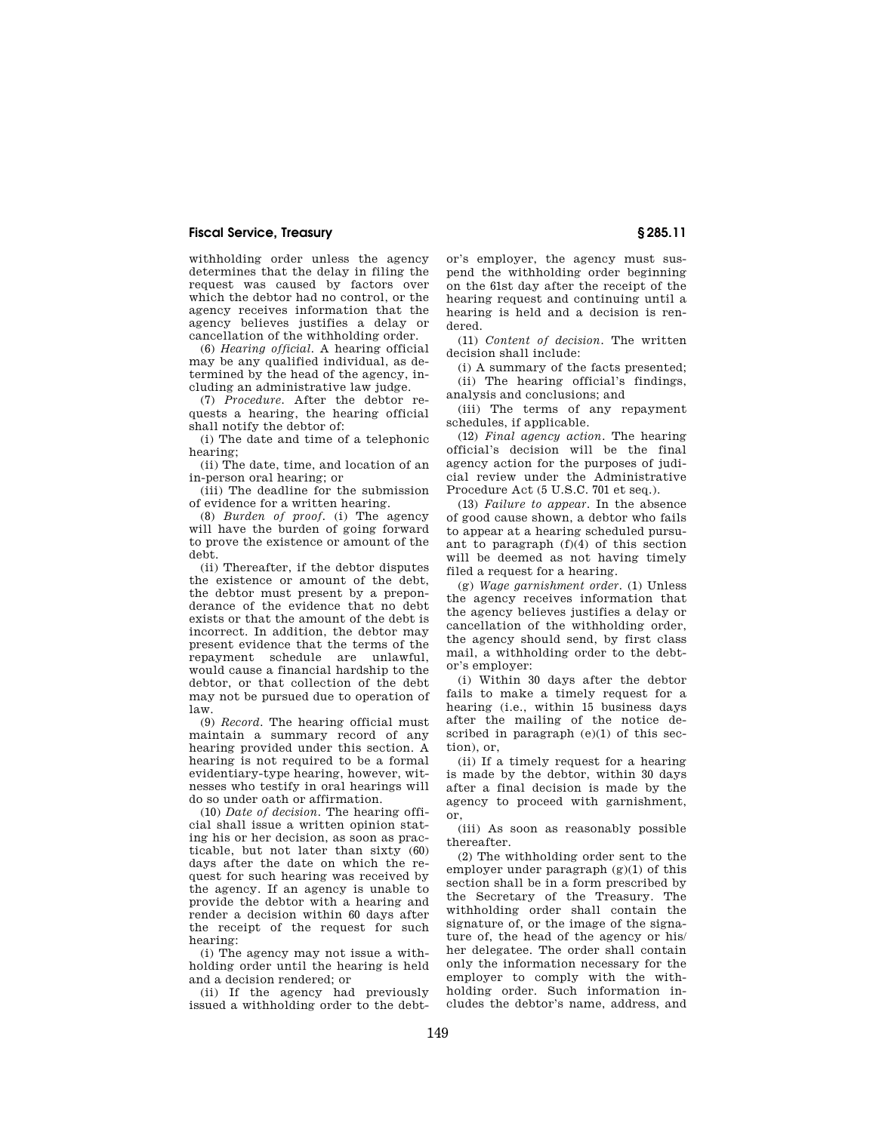withholding order unless the agency determines that the delay in filing the request was caused by factors over which the debtor had no control, or the agency receives information that the agency believes justifies a delay or cancellation of the withholding order.

(6) *Hearing official.* A hearing official may be any qualified individual, as determined by the head of the agency, including an administrative law judge.

(7) *Procedure.* After the debtor requests a hearing, the hearing official shall notify the debtor of:

(i) The date and time of a telephonic hearing;

(ii) The date, time, and location of an in-person oral hearing; or

(iii) The deadline for the submission of evidence for a written hearing.

(8) *Burden of proof.* (i) The agency will have the burden of going forward to prove the existence or amount of the debt.

(ii) Thereafter, if the debtor disputes the existence or amount of the debt, the debtor must present by a preponderance of the evidence that no debt exists or that the amount of the debt is incorrect. In addition, the debtor may present evidence that the terms of the repayment schedule are unlawful, would cause a financial hardship to the debtor, or that collection of the debt may not be pursued due to operation of law.

(9) *Record.* The hearing official must maintain a summary record of any hearing provided under this section. A hearing is not required to be a formal evidentiary-type hearing, however, witnesses who testify in oral hearings will do so under oath or affirmation.

(10) *Date of decision.* The hearing official shall issue a written opinion stating his or her decision, as soon as practicable, but not later than sixty (60) days after the date on which the request for such hearing was received by the agency. If an agency is unable to provide the debtor with a hearing and render a decision within 60 days after the receipt of the request for such hearing:

(i) The agency may not issue a withholding order until the hearing is held and a decision rendered; or

(ii) If the agency had previously issued a withholding order to the debtor's employer, the agency must suspend the withholding order beginning on the 61st day after the receipt of the hearing request and continuing until a hearing is held and a decision is rendered.

(11) *Content of decision.* The written decision shall include:

(i) A summary of the facts presented; (ii) The hearing official's findings, analysis and conclusions; and

(iii) The terms of any repayment schedules, if applicable.

(12) *Final agency action.* The hearing official's decision will be the final agency action for the purposes of judicial review under the Administrative Procedure Act (5 U.S.C. 701 et seq.).

(13) *Failure to appear.* In the absence of good cause shown, a debtor who fails to appear at a hearing scheduled pursuant to paragraph (f)(4) of this section will be deemed as not having timely filed a request for a hearing.

(g) *Wage garnishment order.* (1) Unless the agency receives information that the agency believes justifies a delay or cancellation of the withholding order, the agency should send, by first class mail, a withholding order to the debtor's employer:

(i) Within 30 days after the debtor fails to make a timely request for a hearing (i.e., within 15 business days after the mailing of the notice described in paragraph  $(e)(1)$  of this section), or,

(ii) If a timely request for a hearing is made by the debtor, within 30 days after a final decision is made by the agency to proceed with garnishment, or,

(iii) As soon as reasonably possible thereafter.

(2) The withholding order sent to the employer under paragraph (g)(1) of this section shall be in a form prescribed by the Secretary of the Treasury. The withholding order shall contain the signature of, or the image of the signature of, the head of the agency or his/ her delegatee. The order shall contain only the information necessary for the employer to comply with the withholding order. Such information includes the debtor's name, address, and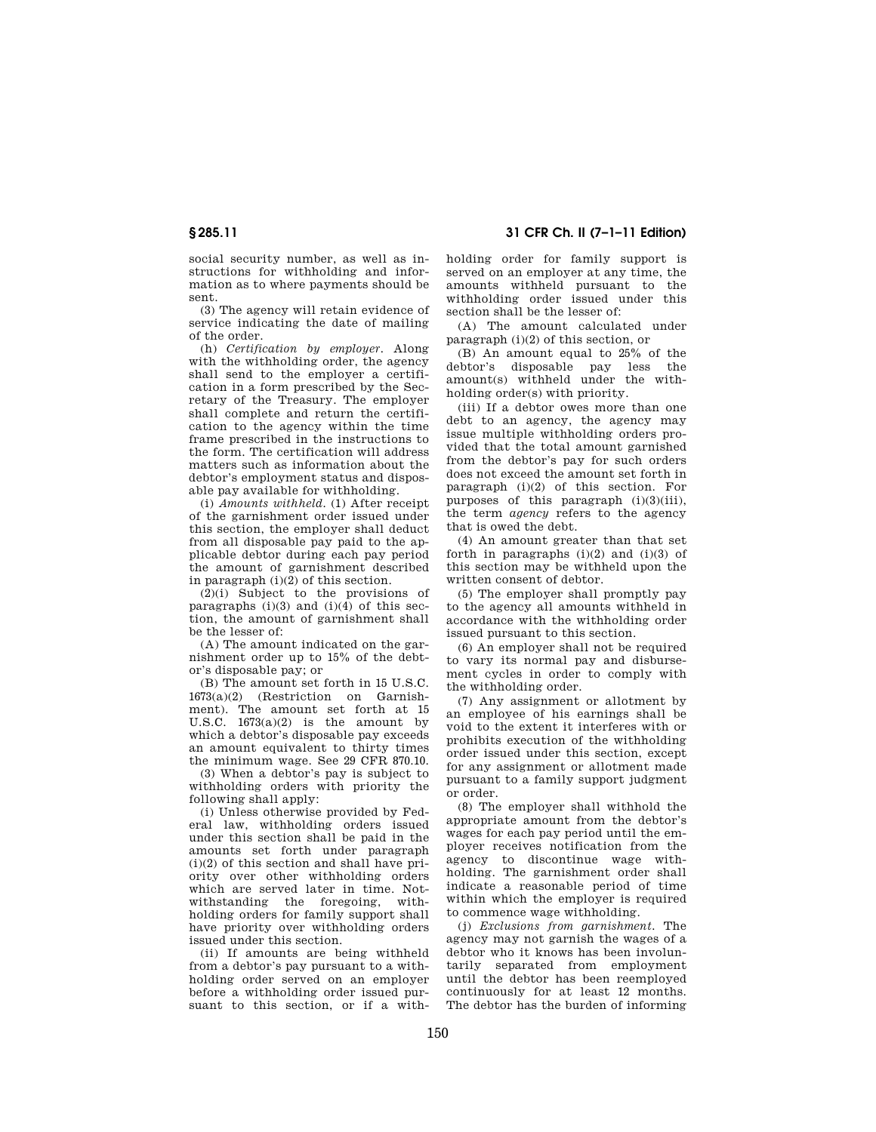**§ 285.11 31 CFR Ch. II (7–1–11 Edition)** 

social security number, as well as instructions for withholding and information as to where payments should be sent.

(3) The agency will retain evidence of service indicating the date of mailing of the order.

(h) *Certification by employer.* Along with the withholding order, the agency shall send to the employer a certification in a form prescribed by the Secretary of the Treasury. The employer shall complete and return the certification to the agency within the time frame prescribed in the instructions to the form. The certification will address matters such as information about the debtor's employment status and disposable pay available for withholding.

(i) *Amounts withheld.* (1) After receipt of the garnishment order issued under this section, the employer shall deduct from all disposable pay paid to the applicable debtor during each pay period the amount of garnishment described in paragraph  $(i)(2)$  of this section.

(2)(i) Subject to the provisions of paragraphs  $(i)(3)$  and  $(i)(4)$  of this section, the amount of garnishment shall be the lesser of:

(A) The amount indicated on the garnishment order up to 15% of the debtor's disposable pay; or

(B) The amount set forth in 15 U.S.C. 1673(a)(2) (Restriction on Garnishment). The amount set forth at 15 U.S.C.  $1673(a)(2)$  is the amount by which a debtor's disposable pay exceeds an amount equivalent to thirty times the minimum wage. See 29 CFR 870.10.

(3) When a debtor's pay is subject to withholding orders with priority the following shall apply:

(i) Unless otherwise provided by Federal law, withholding orders issued under this section shall be paid in the amounts set forth under paragraph  $(i)(2)$  of this section and shall have priority over other withholding orders which are served later in time. Notwithstanding the foregoing, withholding orders for family support shall have priority over withholding orders issued under this section.

(ii) If amounts are being withheld from a debtor's pay pursuant to a withholding order served on an employer before a withholding order issued pursuant to this section, or if a withholding order for family support is served on an employer at any time, the amounts withheld pursuant to the withholding order issued under this section shall be the lesser of:

(A) The amount calculated under paragraph  $(i)(2)$  of this section, or

(B) An amount equal to 25% of the debtor's disposable pay less the amount(s) withheld under the withholding order(s) with priority.

(iii) If a debtor owes more than one debt to an agency, the agency may issue multiple withholding orders provided that the total amount garnished from the debtor's pay for such orders does not exceed the amount set forth in paragraph (i)(2) of this section. For purposes of this paragraph (i)(3)(iii), the term *agency* refers to the agency that is owed the debt.

(4) An amount greater than that set forth in paragraphs  $(i)(2)$  and  $(i)(3)$  of this section may be withheld upon the written consent of debtor.

(5) The employer shall promptly pay to the agency all amounts withheld in accordance with the withholding order issued pursuant to this section.

(6) An employer shall not be required to vary its normal pay and disbursement cycles in order to comply with the withholding order.

(7) Any assignment or allotment by an employee of his earnings shall be void to the extent it interferes with or prohibits execution of the withholding order issued under this section, except for any assignment or allotment made pursuant to a family support judgment or order.

(8) The employer shall withhold the appropriate amount from the debtor's wages for each pay period until the employer receives notification from the agency to discontinue wage withholding. The garnishment order shall indicate a reasonable period of time within which the employer is required to commence wage withholding.

(j) *Exclusions from garnishment.* The agency may not garnish the wages of a debtor who it knows has been involuntarily separated from employment until the debtor has been reemployed continuously for at least 12 months. The debtor has the burden of informing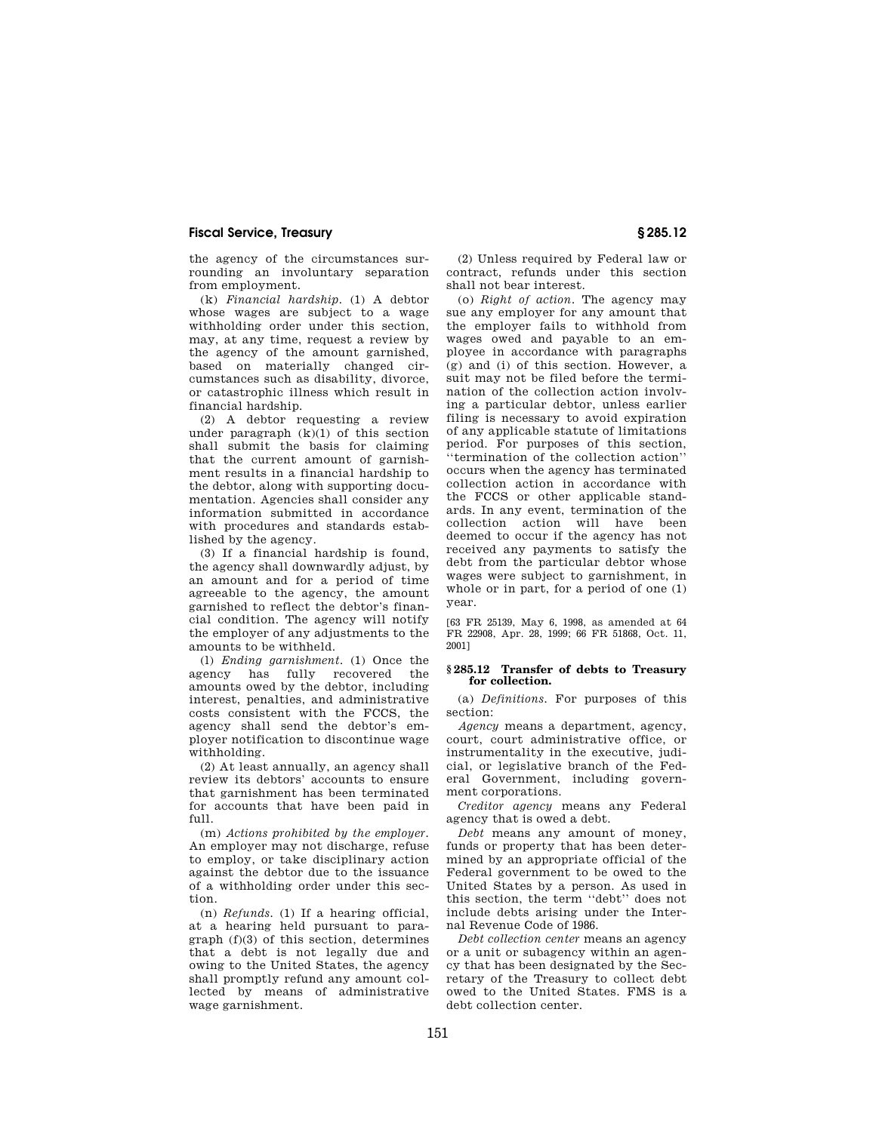the agency of the circumstances surrounding an involuntary separation from employment.

(k) *Financial hardship.* (1) A debtor whose wages are subject to a wage withholding order under this section, may, at any time, request a review by the agency of the amount garnished, based on materially changed circumstances such as disability, divorce, or catastrophic illness which result in financial hardship.

(2) A debtor requesting a review under paragraph (k)(1) of this section shall submit the basis for claiming that the current amount of garnishment results in a financial hardship to the debtor, along with supporting documentation. Agencies shall consider any information submitted in accordance with procedures and standards established by the agency.

(3) If a financial hardship is found, the agency shall downwardly adjust, by an amount and for a period of time agreeable to the agency, the amount garnished to reflect the debtor's financial condition. The agency will notify the employer of any adjustments to the amounts to be withheld.

(l) *Ending garnishment.* (1) Once the agency has fully recovered the amounts owed by the debtor, including interest, penalties, and administrative costs consistent with the FCCS, the agency shall send the debtor's employer notification to discontinue wage withholding.

(2) At least annually, an agency shall review its debtors' accounts to ensure that garnishment has been terminated for accounts that have been paid in full.

(m) *Actions prohibited by the employer.*  An employer may not discharge, refuse to employ, or take disciplinary action against the debtor due to the issuance of a withholding order under this section.

(n) *Refunds.* (1) If a hearing official, at a hearing held pursuant to paragraph (f)(3) of this section, determines that a debt is not legally due and owing to the United States, the agency shall promptly refund any amount collected by means of administrative wage garnishment.

(2) Unless required by Federal law or contract, refunds under this section shall not bear interest.

(o) *Right of action.* The agency may sue any employer for any amount that the employer fails to withhold from wages owed and payable to an employee in accordance with paragraphs (g) and (i) of this section. However, a suit may not be filed before the termination of the collection action involving a particular debtor, unless earlier filing is necessary to avoid expiration of any applicable statute of limitations period. For purposes of this section, ''termination of the collection action'' occurs when the agency has terminated collection action in accordance with the FCCS or other applicable standards. In any event, termination of the collection action will have been deemed to occur if the agency has not received any payments to satisfy the debt from the particular debtor whose wages were subject to garnishment, in whole or in part, for a period of one (1) year.

[63 FR 25139, May 6, 1998, as amended at 64 FR 22908, Apr. 28, 1999; 66 FR 51868, Oct. 11, 2001]

#### **§ 285.12 Transfer of debts to Treasury for collection.**

(a) *Definitions.* For purposes of this section:

*Agency* means a department, agency, court, court administrative office, or instrumentality in the executive, judicial, or legislative branch of the Federal Government, including government corporations.

*Creditor agency* means any Federal agency that is owed a debt.

*Debt* means any amount of money, funds or property that has been determined by an appropriate official of the Federal government to be owed to the United States by a person. As used in this section, the term ''debt'' does not include debts arising under the Internal Revenue Code of 1986.

*Debt collection center* means an agency or a unit or subagency within an agency that has been designated by the Secretary of the Treasury to collect debt owed to the United States. FMS is a debt collection center.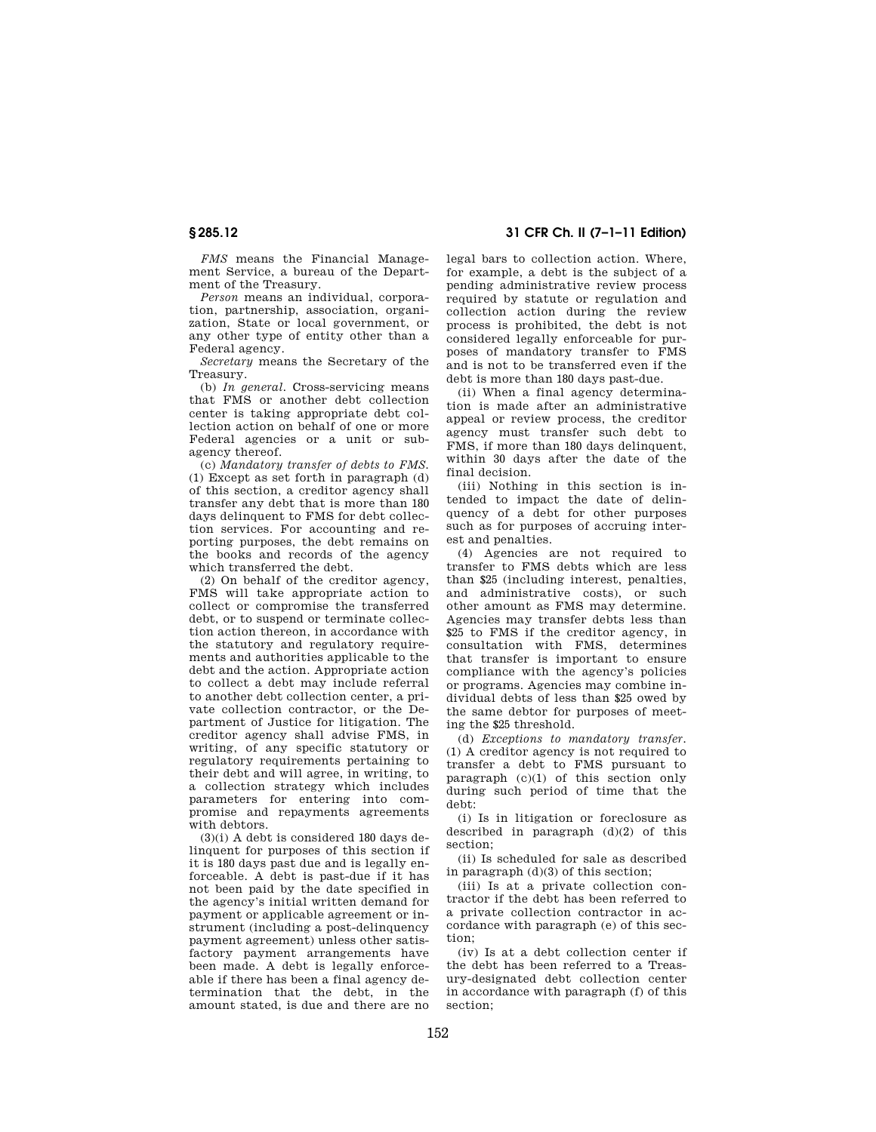*FMS* means the Financial Management Service, a bureau of the Department of the Treasury.

*Person* means an individual, corporation, partnership, association, organization, State or local government, or any other type of entity other than a Federal agency.

*Secretary* means the Secretary of the Treasury.

(b) *In general.* Cross-servicing means that FMS or another debt collection center is taking appropriate debt collection action on behalf of one or more Federal agencies or a unit or subagency thereof.

(c) *Mandatory transfer of debts to FMS.*  (1) Except as set forth in paragraph (d) of this section, a creditor agency shall transfer any debt that is more than 180 days delinquent to FMS for debt collection services. For accounting and reporting purposes, the debt remains on the books and records of the agency which transferred the debt.

(2) On behalf of the creditor agency, FMS will take appropriate action to collect or compromise the transferred debt, or to suspend or terminate collection action thereon, in accordance with the statutory and regulatory requirements and authorities applicable to the debt and the action. Appropriate action to collect a debt may include referral to another debt collection center, a private collection contractor, or the Department of Justice for litigation. The creditor agency shall advise FMS, in writing, of any specific statutory or regulatory requirements pertaining to their debt and will agree, in writing, to a collection strategy which includes parameters for entering into compromise and repayments agreements with debtors.

(3)(i) A debt is considered 180 days delinquent for purposes of this section if it is 180 days past due and is legally enforceable. A debt is past-due if it has not been paid by the date specified in the agency's initial written demand for payment or applicable agreement or instrument (including a post-delinquency payment agreement) unless other satisfactory payment arrangements have been made. A debt is legally enforceable if there has been a final agency determination that the debt, in the amount stated, is due and there are no

**§ 285.12 31 CFR Ch. II (7–1–11 Edition)** 

legal bars to collection action. Where, for example, a debt is the subject of a pending administrative review process required by statute or regulation and collection action during the review process is prohibited, the debt is not considered legally enforceable for purposes of mandatory transfer to FMS and is not to be transferred even if the debt is more than 180 days past-due.

(ii) When a final agency determination is made after an administrative appeal or review process, the creditor agency must transfer such debt to FMS, if more than 180 days delinquent, within 30 days after the date of the final decision.

(iii) Nothing in this section is intended to impact the date of delinquency of a debt for other purposes such as for purposes of accruing interest and penalties.

(4) Agencies are not required to transfer to FMS debts which are less than \$25 (including interest, penalties, and administrative costs), or such other amount as FMS may determine. Agencies may transfer debts less than \$25 to FMS if the creditor agency, in consultation with FMS, determines that transfer is important to ensure compliance with the agency's policies or programs. Agencies may combine individual debts of less than \$25 owed by the same debtor for purposes of meeting the \$25 threshold.

(d) *Exceptions to mandatory transfer.*  (1) A creditor agency is not required to transfer a debt to FMS pursuant to paragraph (c)(1) of this section only during such period of time that the debt:

(i) Is in litigation or foreclosure as described in paragraph  $(d)(2)$  of this section;

(ii) Is scheduled for sale as described in paragraph (d)(3) of this section;

(iii) Is at a private collection contractor if the debt has been referred to a private collection contractor in accordance with paragraph (e) of this section;

(iv) Is at a debt collection center if the debt has been referred to a Treasury-designated debt collection center in accordance with paragraph (f) of this section;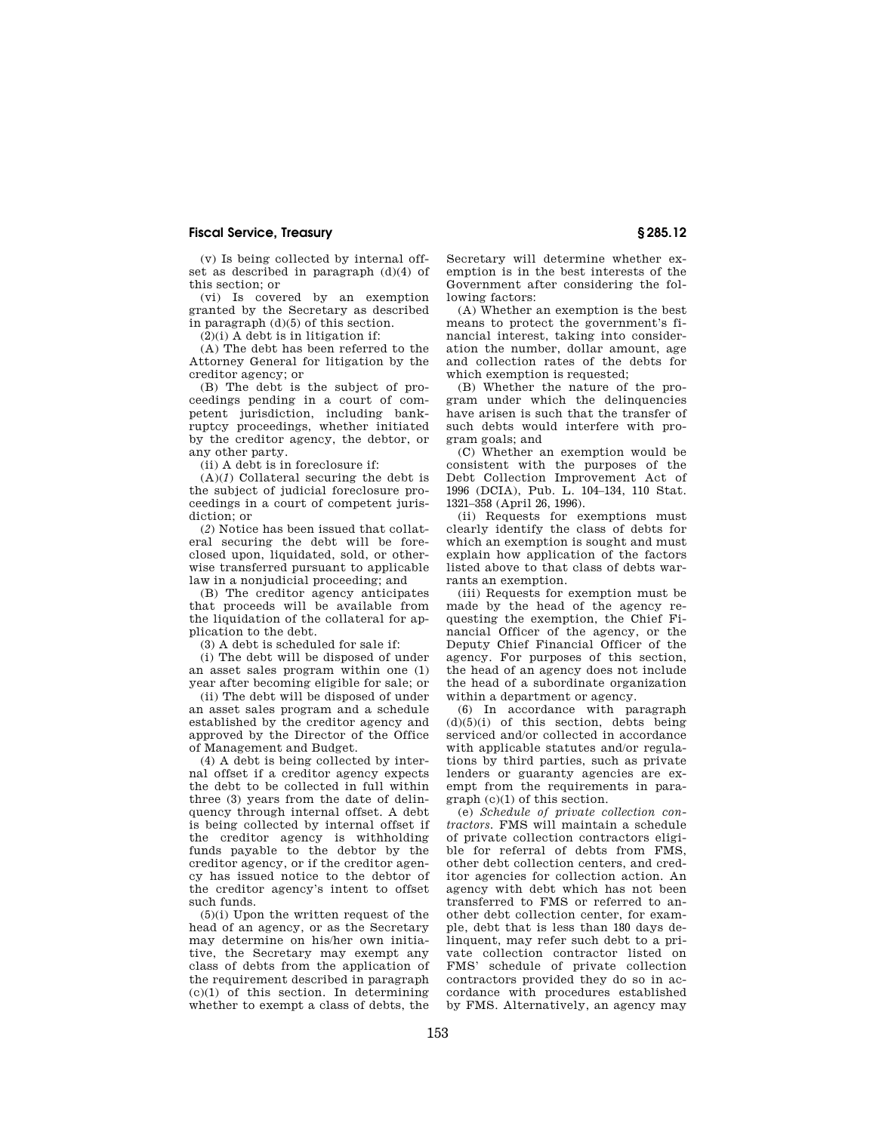(v) Is being collected by internal offset as described in paragraph (d)(4) of this section; or

(vi) Is covered by an exemption granted by the Secretary as described in paragraph (d)(5) of this section.

 $(2)(i)$  A debt is in litigation if:

(A) The debt has been referred to the Attorney General for litigation by the creditor agency; or

(B) The debt is the subject of proceedings pending in a court of competent jurisdiction, including bankruptcy proceedings, whether initiated by the creditor agency, the debtor, or any other party.

(ii) A debt is in foreclosure if:

(A)(*1*) Collateral securing the debt is the subject of judicial foreclosure proceedings in a court of competent jurisdiction; or

(*2*) Notice has been issued that collateral securing the debt will be foreclosed upon, liquidated, sold, or otherwise transferred pursuant to applicable law in a nonjudicial proceeding; and

(B) The creditor agency anticipates that proceeds will be available from the liquidation of the collateral for application to the debt.

(3) A debt is scheduled for sale if:

(i) The debt will be disposed of under an asset sales program within one (1) year after becoming eligible for sale; or

(ii) The debt will be disposed of under an asset sales program and a schedule established by the creditor agency and approved by the Director of the Office of Management and Budget.

(4) A debt is being collected by internal offset if a creditor agency expects the debt to be collected in full within three (3) years from the date of delinquency through internal offset. A debt is being collected by internal offset if the creditor agency is withholding funds payable to the debtor by the creditor agency, or if the creditor agency has issued notice to the debtor of the creditor agency's intent to offset such funds.

 $(5)(i)$  Upon the written request of the head of an agency, or as the Secretary may determine on his/her own initiative, the Secretary may exempt any class of debts from the application of the requirement described in paragraph (c)(1) of this section. In determining whether to exempt a class of debts, the Secretary will determine whether exemption is in the best interests of the Government after considering the following factors:

(A) Whether an exemption is the best means to protect the government's financial interest, taking into consideration the number, dollar amount, age and collection rates of the debts for which exemption is requested:

(B) Whether the nature of the program under which the delinquencies have arisen is such that the transfer of such debts would interfere with program goals; and

(C) Whether an exemption would be consistent with the purposes of the Debt Collection Improvement Act of 1996 (DCIA), Pub. L. 104–134, 110 Stat. 1321–358 (April 26, 1996).

(ii) Requests for exemptions must clearly identify the class of debts for which an exemption is sought and must explain how application of the factors listed above to that class of debts warrants an exemption.

(iii) Requests for exemption must be made by the head of the agency requesting the exemption, the Chief Financial Officer of the agency, or the Deputy Chief Financial Officer of the agency. For purposes of this section, the head of an agency does not include the head of a subordinate organization within a department or agency.

(6) In accordance with paragraph  $(d)(5)(i)$  of this section, debts being serviced and/or collected in accordance with applicable statutes and/or regulations by third parties, such as private lenders or guaranty agencies are exempt from the requirements in paragraph (c)(1) of this section.

(e) *Schedule of private collection contractors.* FMS will maintain a schedule of private collection contractors eligible for referral of debts from FMS other debt collection centers, and creditor agencies for collection action. An agency with debt which has not been transferred to FMS or referred to another debt collection center, for example, debt that is less than 180 days delinquent, may refer such debt to a private collection contractor listed on FMS' schedule of private collection contractors provided they do so in accordance with procedures established by FMS. Alternatively, an agency may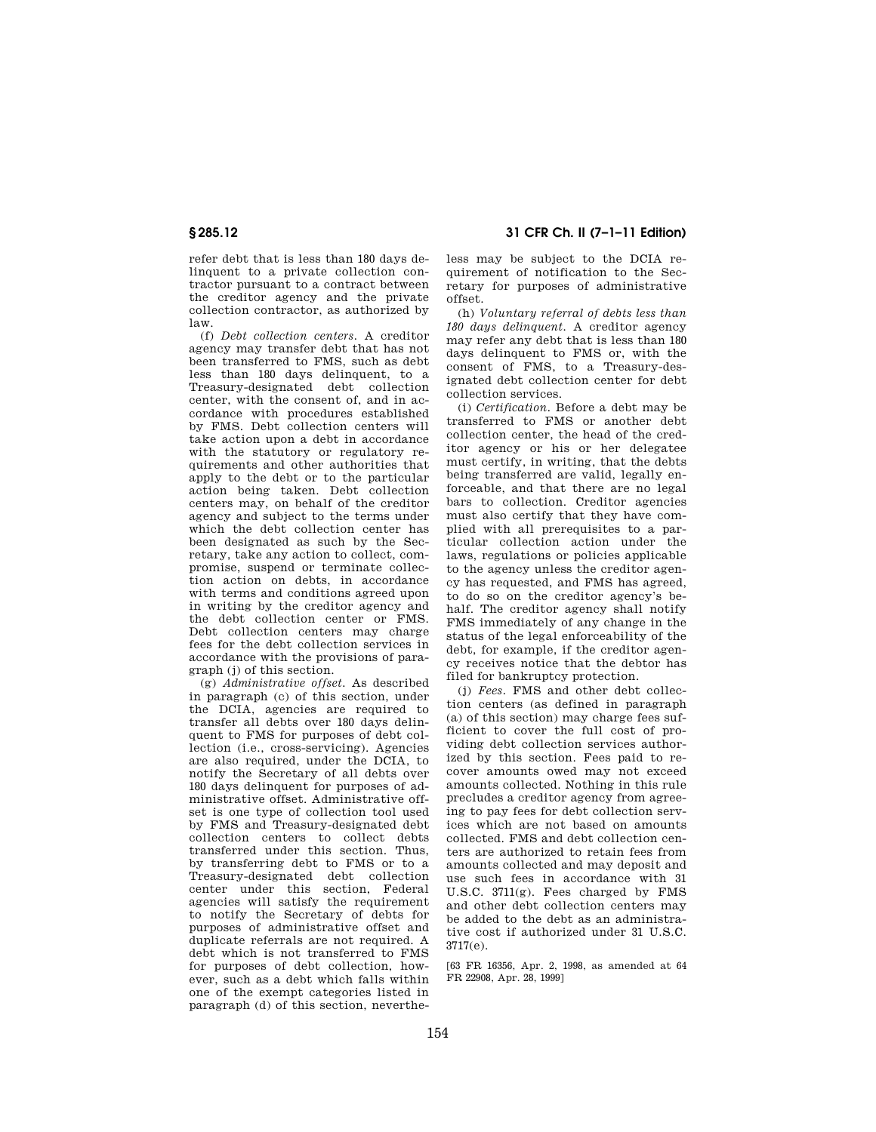refer debt that is less than 180 days delinquent to a private collection contractor pursuant to a contract between the creditor agency and the private collection contractor, as authorized by law.

(f) *Debt collection centers.* A creditor agency may transfer debt that has not been transferred to FMS, such as debt less than 180 days delinquent, to a Treasury-designated debt collection center, with the consent of, and in accordance with procedures established by FMS. Debt collection centers will take action upon a debt in accordance with the statutory or regulatory requirements and other authorities that apply to the debt or to the particular action being taken. Debt collection centers may, on behalf of the creditor agency and subject to the terms under which the debt collection center has been designated as such by the Secretary, take any action to collect, compromise, suspend or terminate collection action on debts, in accordance with terms and conditions agreed upon in writing by the creditor agency and the debt collection center or FMS. Debt collection centers may charge fees for the debt collection services in accordance with the provisions of paragraph (j) of this section.

(g) *Administrative offset.* As described in paragraph (c) of this section, under the DCIA, agencies are required to transfer all debts over 180 days delinquent to FMS for purposes of debt collection (i.e., cross-servicing). Agencies are also required, under the DCIA, to notify the Secretary of all debts over 180 days delinquent for purposes of administrative offset. Administrative offset is one type of collection tool used by FMS and Treasury-designated debt collection centers to collect debts transferred under this section. Thus, by transferring debt to FMS or to a Treasury-designated debt collection center under this section, Federal agencies will satisfy the requirement to notify the Secretary of debts for purposes of administrative offset and duplicate referrals are not required. A debt which is not transferred to FMS for purposes of debt collection, however, such as a debt which falls within one of the exempt categories listed in paragraph (d) of this section, neverthe-

**§ 285.12 31 CFR Ch. II (7–1–11 Edition)** 

less may be subject to the DCIA requirement of notification to the Secretary for purposes of administrative offset.

(h) *Voluntary referral of debts less than 180 days delinquent.* A creditor agency may refer any debt that is less than 180 days delinquent to FMS or, with the consent of FMS, to a Treasury-designated debt collection center for debt collection services.

(i) *Certification.* Before a debt may be transferred to FMS or another debt collection center, the head of the creditor agency or his or her delegatee must certify, in writing, that the debts being transferred are valid, legally enforceable, and that there are no legal bars to collection. Creditor agencies must also certify that they have complied with all prerequisites to a particular collection action under the laws, regulations or policies applicable to the agency unless the creditor agency has requested, and FMS has agreed, to do so on the creditor agency's behalf. The creditor agency shall notify FMS immediately of any change in the status of the legal enforceability of the debt, for example, if the creditor agency receives notice that the debtor has filed for bankruptcy protection.

(j) *Fees.* FMS and other debt collection centers (as defined in paragraph (a) of this section) may charge fees sufficient to cover the full cost of providing debt collection services authorized by this section. Fees paid to recover amounts owed may not exceed amounts collected. Nothing in this rule precludes a creditor agency from agreeing to pay fees for debt collection services which are not based on amounts collected. FMS and debt collection centers are authorized to retain fees from amounts collected and may deposit and use such fees in accordance with 31 U.S.C. 3711(g). Fees charged by FMS and other debt collection centers may be added to the debt as an administrative cost if authorized under 31 U.S.C. 3717(e).

[63 FR 16356, Apr. 2, 1998, as amended at 64 FR 22908, Apr. 28, 1999]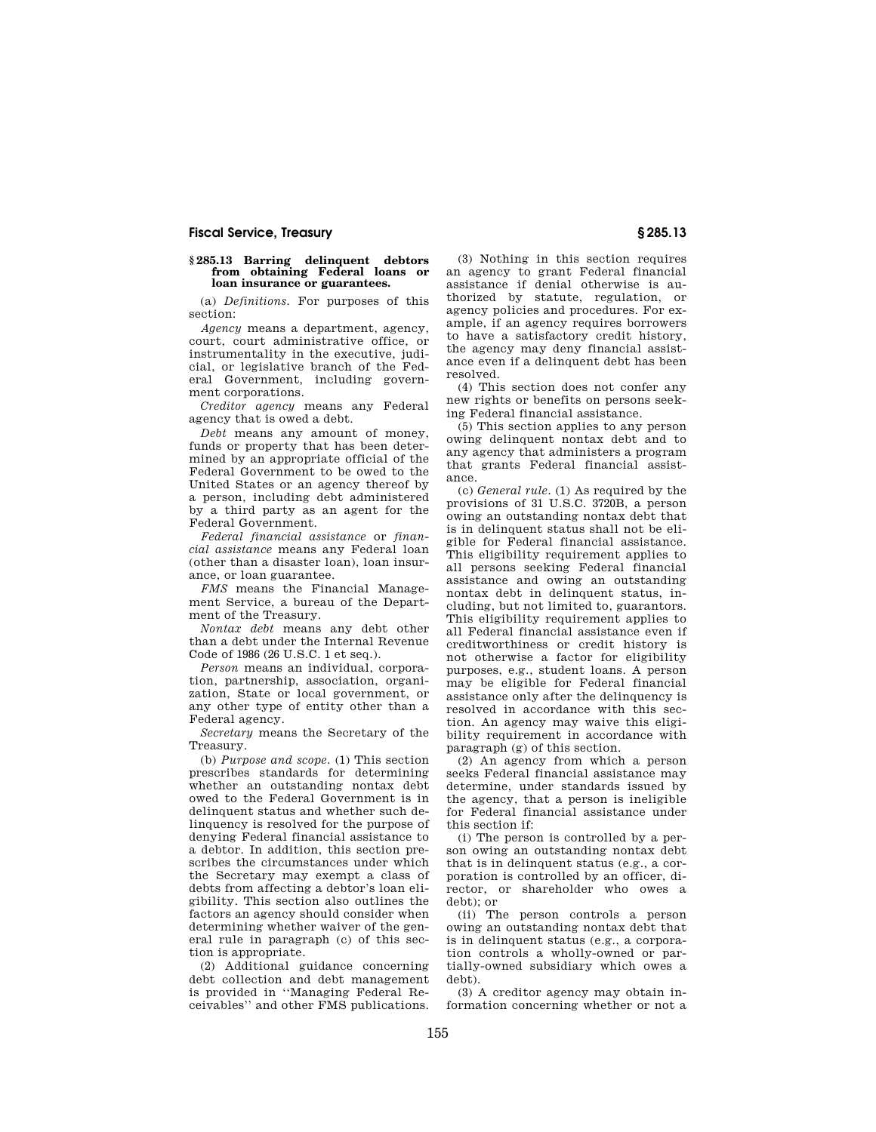#### **§ 285.13 Barring delinquent debtors from obtaining Federal loans or loan insurance or guarantees.**

(a) *Definitions.* For purposes of this section:

*Agency* means a department, agency, court, court administrative office, or instrumentality in the executive, judicial, or legislative branch of the Federal Government, including government corporations.

*Creditor agency* means any Federal agency that is owed a debt.

*Debt* means any amount of money, funds or property that has been determined by an appropriate official of the Federal Government to be owed to the United States or an agency thereof by a person, including debt administered by a third party as an agent for the Federal Government.

*Federal financial assistance* or *financial assistance* means any Federal loan (other than a disaster loan), loan insurance, or loan guarantee.

*FMS* means the Financial Management Service, a bureau of the Department of the Treasury.

*Nontax debt* means any debt other than a debt under the Internal Revenue Code of 1986 (26 U.S.C. 1 et seq.).

*Person* means an individual, corporation, partnership, association, organization, State or local government, or any other type of entity other than a Federal agency.

*Secretary* means the Secretary of the Treasury.

(b) *Purpose and scope.* (1) This section prescribes standards for determining whether an outstanding nontax debt owed to the Federal Government is in delinquent status and whether such delinquency is resolved for the purpose of denying Federal financial assistance to a debtor. In addition, this section prescribes the circumstances under which the Secretary may exempt a class of debts from affecting a debtor's loan eligibility. This section also outlines the factors an agency should consider when determining whether waiver of the general rule in paragraph (c) of this section is appropriate.

(2) Additional guidance concerning debt collection and debt management is provided in ''Managing Federal Receivables'' and other FMS publications.

(3) Nothing in this section requires an agency to grant Federal financial assistance if denial otherwise is authorized by statute, regulation, or agency policies and procedures. For example, if an agency requires borrowers to have a satisfactory credit history, the agency may deny financial assistance even if a delinquent debt has been resolved.

(4) This section does not confer any new rights or benefits on persons seeking Federal financial assistance.

(5) This section applies to any person owing delinquent nontax debt and to any agency that administers a program that grants Federal financial assistance.

(c) *General rule.* (1) As required by the provisions of 31 U.S.C. 3720B, a person owing an outstanding nontax debt that is in delinquent status shall not be eligible for Federal financial assistance. This eligibility requirement applies to all persons seeking Federal financial assistance and owing an outstanding nontax debt in delinquent status, including, but not limited to, guarantors. This eligibility requirement applies to all Federal financial assistance even if creditworthiness or credit history is not otherwise a factor for eligibility purposes, e.g., student loans. A person may be eligible for Federal financial assistance only after the delinquency is resolved in accordance with this section. An agency may waive this eligibility requirement in accordance with paragraph (g) of this section.

(2) An agency from which a person seeks Federal financial assistance may determine, under standards issued by the agency, that a person is ineligible for Federal financial assistance under this section if:

(i) The person is controlled by a person owing an outstanding nontax debt that is in delinquent status (e.g., a corporation is controlled by an officer, director, or shareholder who owes a debt); or

(ii) The person controls a person owing an outstanding nontax debt that is in delinquent status (e.g., a corporation controls a wholly-owned or partially-owned subsidiary which owes a debt).

(3) A creditor agency may obtain information concerning whether or not a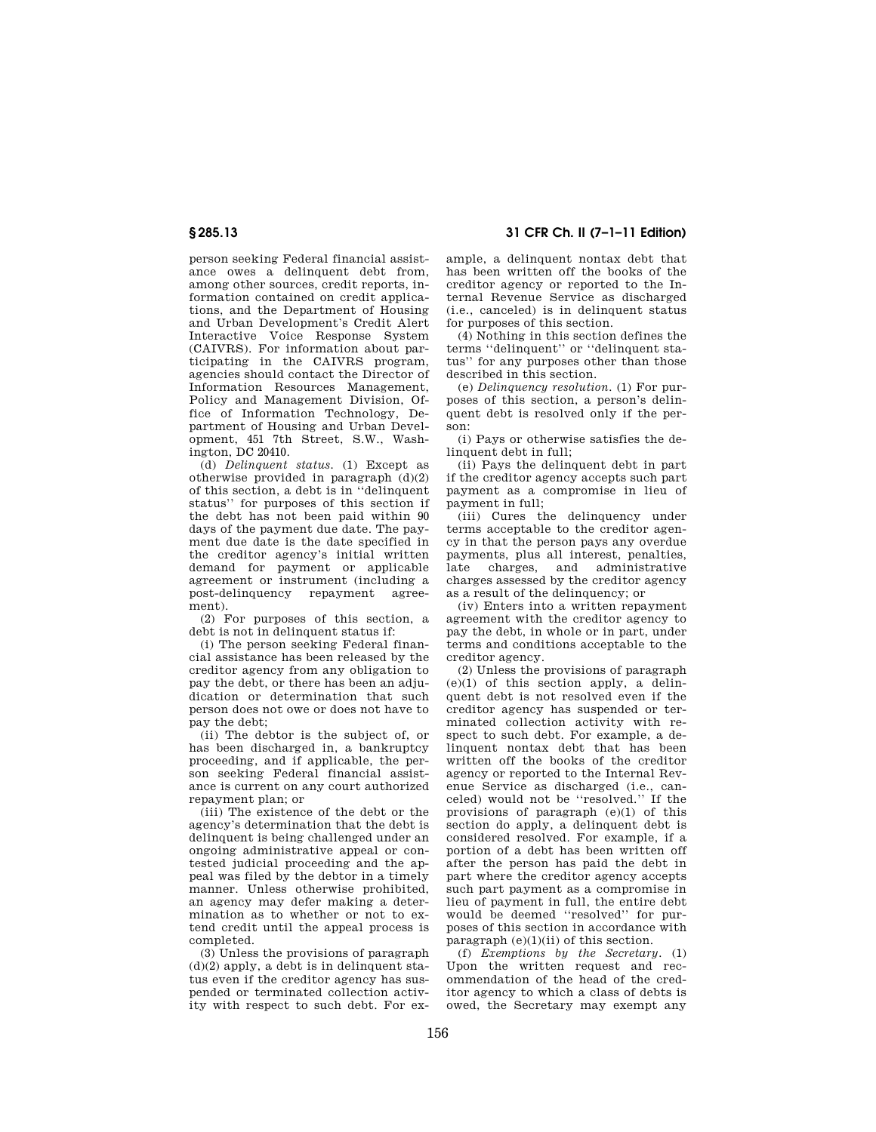# **§ 285.13 31 CFR Ch. II (7–1–11 Edition)**

person seeking Federal financial assistance owes a delinquent debt from, among other sources, credit reports, information contained on credit applications, and the Department of Housing and Urban Development's Credit Alert Interactive Voice Response System (CAIVRS). For information about participating in the CAIVRS program, agencies should contact the Director of Information Resources Management, Policy and Management Division, Office of Information Technology, Department of Housing and Urban Development, 451 7th Street, S.W., Washington, DC 20410.

(d) *Delinquent status.* (1) Except as otherwise provided in paragraph (d)(2) of this section, a debt is in ''delinquent status'' for purposes of this section if the debt has not been paid within 90 days of the payment due date. The payment due date is the date specified in the creditor agency's initial written demand for payment or applicable agreement or instrument (including a post-delinquency repayment agreement).

(2) For purposes of this section, a debt is not in delinquent status if:

(i) The person seeking Federal financial assistance has been released by the creditor agency from any obligation to pay the debt, or there has been an adjudication or determination that such person does not owe or does not have to pay the debt;

(ii) The debtor is the subject of, or has been discharged in, a bankruptcy proceeding, and if applicable, the person seeking Federal financial assistance is current on any court authorized repayment plan; or

(iii) The existence of the debt or the agency's determination that the debt is delinquent is being challenged under an ongoing administrative appeal or contested judicial proceeding and the appeal was filed by the debtor in a timely manner. Unless otherwise prohibited, an agency may defer making a determination as to whether or not to extend credit until the appeal process is completed.

(3) Unless the provisions of paragraph  $(d)(2)$  apply, a debt is in delinquent status even if the creditor agency has suspended or terminated collection activity with respect to such debt. For example, a delinquent nontax debt that has been written off the books of the creditor agency or reported to the Internal Revenue Service as discharged (i.e., canceled) is in delinquent status for purposes of this section.

(4) Nothing in this section defines the terms ''delinquent'' or ''delinquent status'' for any purposes other than those described in this section.

(e) *Delinquency resolution.* (1) For purposes of this section, a person's delinquent debt is resolved only if the person:

(i) Pays or otherwise satisfies the delinquent debt in full;

(ii) Pays the delinquent debt in part if the creditor agency accepts such part payment as a compromise in lieu of payment in full;

(iii) Cures the delinquency under terms acceptable to the creditor agency in that the person pays any overdue payments, plus all interest, penalties, late charges, and administrative charges assessed by the creditor agency as a result of the delinquency; or

(iv) Enters into a written repayment agreement with the creditor agency to pay the debt, in whole or in part, under terms and conditions acceptable to the creditor agency.

(2) Unless the provisions of paragraph  $(e)(1)$  of this section apply, a delinquent debt is not resolved even if the creditor agency has suspended or terminated collection activity with respect to such debt. For example, a delinquent nontax debt that has been written off the books of the creditor agency or reported to the Internal Revenue Service as discharged (i.e., canceled) would not be ''resolved.'' If the provisions of paragraph (e)(1) of this section do apply, a delinquent debt is considered resolved. For example, if a portion of a debt has been written off after the person has paid the debt in part where the creditor agency accepts such part payment as a compromise in lieu of payment in full, the entire debt would be deemed ''resolved'' for purposes of this section in accordance with paragraph (e)(1)(ii) of this section.

(f) *Exemptions by the Secretary.* (1) Upon the written request and recommendation of the head of the creditor agency to which a class of debts is owed, the Secretary may exempt any